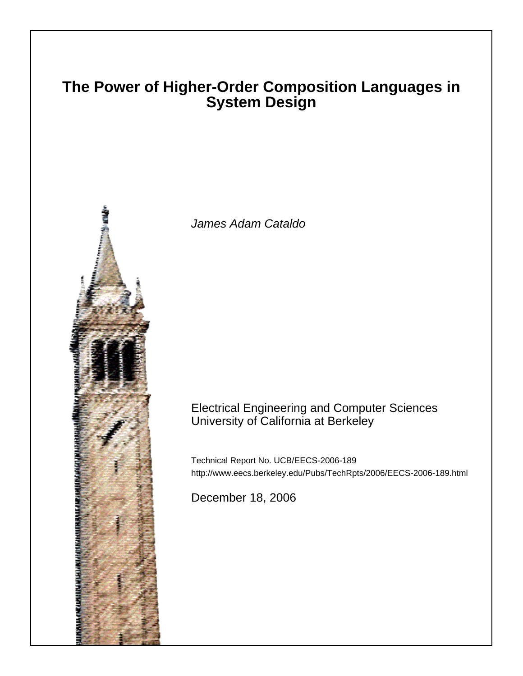### **The Power of Higher-Order Composition Languages in System Design**



James Adam Cataldo

### Electrical Engineering and Computer Sciences University of California at Berkeley

Technical Report No. UCB/EECS-2006-189 http://www.eecs.berkeley.edu/Pubs/TechRpts/2006/EECS-2006-189.html

December 18, 2006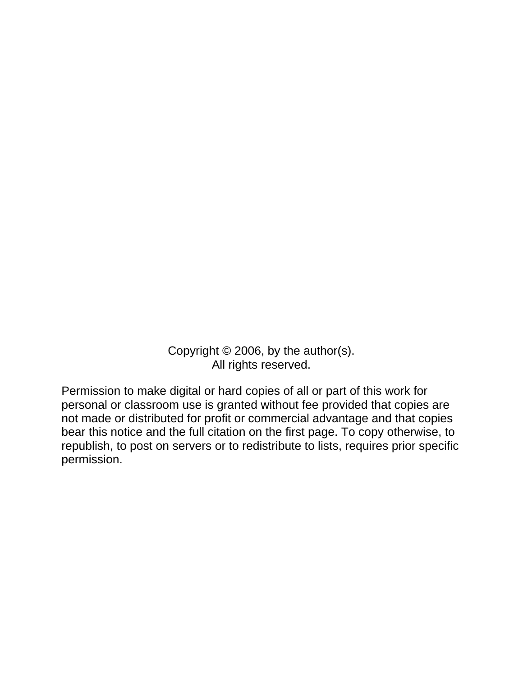Copyright © 2006, by the author(s). All rights reserved.

Permission to make digital or hard copies of all or part of this work for personal or classroom use is granted without fee provided that copies are not made or distributed for profit or commercial advantage and that copies bear this notice and the full citation on the first page. To copy otherwise, to republish, to post on servers or to redistribute to lists, requires prior specific permission.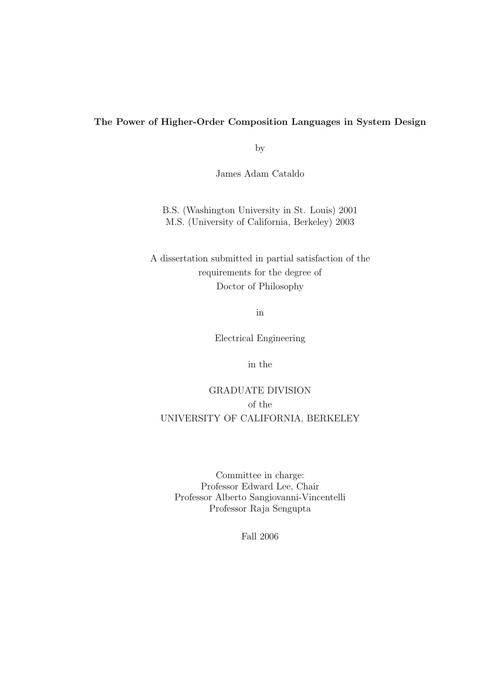### The Power of Higher-Order Composition Languages in System Design

by

James Adam Cataldo

B.S. (Washington University in St. Louis) 2001 M.S. (University of California, Berkeley) 2003

A dissertation submitted in partial satisfaction of the requirements for the degree of Doctor of Philosophy

in

Electrical Engineering

in the

### GRADUATE DIVISION of the UNIVERSITY OF CALIFORNIA, BERKELEY

Committee in charge: Professor Edward Lee, Chair Professor Alberto Sangiovanni-Vincentelli Professor Raja Sengupta

Fall 2006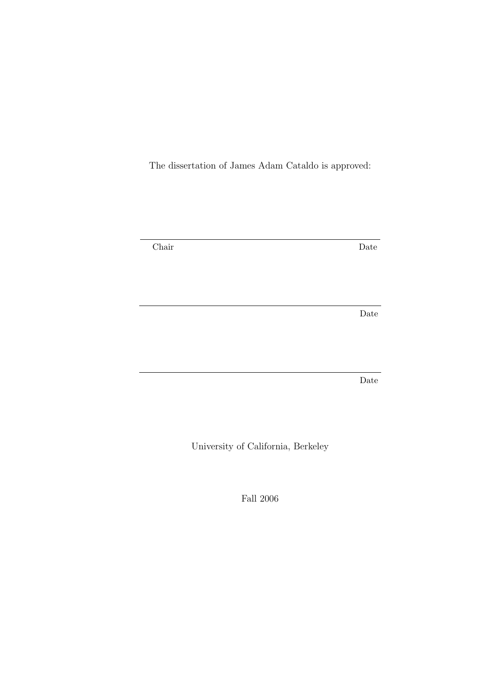The dissertation of James Adam Cataldo is approved:

Chair Date

Date

Date

University of California, Berkeley

Fall 2006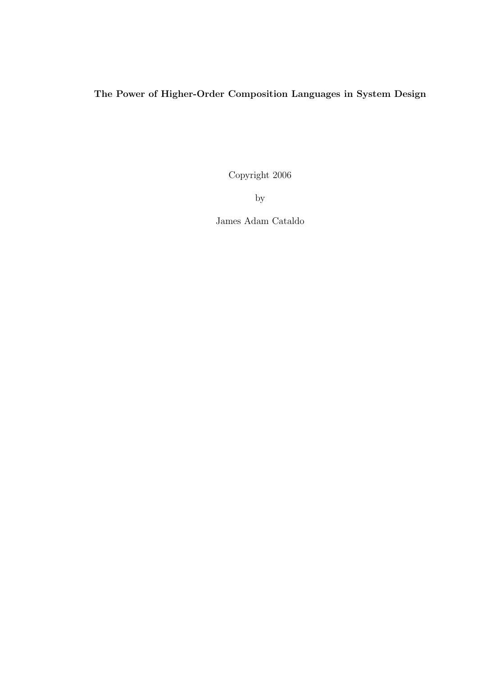### The Power of Higher-Order Composition Languages in System Design

Copyright 2006

by

James Adam Cataldo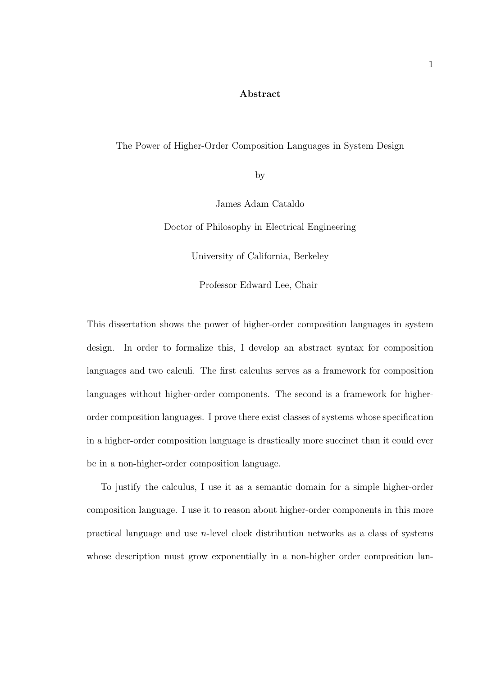#### Abstract

#### The Power of Higher-Order Composition Languages in System Design

by

James Adam Cataldo

Doctor of Philosophy in Electrical Engineering

University of California, Berkeley

Professor Edward Lee, Chair

This dissertation shows the power of higher-order composition languages in system design. In order to formalize this, I develop an abstract syntax for composition languages and two calculi. The first calculus serves as a framework for composition languages without higher-order components. The second is a framework for higherorder composition languages. I prove there exist classes of systems whose specification in a higher-order composition language is drastically more succinct than it could ever be in a non-higher-order composition language.

To justify the calculus, I use it as a semantic domain for a simple higher-order composition language. I use it to reason about higher-order components in this more practical language and use n-level clock distribution networks as a class of systems whose description must grow exponentially in a non-higher order composition lan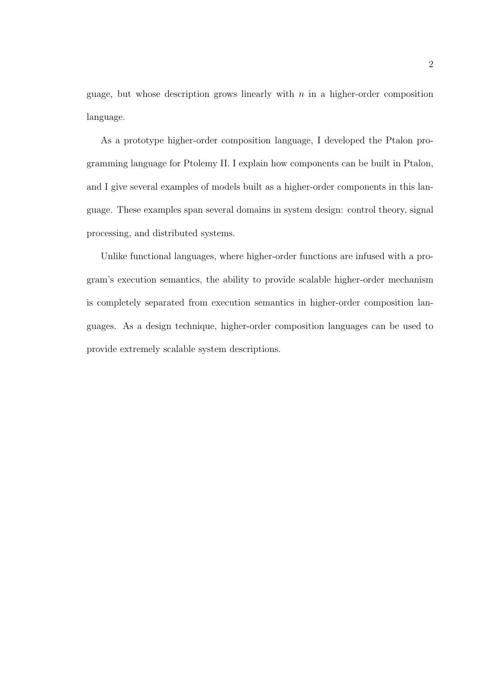guage, but whose description grows linearly with  $n$  in a higher-order composition language.

As a prototype higher-order composition language, I developed the Ptalon programming language for Ptolemy II. I explain how components can be built in Ptalon, and I give several examples of models built as a higher-order components in this language. These examples span several domains in system design: control theory, signal processing, and distributed systems.

Unlike functional languages, where higher-order functions are infused with a program's execution semantics, the ability to provide scalable higher-order mechanism is completely separated from execution semantics in higher-order composition languages. As a design technique, higher-order composition languages can be used to provide extremely scalable system descriptions.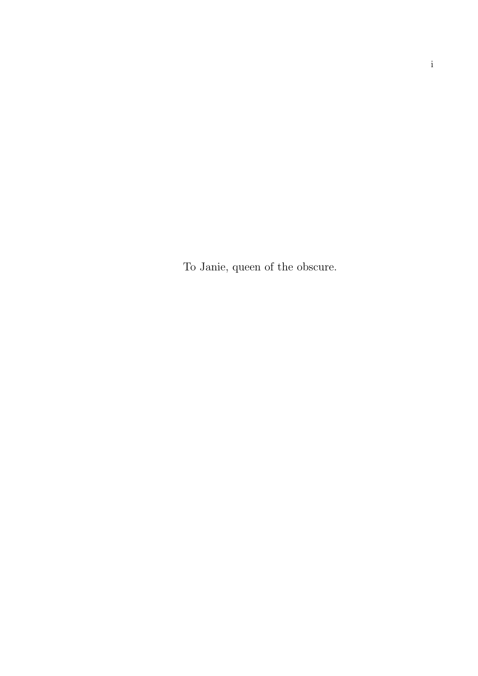To Janie, queen of the obscure.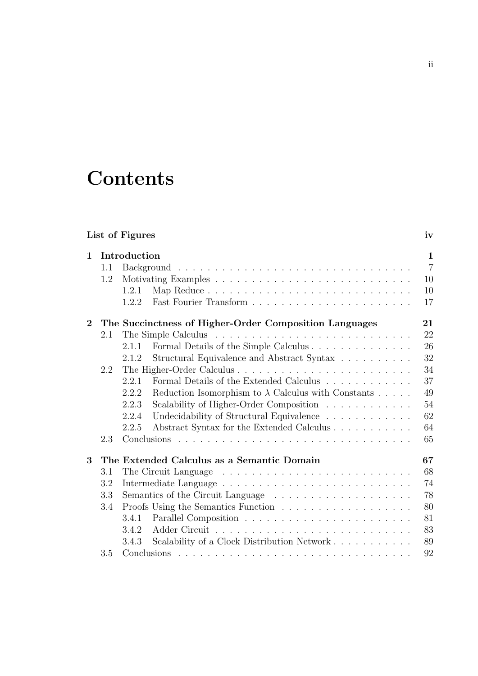### **Contents**

| List of Figures |                                                        |       |                                                                                 |    |  |  |
|-----------------|--------------------------------------------------------|-------|---------------------------------------------------------------------------------|----|--|--|
| $\mathbf{1}$    | Introduction                                           |       |                                                                                 |    |  |  |
|                 | 1.1                                                    |       |                                                                                 |    |  |  |
|                 | 1.2                                                    |       | 10                                                                              |    |  |  |
|                 |                                                        | 1.2.1 |                                                                                 | 10 |  |  |
|                 |                                                        | 1.2.2 |                                                                                 | 17 |  |  |
| $\overline{2}$  | The Succinctness of Higher-Order Composition Languages |       |                                                                                 |    |  |  |
|                 | 2.1                                                    |       |                                                                                 | 22 |  |  |
|                 |                                                        | 2.1.1 | Formal Details of the Simple Calculus                                           | 26 |  |  |
|                 |                                                        | 2.1.2 | Structural Equivalence and Abstract Syntax                                      | 32 |  |  |
|                 | 2.2                                                    |       |                                                                                 | 34 |  |  |
|                 |                                                        | 2.2.1 | Formal Details of the Extended Calculus                                         | 37 |  |  |
|                 |                                                        | 2.2.2 | Reduction Isomorphism to $\lambda$ Calculus with Constants                      | 49 |  |  |
|                 |                                                        | 2.2.3 | Scalability of Higher-Order Composition                                         | 54 |  |  |
|                 |                                                        | 2.2.4 | Undecidability of Structural Equivalence                                        | 62 |  |  |
|                 |                                                        | 2.2.5 | Abstract Syntax for the Extended Calculus                                       | 64 |  |  |
|                 | 2.3                                                    |       |                                                                                 | 65 |  |  |
| 3               |                                                        |       | The Extended Calculus as a Semantic Domain                                      | 67 |  |  |
|                 | 3.1                                                    |       |                                                                                 | 68 |  |  |
|                 | 3.2                                                    |       |                                                                                 |    |  |  |
|                 | 3.3                                                    |       |                                                                                 |    |  |  |
|                 | 3.4                                                    |       | Proofs Using the Semantics Function $\ldots \ldots \ldots \ldots \ldots \ldots$ | 80 |  |  |
|                 |                                                        | 3.4.1 |                                                                                 | 81 |  |  |
|                 |                                                        | 3.4.2 |                                                                                 | 83 |  |  |
|                 |                                                        | 3.4.3 | Scalability of a Clock Distribution Network                                     | 89 |  |  |
|                 | 3.5                                                    |       |                                                                                 | 92 |  |  |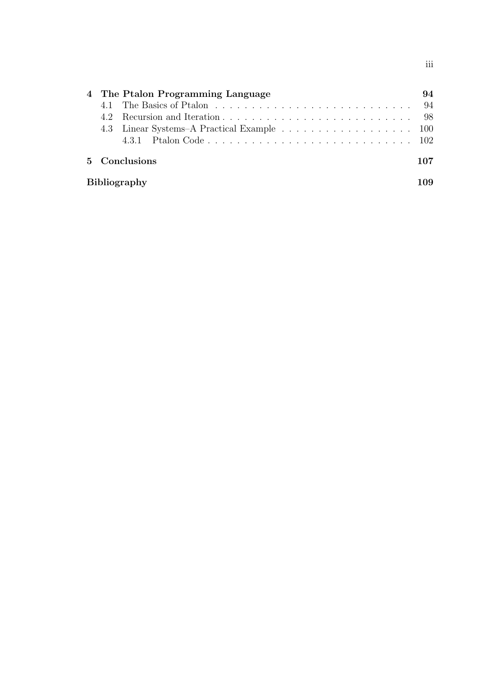|                     | 4 The Ptalon Programming Language | 94  |  |
|---------------------|-----------------------------------|-----|--|
|                     |                                   | -94 |  |
| 4.2                 |                                   |     |  |
|                     |                                   |     |  |
|                     |                                   |     |  |
| 5 Conclusions       |                                   | 107 |  |
| <b>Bibliography</b> |                                   |     |  |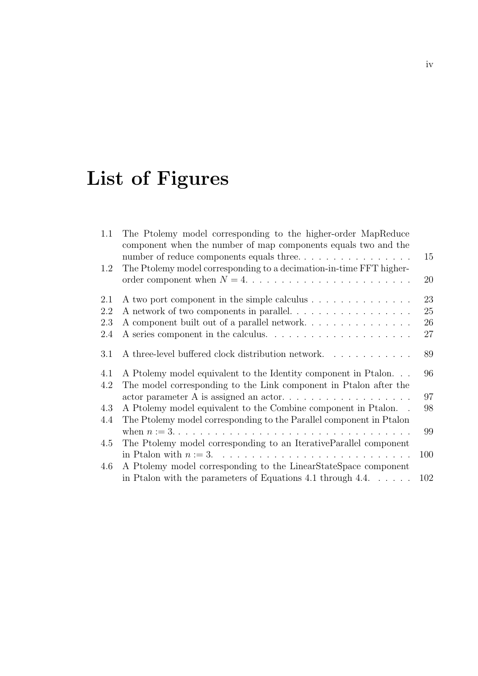## List of Figures

| 1.1 | The Ptolemy model corresponding to the higher-order MapReduce<br>component when the number of map components equals two and the |          |
|-----|---------------------------------------------------------------------------------------------------------------------------------|----------|
| 1.2 | number of reduce components equals three<br>The Ptolemy model corresponding to a decimation-in-time FFT higher-                 | 15<br>20 |
| 2.1 | A two port component in the simple calculus                                                                                     | 23       |
| 2.2 | A network of two components in parallel.                                                                                        | 25       |
| 2.3 |                                                                                                                                 | 26       |
| 2.4 |                                                                                                                                 | 27       |
| 3.1 | A three-level buffered clock distribution network                                                                               | 89       |
| 4.1 | A Ptolemy model equivalent to the Identity component in Ptalon                                                                  | 96       |
| 4.2 | The model corresponding to the Link component in Ptalon after the                                                               |          |
|     |                                                                                                                                 | 97       |
| 4.3 | A Ptolemy model equivalent to the Combine component in Ptalon                                                                   | 98       |
| 4.4 | The Ptolemy model corresponding to the Parallel component in Ptalon                                                             |          |
|     |                                                                                                                                 | 99       |
| 4.5 | The Ptolemy model corresponding to an IterativeParallel component                                                               |          |
|     |                                                                                                                                 | 100      |
| 4.6 | A Ptolemy model corresponding to the LinearStateSpace component                                                                 |          |
|     | in Ptalon with the parameters of Equations 4.1 through $4.4. \ldots \ldots$                                                     | 102      |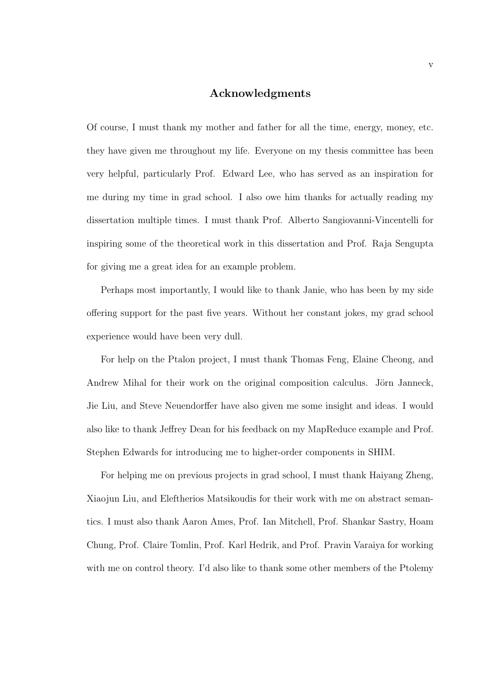### Acknowledgments

Of course, I must thank my mother and father for all the time, energy, money, etc. they have given me throughout my life. Everyone on my thesis committee has been very helpful, particularly Prof. Edward Lee, who has served as an inspiration for me during my time in grad school. I also owe him thanks for actually reading my dissertation multiple times. I must thank Prof. Alberto Sangiovanni-Vincentelli for inspiring some of the theoretical work in this dissertation and Prof. Raja Sengupta for giving me a great idea for an example problem.

Perhaps most importantly, I would like to thank Janie, who has been by my side offering support for the past five years. Without her constant jokes, my grad school experience would have been very dull.

For help on the Ptalon project, I must thank Thomas Feng, Elaine Cheong, and Andrew Mihal for their work on the original composition calculus. Jörn Janneck, Jie Liu, and Steve Neuendorffer have also given me some insight and ideas. I would also like to thank Jeffrey Dean for his feedback on my MapReduce example and Prof. Stephen Edwards for introducing me to higher-order components in SHIM.

For helping me on previous projects in grad school, I must thank Haiyang Zheng, Xiaojun Liu, and Eleftherios Matsikoudis for their work with me on abstract semantics. I must also thank Aaron Ames, Prof. Ian Mitchell, Prof. Shankar Sastry, Hoam Chung, Prof. Claire Tomlin, Prof. Karl Hedrik, and Prof. Pravin Varaiya for working with me on control theory. I'd also like to thank some other members of the Ptolemy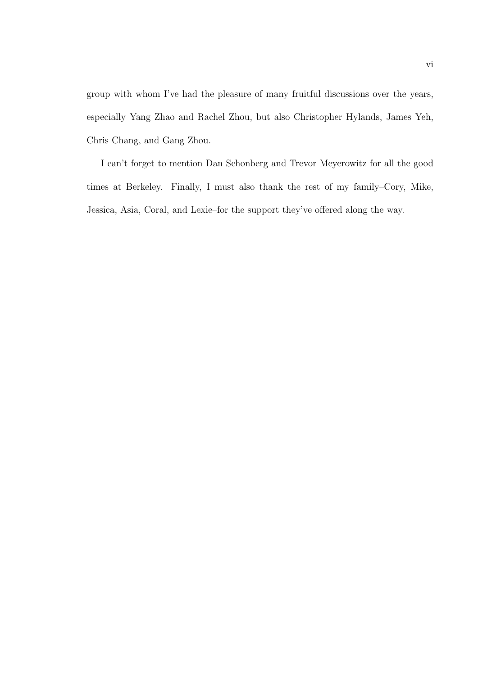group with whom I've had the pleasure of many fruitful discussions over the years, especially Yang Zhao and Rachel Zhou, but also Christopher Hylands, James Yeh, Chris Chang, and Gang Zhou.

I can't forget to mention Dan Schonberg and Trevor Meyerowitz for all the good times at Berkeley. Finally, I must also thank the rest of my family–Cory, Mike, Jessica, Asia, Coral, and Lexie–for the support they've offered along the way.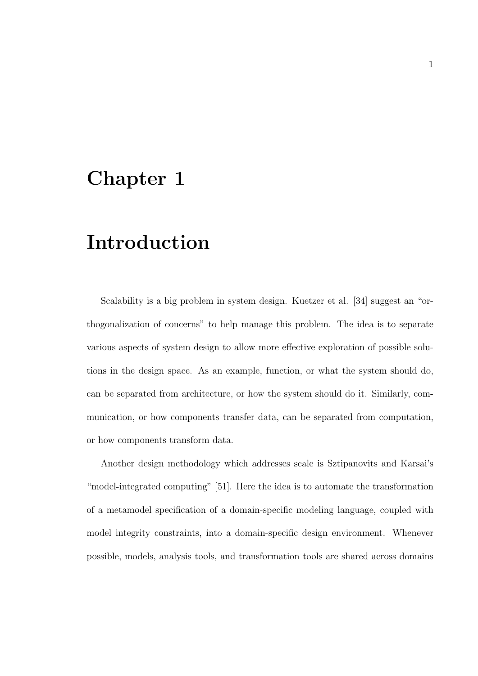### Chapter 1

### Introduction

Scalability is a big problem in system design. Kuetzer et al. [34] suggest an "orthogonalization of concerns" to help manage this problem. The idea is to separate various aspects of system design to allow more effective exploration of possible solutions in the design space. As an example, function, or what the system should do, can be separated from architecture, or how the system should do it. Similarly, communication, or how components transfer data, can be separated from computation, or how components transform data.

Another design methodology which addresses scale is Sztipanovits and Karsai's "model-integrated computing" [51]. Here the idea is to automate the transformation of a metamodel specification of a domain-specific modeling language, coupled with model integrity constraints, into a domain-specific design environment. Whenever possible, models, analysis tools, and transformation tools are shared across domains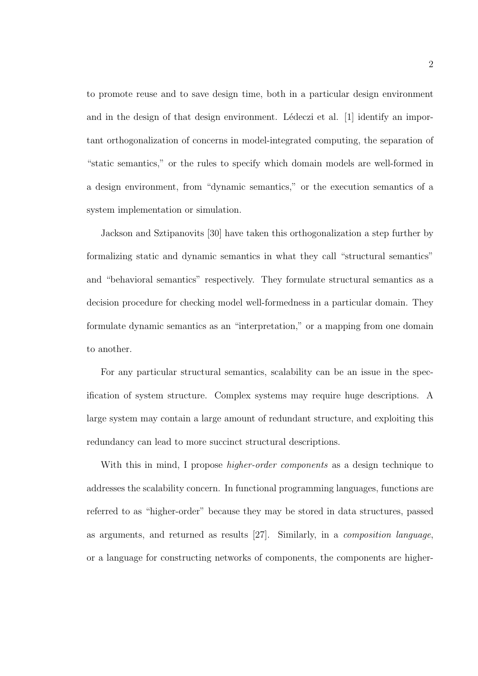to promote reuse and to save design time, both in a particular design environment and in the design of that design environment. Lédeczi et al.  $[1]$  identify an important orthogonalization of concerns in model-integrated computing, the separation of "static semantics," or the rules to specify which domain models are well-formed in a design environment, from "dynamic semantics," or the execution semantics of a system implementation or simulation.

Jackson and Sztipanovits [30] have taken this orthogonalization a step further by formalizing static and dynamic semantics in what they call "structural semantics" and "behavioral semantics" respectively. They formulate structural semantics as a decision procedure for checking model well-formedness in a particular domain. They formulate dynamic semantics as an "interpretation," or a mapping from one domain to another.

For any particular structural semantics, scalability can be an issue in the specification of system structure. Complex systems may require huge descriptions. A large system may contain a large amount of redundant structure, and exploiting this redundancy can lead to more succinct structural descriptions.

With this in mind, I propose *higher-order components* as a design technique to addresses the scalability concern. In functional programming languages, functions are referred to as "higher-order" because they may be stored in data structures, passed as arguments, and returned as results [27]. Similarly, in a composition language, or a language for constructing networks of components, the components are higher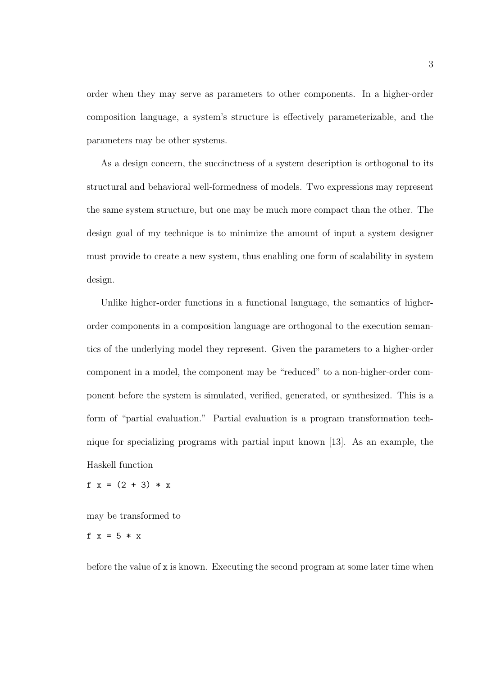order when they may serve as parameters to other components. In a higher-order composition language, a system's structure is effectively parameterizable, and the parameters may be other systems.

As a design concern, the succinctness of a system description is orthogonal to its structural and behavioral well-formedness of models. Two expressions may represent the same system structure, but one may be much more compact than the other. The design goal of my technique is to minimize the amount of input a system designer must provide to create a new system, thus enabling one form of scalability in system design.

Unlike higher-order functions in a functional language, the semantics of higherorder components in a composition language are orthogonal to the execution semantics of the underlying model they represent. Given the parameters to a higher-order component in a model, the component may be "reduced" to a non-higher-order component before the system is simulated, verified, generated, or synthesized. This is a form of "partial evaluation." Partial evaluation is a program transformation technique for specializing programs with partial input known [13]. As an example, the Haskell function

f  $x = (2 + 3) * x$ 

may be transformed to

f  $x = 5 * x$ 

before the value of x is known. Executing the second program at some later time when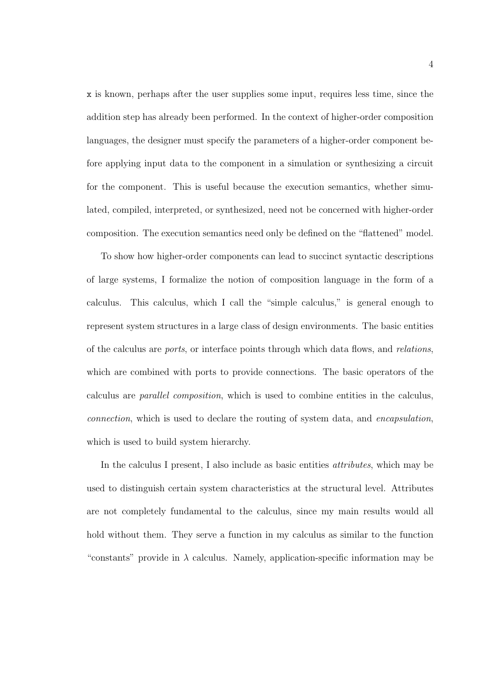x is known, perhaps after the user supplies some input, requires less time, since the addition step has already been performed. In the context of higher-order composition languages, the designer must specify the parameters of a higher-order component before applying input data to the component in a simulation or synthesizing a circuit for the component. This is useful because the execution semantics, whether simulated, compiled, interpreted, or synthesized, need not be concerned with higher-order composition. The execution semantics need only be defined on the "flattened" model.

To show how higher-order components can lead to succinct syntactic descriptions of large systems, I formalize the notion of composition language in the form of a calculus. This calculus, which I call the "simple calculus," is general enough to represent system structures in a large class of design environments. The basic entities of the calculus are ports, or interface points through which data flows, and relations, which are combined with ports to provide connections. The basic operators of the calculus are parallel composition, which is used to combine entities in the calculus, connection, which is used to declare the routing of system data, and encapsulation, which is used to build system hierarchy.

In the calculus I present, I also include as basic entities attributes, which may be used to distinguish certain system characteristics at the structural level. Attributes are not completely fundamental to the calculus, since my main results would all hold without them. They serve a function in my calculus as similar to the function "constants" provide in  $\lambda$  calculus. Namely, application-specific information may be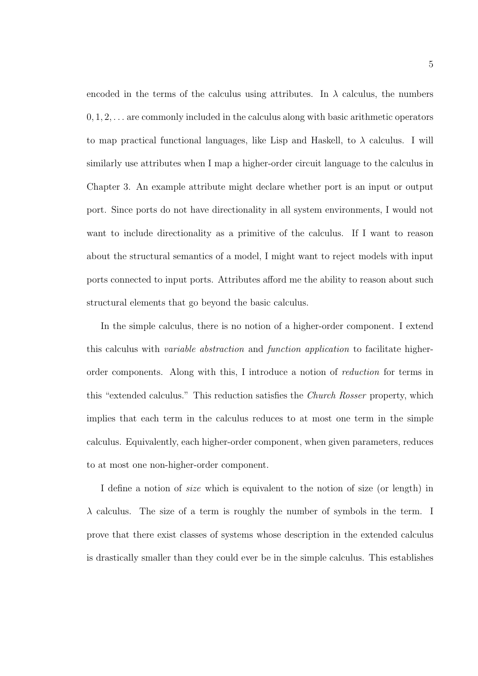encoded in the terms of the calculus using attributes. In  $\lambda$  calculus, the numbers  $0, 1, 2, \ldots$  are commonly included in the calculus along with basic arithmetic operators to map practical functional languages, like Lisp and Haskell, to  $\lambda$  calculus. I will similarly use attributes when I map a higher-order circuit language to the calculus in Chapter 3. An example attribute might declare whether port is an input or output port. Since ports do not have directionality in all system environments, I would not want to include directionality as a primitive of the calculus. If I want to reason about the structural semantics of a model, I might want to reject models with input ports connected to input ports. Attributes afford me the ability to reason about such structural elements that go beyond the basic calculus.

In the simple calculus, there is no notion of a higher-order component. I extend this calculus with variable abstraction and function application to facilitate higherorder components. Along with this, I introduce a notion of reduction for terms in this "extended calculus." This reduction satisfies the Church Rosser property, which implies that each term in the calculus reduces to at most one term in the simple calculus. Equivalently, each higher-order component, when given parameters, reduces to at most one non-higher-order component.

I define a notion of size which is equivalent to the notion of size (or length) in  $\lambda$  calculus. The size of a term is roughly the number of symbols in the term. I prove that there exist classes of systems whose description in the extended calculus is drastically smaller than they could ever be in the simple calculus. This establishes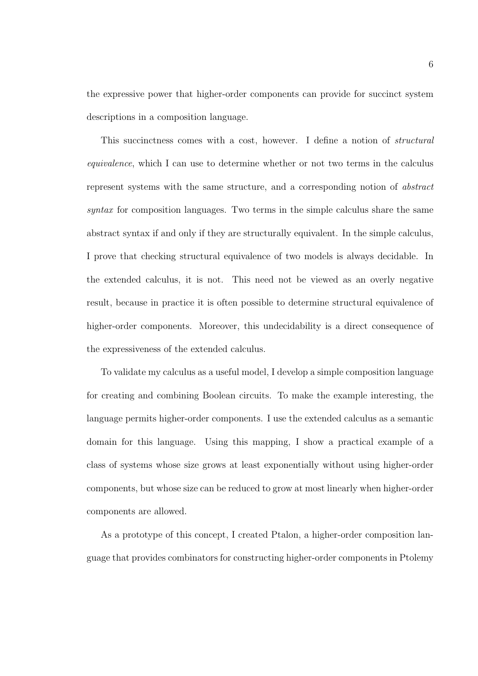the expressive power that higher-order components can provide for succinct system descriptions in a composition language.

This succinctness comes with a cost, however. I define a notion of structural equivalence, which I can use to determine whether or not two terms in the calculus represent systems with the same structure, and a corresponding notion of abstract syntax for composition languages. Two terms in the simple calculus share the same abstract syntax if and only if they are structurally equivalent. In the simple calculus, I prove that checking structural equivalence of two models is always decidable. In the extended calculus, it is not. This need not be viewed as an overly negative result, because in practice it is often possible to determine structural equivalence of higher-order components. Moreover, this undecidability is a direct consequence of the expressiveness of the extended calculus.

To validate my calculus as a useful model, I develop a simple composition language for creating and combining Boolean circuits. To make the example interesting, the language permits higher-order components. I use the extended calculus as a semantic domain for this language. Using this mapping, I show a practical example of a class of systems whose size grows at least exponentially without using higher-order components, but whose size can be reduced to grow at most linearly when higher-order components are allowed.

As a prototype of this concept, I created Ptalon, a higher-order composition language that provides combinators for constructing higher-order components in Ptolemy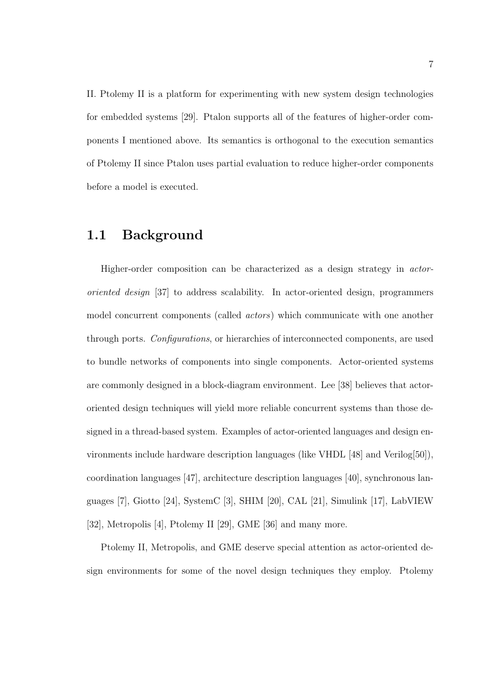II. Ptolemy II is a platform for experimenting with new system design technologies for embedded systems [29]. Ptalon supports all of the features of higher-order components I mentioned above. Its semantics is orthogonal to the execution semantics of Ptolemy II since Ptalon uses partial evaluation to reduce higher-order components before a model is executed.

### 1.1 Background

Higher-order composition can be characterized as a design strategy in actororiented design [37] to address scalability. In actor-oriented design, programmers model concurrent components (called actors) which communicate with one another through ports. Configurations, or hierarchies of interconnected components, are used to bundle networks of components into single components. Actor-oriented systems are commonly designed in a block-diagram environment. Lee [38] believes that actororiented design techniques will yield more reliable concurrent systems than those designed in a thread-based system. Examples of actor-oriented languages and design environments include hardware description languages (like VHDL [48] and Verilog[50]), coordination languages [47], architecture description languages [40], synchronous languages [7], Giotto [24], SystemC [3], SHIM [20], CAL [21], Simulink [17], LabVIEW [32], Metropolis [4], Ptolemy II [29], GME [36] and many more.

Ptolemy II, Metropolis, and GME deserve special attention as actor-oriented design environments for some of the novel design techniques they employ. Ptolemy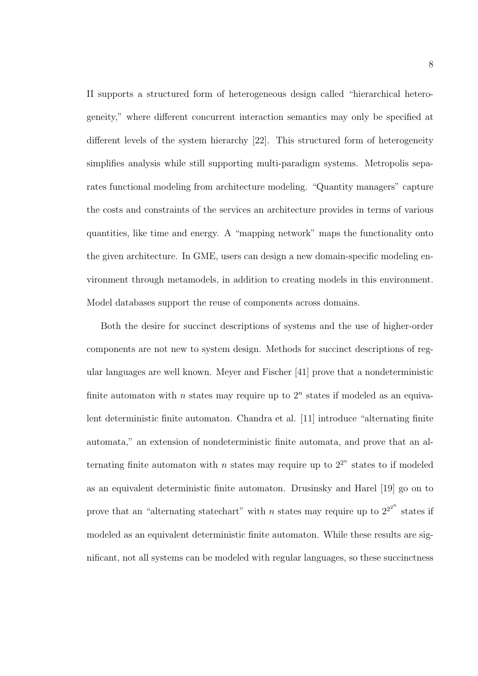II supports a structured form of heterogeneous design called "hierarchical heterogeneity," where different concurrent interaction semantics may only be specified at different levels of the system hierarchy [22]. This structured form of heterogeneity simplifies analysis while still supporting multi-paradigm systems. Metropolis separates functional modeling from architecture modeling. "Quantity managers" capture the costs and constraints of the services an architecture provides in terms of various quantities, like time and energy. A "mapping network" maps the functionality onto the given architecture. In GME, users can design a new domain-specific modeling environment through metamodels, in addition to creating models in this environment. Model databases support the reuse of components across domains.

Both the desire for succinct descriptions of systems and the use of higher-order components are not new to system design. Methods for succinct descriptions of regular languages are well known. Meyer and Fischer [41] prove that a nondeterministic finite automaton with  $n$  states may require up to  $2<sup>n</sup>$  states if modeled as an equivalent deterministic finite automaton. Chandra et al. [11] introduce "alternating finite automata," an extension of nondeterministic finite automata, and prove that an alternating finite automaton with *n* states may require up to  $2^{2^n}$  states to if modeled as an equivalent deterministic finite automaton. Drusinsky and Harel [19] go on to prove that an "alternating state chart" with n states may require up to  $2^{2^{2^n}}$  states if modeled as an equivalent deterministic finite automaton. While these results are significant, not all systems can be modeled with regular languages, so these succinctness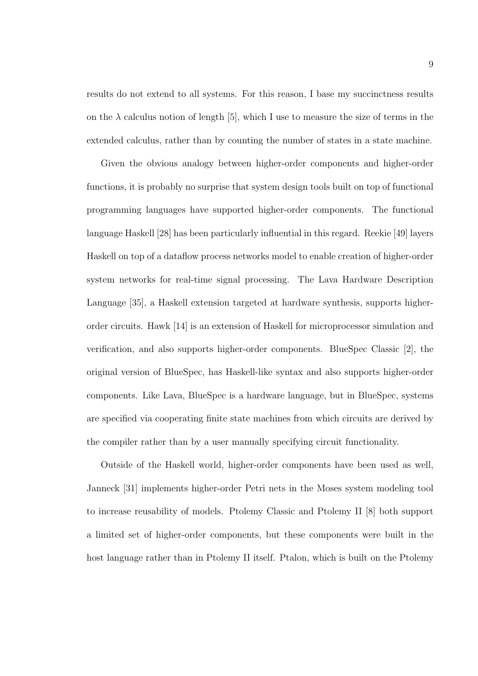results do not extend to all systems. For this reason, I base my succinctness results on the  $\lambda$  calculus notion of length [5], which I use to measure the size of terms in the extended calculus, rather than by counting the number of states in a state machine.

Given the obvious analogy between higher-order components and higher-order functions, it is probably no surprise that system design tools built on top of functional programming languages have supported higher-order components. The functional language Haskell [28] has been particularly influential in this regard. Reekie [49] layers Haskell on top of a dataflow process networks model to enable creation of higher-order system networks for real-time signal processing. The Lava Hardware Description Language [35], a Haskell extension targeted at hardware synthesis, supports higherorder circuits. Hawk [14] is an extension of Haskell for microprocessor simulation and verification, and also supports higher-order components. BlueSpec Classic [2], the original version of BlueSpec, has Haskell-like syntax and also supports higher-order components. Like Lava, BlueSpec is a hardware language, but in BlueSpec, systems are specified via cooperating finite state machines from which circuits are derived by the compiler rather than by a user manually specifying circuit functionality.

Outside of the Haskell world, higher-order components have been used as well, Janneck [31] implements higher-order Petri nets in the Moses system modeling tool to increase reusability of models. Ptolemy Classic and Ptolemy II [8] both support a limited set of higher-order components, but these components were built in the host language rather than in Ptolemy II itself. Ptalon, which is built on the Ptolemy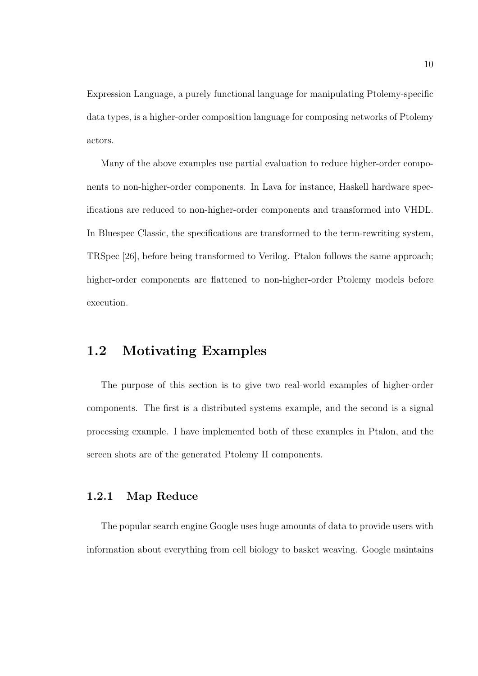Expression Language, a purely functional language for manipulating Ptolemy-specific data types, is a higher-order composition language for composing networks of Ptolemy actors.

Many of the above examples use partial evaluation to reduce higher-order components to non-higher-order components. In Lava for instance, Haskell hardware specifications are reduced to non-higher-order components and transformed into VHDL. In Bluespec Classic, the specifications are transformed to the term-rewriting system, TRSpec [26], before being transformed to Verilog. Ptalon follows the same approach; higher-order components are flattened to non-higher-order Ptolemy models before execution.

### 1.2 Motivating Examples

The purpose of this section is to give two real-world examples of higher-order components. The first is a distributed systems example, and the second is a signal processing example. I have implemented both of these examples in Ptalon, and the screen shots are of the generated Ptolemy II components.

### 1.2.1 Map Reduce

The popular search engine Google uses huge amounts of data to provide users with information about everything from cell biology to basket weaving. Google maintains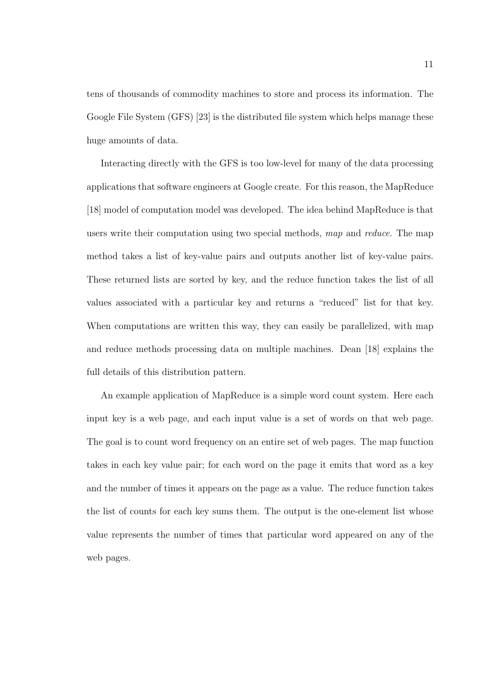tens of thousands of commodity machines to store and process its information. The Google File System (GFS) [23] is the distributed file system which helps manage these huge amounts of data.

Interacting directly with the GFS is too low-level for many of the data processing applications that software engineers at Google create. For this reason, the MapReduce [18] model of computation model was developed. The idea behind MapReduce is that users write their computation using two special methods, map and reduce. The map method takes a list of key-value pairs and outputs another list of key-value pairs. These returned lists are sorted by key, and the reduce function takes the list of all values associated with a particular key and returns a "reduced" list for that key. When computations are written this way, they can easily be parallelized, with map and reduce methods processing data on multiple machines. Dean [18] explains the full details of this distribution pattern.

An example application of MapReduce is a simple word count system. Here each input key is a web page, and each input value is a set of words on that web page. The goal is to count word frequency on an entire set of web pages. The map function takes in each key value pair; for each word on the page it emits that word as a key and the number of times it appears on the page as a value. The reduce function takes the list of counts for each key sums them. The output is the one-element list whose value represents the number of times that particular word appeared on any of the web pages.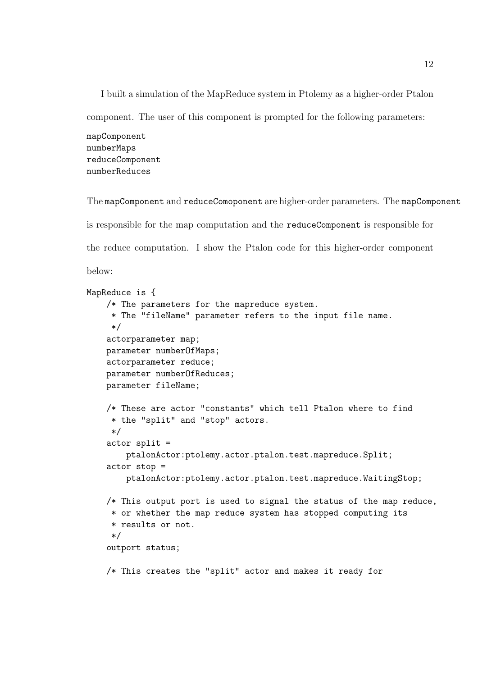I built a simulation of the MapReduce system in Ptolemy as a higher-order Ptalon component. The user of this component is prompted for the following parameters:

mapComponent numberMaps reduceComponent numberReduces

The mapComponent and reduceComoponent are higher-order parameters. The mapComponent is responsible for the map computation and the reduceComponent is responsible for the reduce computation. I show the Ptalon code for this higher-order component below:

```
MapReduce is {
    /* The parameters for the mapreduce system.
     * The "fileName" parameter refers to the input file name.
     */
    actorparameter map;
   parameter numberOfMaps;
    actorparameter reduce;
   parameter numberOfReduces;
   parameter fileName;
    /* These are actor "constants" which tell Ptalon where to find
     * the "split" and "stop" actors.
     */
    actor split =
        ptalonActor:ptolemy.actor.ptalon.test.mapreduce.Split;
    actor stop =
        ptalonActor:ptolemy.actor.ptalon.test.mapreduce.WaitingStop;
    /* This output port is used to signal the status of the map reduce,
     * or whether the map reduce system has stopped computing its
     * results or not.
     */
    outport status;
    /* This creates the "split" actor and makes it ready for
```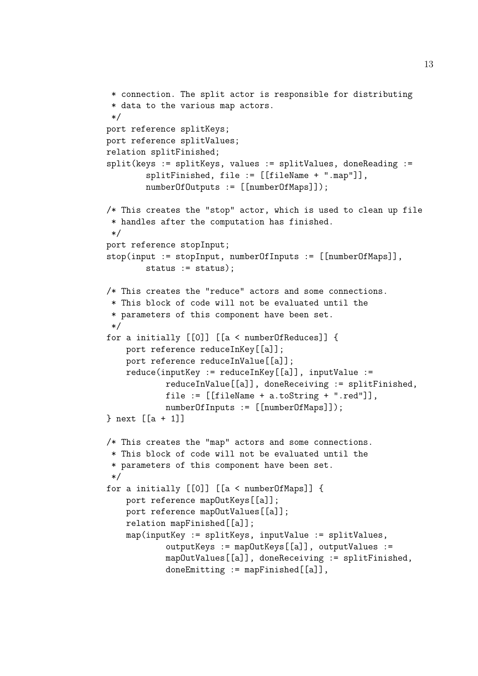```
* connection. The split actor is responsible for distributing
 * data to the various map actors.
 */
port reference splitKeys;
port reference splitValues;
relation splitFinished;
split(keys := splitKeys, values := splitValues, doneReading :=
        splitFinished, file := [[fileName + ".map"]],
        numberOfOutputs := [[numberOfMaps]]);
/* This creates the "stop" actor, which is used to clean up file
 * handles after the computation has finished.
 */
port reference stopInput;
stop(input := stopInput, numberOfInputs := [[numberOfMaps]],
        status := status);
/* This creates the "reduce" actors and some connections.
 * This block of code will not be evaluated until the
 * parameters of this component have been set.
 */
for a initially [[0]] [[a < numberOfReduces]] {
    port reference reduceInKey[[a]];
    port reference reduceInValue[[a]];
    reduce(inputKey := reduceInKey[[a]], inputValue :=
            reduceInValue[[a]], doneReceiving := splitFinished,
            file := [[fileName + a.toString + ".red"]],
            numberOfInputs := [[numberOfMaps]]);
} next [[a + 1]]
/* This creates the "map" actors and some connections.
 * This block of code will not be evaluated until the
 * parameters of this component have been set.
 */
for a initially [[0]] [[a < numberOfMaps]] {
    port reference mapOutKeys[[a]];
    port reference mapOutValues[[a]];
    relation mapFinished[[a]];
    map(inputKey := splitKeys, inputValue := splitValues,
            outputKeys := mapOutKeys[[a]], outputValues :=
            mapOutValues[[a]], doneReceiving := splitFinished,
            doneEmitting := mapFinished[[a]],
```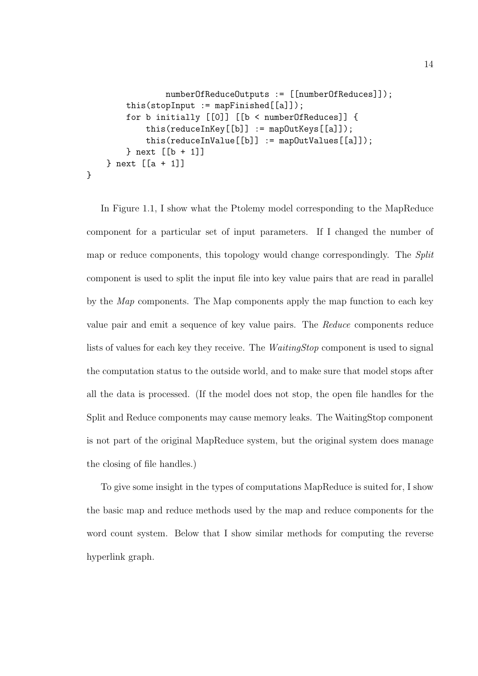```
numberOfReduceOutputs := [[numberOfReduces]]);
        this(stopInput := mapFinished[[a]]);
        for b initially [[0]] [[b < numberOfReduces]] {
            this(reduceInKey[[b]] := mapOutKeys[[a]]);
            this(reduceInValue[[b]] := mapOutValues[[a]]);
        } next [[b + 1]]
    } next [[a + 1]]
}
```
In Figure 1.1, I show what the Ptolemy model corresponding to the MapReduce component for a particular set of input parameters. If I changed the number of map or reduce components, this topology would change correspondingly. The Split component is used to split the input file into key value pairs that are read in parallel by the Map components. The Map components apply the map function to each key value pair and emit a sequence of key value pairs. The Reduce components reduce lists of values for each key they receive. The WaitingStop component is used to signal the computation status to the outside world, and to make sure that model stops after all the data is processed. (If the model does not stop, the open file handles for the Split and Reduce components may cause memory leaks. The WaitingStop component is not part of the original MapReduce system, but the original system does manage the closing of file handles.)

To give some insight in the types of computations MapReduce is suited for, I show the basic map and reduce methods used by the map and reduce components for the word count system. Below that I show similar methods for computing the reverse hyperlink graph.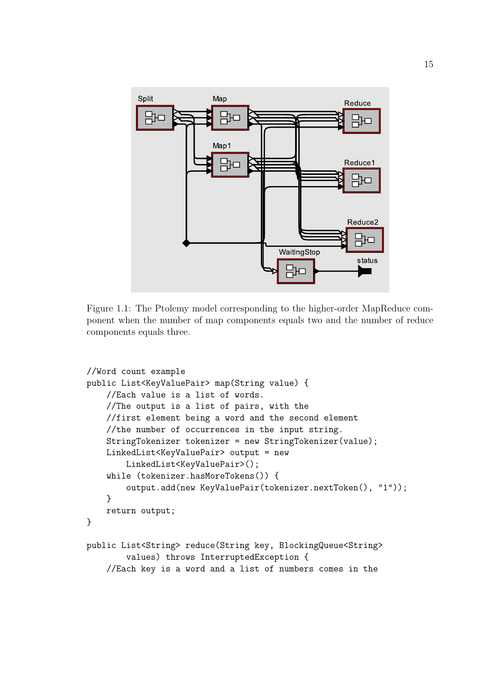

Figure 1.1: The Ptolemy model corresponding to the higher-order MapReduce component when the number of map components equals two and the number of reduce components equals three.

```
//Word count example
public List<KeyValuePair> map(String value) {
   //Each value is a list of words.
   //The output is a list of pairs, with the
   //first element being a word and the second element
    //the number of occurrences in the input string.
   StringTokenizer tokenizer = new StringTokenizer(value);
   LinkedList<KeyValuePair> output = new
        LinkedList<KeyValuePair>();
   while (tokenizer.hasMoreTokens()) {
        output.add(new KeyValuePair(tokenizer.nextToken(), "1"));
    }
    return output;
}
public List<String> reduce(String key, BlockingQueue<String>
        values) throws InterruptedException {
    //Each key is a word and a list of numbers comes in the
```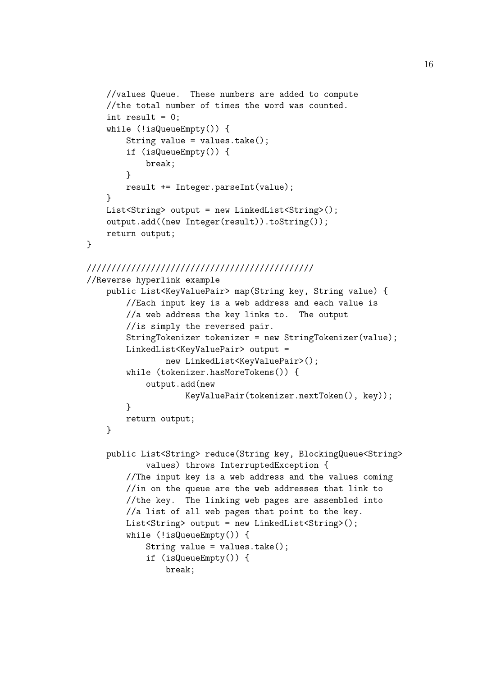```
//values Queue. These numbers are added to compute
    //the total number of times the word was counted.
    int result = 0;
    while (!isQueueEmpty()) {
        String value = values.take();
        if (isQueueEmpty()) {
            break;
        }
        result += Integer.parseInt(value);
    }
   List<String> output = new LinkedList<String>();
    output.add((new Integer(result)).toString());
   return output;
}
//////////////////////////////////////////////
//Reverse hyperlink example
   public List<KeyValuePair> map(String key, String value) {
        //Each input key is a web address and each value is
        //a web address the key links to. The output
        //is simply the reversed pair.
        StringTokenizer tokenizer = new StringTokenizer(value);
        LinkedList<KeyValuePair> output =
                new LinkedList<KeyValuePair>();
        while (tokenizer.hasMoreTokens()) {
            output.add(new
                    KeyValuePair(tokenizer.nextToken(), key));
        }
        return output;
    }
   public List<String> reduce(String key, BlockingQueue<String>
            values) throws InterruptedException {
        //The input key is a web address and the values coming
        //in on the queue are the web addresses that link to
        //the key. The linking web pages are assembled into
        //a list of all web pages that point to the key.
        List<String> output = new LinkedList<String>();
        while (!isQueueEmpty()) {
            String value = values.take();
            if (isQueueEmpty()) {
                break;
```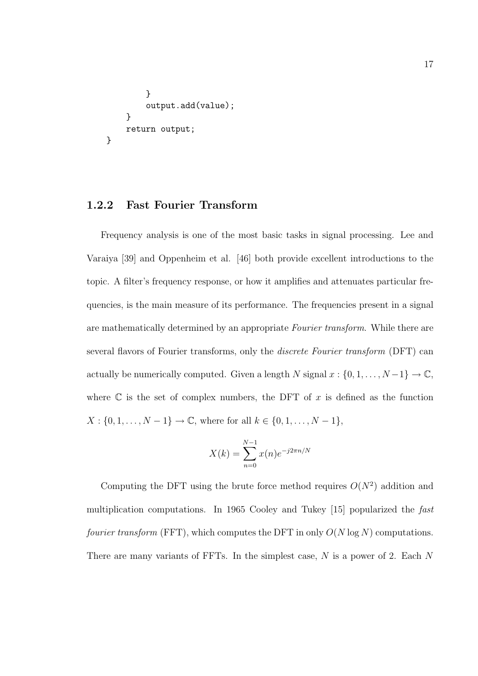```
}
        output.add(value);
    }
    return output;
}
```
### 1.2.2 Fast Fourier Transform

Frequency analysis is one of the most basic tasks in signal processing. Lee and Varaiya [39] and Oppenheim et al. [46] both provide excellent introductions to the topic. A filter's frequency response, or how it amplifies and attenuates particular frequencies, is the main measure of its performance. The frequencies present in a signal are mathematically determined by an appropriate Fourier transform. While there are several flavors of Fourier transforms, only the discrete Fourier transform (DFT) can actually be numerically computed. Given a length N signal  $x : \{0, 1, \ldots, N-1\} \to \mathbb{C}$ , where  $\mathbb C$  is the set of complex numbers, the DFT of x is defined as the function  $X: \{0, 1, \ldots, N - 1\} \to \mathbb{C}$ , where for all  $k \in \{0, 1, \ldots, N - 1\}$ ,

$$
X(k) = \sum_{n=0}^{N-1} x(n)e^{-j2\pi n/N}
$$

Computing the DFT using the brute force method requires  $O(N^2)$  addition and multiplication computations. In 1965 Cooley and Tukey [15] popularized the fast *fourier transform* (FFT), which computes the DFT in only  $O(N \log N)$  computations. There are many variants of FFTs. In the simplest case, N is a power of 2. Each N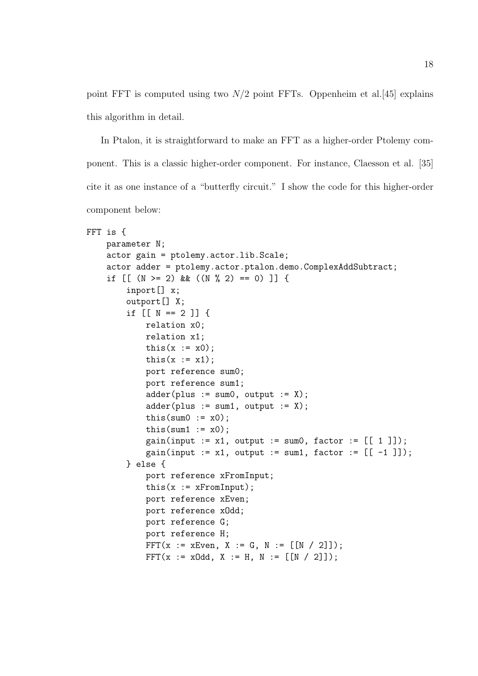point FFT is computed using two  $N/2$  point FFTs. Oppenheim et al. [45] explains this algorithm in detail.

In Ptalon, it is straightforward to make an FFT as a higher-order Ptolemy component. This is a classic higher-order component. For instance, Claesson et al. [35] cite it as one instance of a "butterfly circuit." I show the code for this higher-order component below:

```
FFT is {
    parameter N;
    actor gain = ptolemy.actor.lib.Scale;
    actor adder = ptolemy.actor.ptalon.demo.ComplexAddSubtract;
    if [ (N > = 2) & ((N % 2) = 0) ]] {
        inport[] x;
        outport[] X;
        if [ [ N == 2 ] ] {
            relation x0;
            relation x1;
            this(x := x0);
            this(x := x1);
            port reference sum0;
            port reference sum1;
            adder(plus := sum0, output := X);adder(plus := sum1, output := X);this(sum0 := x0);
            this(sum1 := x0);
            gain(input := x1, output := sum0, factor := [[ 1 ] ]);
            gain(input := x1, output := sum1, factor := [[ -1 ]]);
        } else {
            port reference xFromInput;
            this(x := xFromInput);
            port reference xEven;
            port reference xOdd;
            port reference G;
            port reference H;
            FFT(x := xEven, X := G, N := [[N / 2]]);
            FFT(x := x0d, X := H, N := [[N / 2]]);
```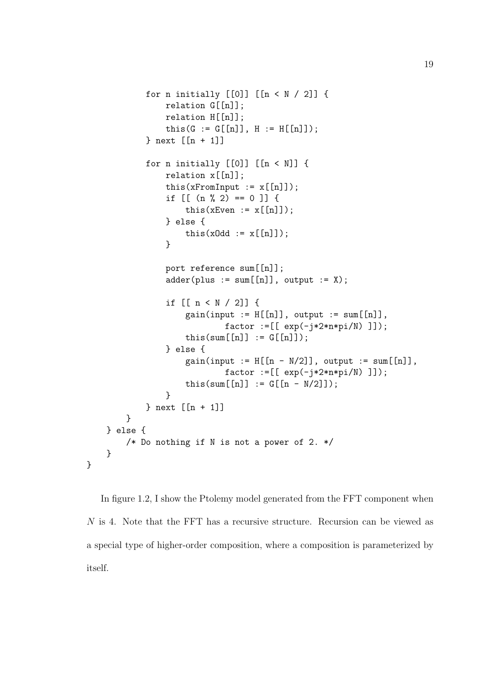```
for n initially [0]] [ [n < N / 2] ] {
            relation G[[n]];
            relation H[[n]];
            this(G := G[[n]], H := H[[n]]);} next [[n + 1]]
        for n initially [0]] [ [n < N ]] {
            relation x[[n]];
            this(xFromInput := x[[n]]);
            if [ (n \ % 2) == 0 ] ] \{this(xEven := x[[n]]);
            } else {
                this(x0dd := x[[n]]);
            }
            port reference sum[[n]];
            adder(plus := sum[[n]], output := X);if [[ n < N / 2]] {
                 gain(input := H[[n]], output := sum[[n]],factor := [[ exp(-j*2*n*pi/N) ]];this(sum[[n]] := G[[n]];
            } else {
                 gain(input := H[[n - N/2]], output := sum[[n]],factor := [[ \exp(-j \times 2 \times n \times pi)]);
                 this(sum[[n]] := G[[n - N/2]];
            }
        } next [[n + 1]]
    }
} else {
    /* Do nothing if N is not a power of 2. */
}
```
In figure 1.2, I show the Ptolemy model generated from the FFT component when N is 4. Note that the FFT has a recursive structure. Recursion can be viewed as a special type of higher-order composition, where a composition is parameterized by itself.

}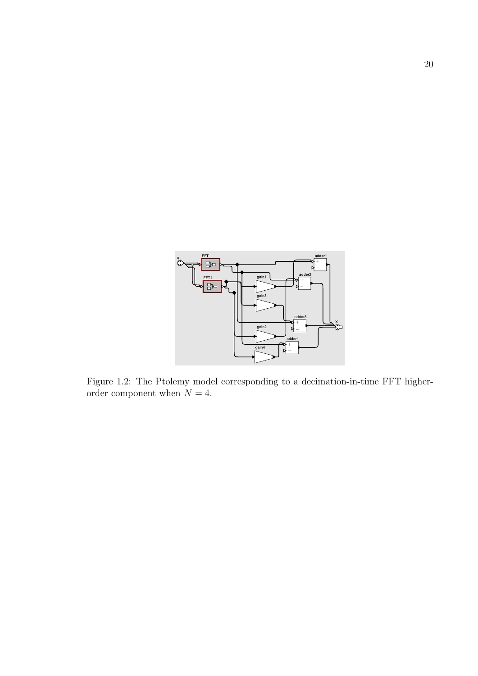

Figure 1.2: The Ptolemy model corresponding to a decimation-in-time FFT higherorder component when  $N = 4$ .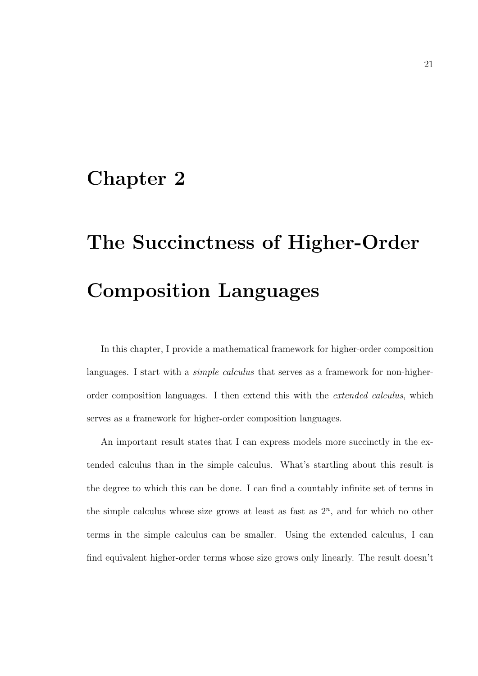### Chapter 2

# The Succinctness of Higher-Order Composition Languages

In this chapter, I provide a mathematical framework for higher-order composition languages. I start with a *simple calculus* that serves as a framework for non-higherorder composition languages. I then extend this with the extended calculus, which serves as a framework for higher-order composition languages.

An important result states that I can express models more succinctly in the extended calculus than in the simple calculus. What's startling about this result is the degree to which this can be done. I can find a countably infinite set of terms in the simple calculus whose size grows at least as fast as  $2<sup>n</sup>$ , and for which no other terms in the simple calculus can be smaller. Using the extended calculus, I can find equivalent higher-order terms whose size grows only linearly. The result doesn't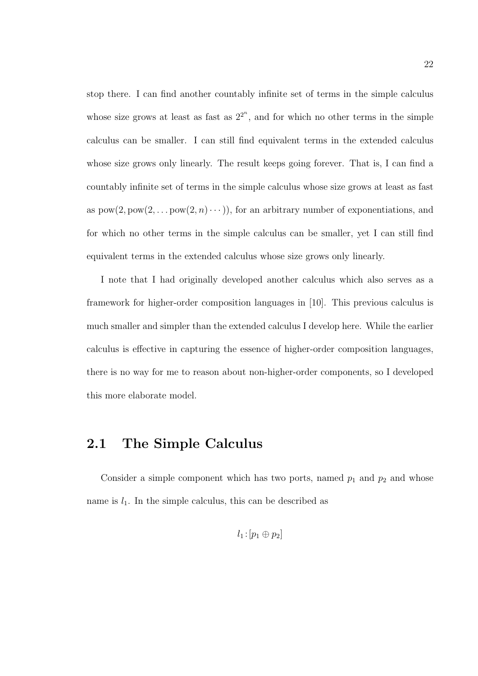stop there. I can find another countably infinite set of terms in the simple calculus whose size grows at least as fast as  $2^{2^n}$ , and for which no other terms in the simple calculus can be smaller. I can still find equivalent terms in the extended calculus whose size grows only linearly. The result keeps going forever. That is, I can find a countably infinite set of terms in the simple calculus whose size grows at least as fast as  $pow(2, pow(2, … pow(2, n)…)),$  for an arbitrary number of exponentiations, and for which no other terms in the simple calculus can be smaller, yet I can still find equivalent terms in the extended calculus whose size grows only linearly.

I note that I had originally developed another calculus which also serves as a framework for higher-order composition languages in [10]. This previous calculus is much smaller and simpler than the extended calculus I develop here. While the earlier calculus is effective in capturing the essence of higher-order composition languages, there is no way for me to reason about non-higher-order components, so I developed this more elaborate model.

### 2.1 The Simple Calculus

Consider a simple component which has two ports, named  $p_1$  and  $p_2$  and whose name is  $l_1$ . In the simple calculus, this can be described as

$$
l_1\!:\![p_1\oplus p_2]
$$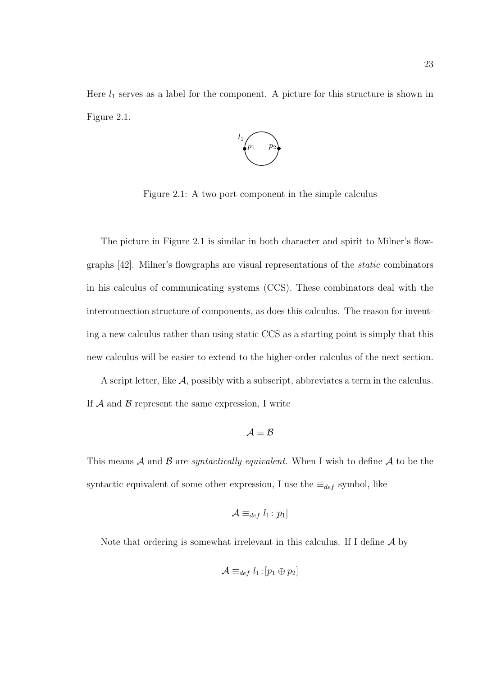Here  $l_1$  serves as a label for the component. A picture for this structure is shown in Figure 2.1.



Figure 2.1: A two port component in the simple calculus

The picture in Figure 2.1 is similar in both character and spirit to Milner's flowgraphs [42]. Milner's flowgraphs are visual representations of the static combinators in his calculus of communicating systems (CCS). These combinators deal with the interconnection structure of components, as does this calculus. The reason for inventing a new calculus rather than using static CCS as a starting point is simply that this new calculus will be easier to extend to the higher-order calculus of the next section.

A script letter, like  $\mathcal{A}$ , possibly with a subscript, abbreviates a term in the calculus. If  $A$  and  $B$  represent the same expression, I write

$$
\mathcal{A}\equiv\mathcal{B}
$$

This means A and B are *syntactically equivalent*. When I wish to define A to be the syntactic equivalent of some other expression, I use the  $\equiv_{def}$  symbol, like

$$
\mathcal{A} \equiv_{def} l_1 \! : \! [p_1]
$$

Note that ordering is somewhat irrelevant in this calculus. If I define  $A$  by

$$
\mathcal{A} \equiv_{def} l_1 \colon [p_1 \oplus p_2]
$$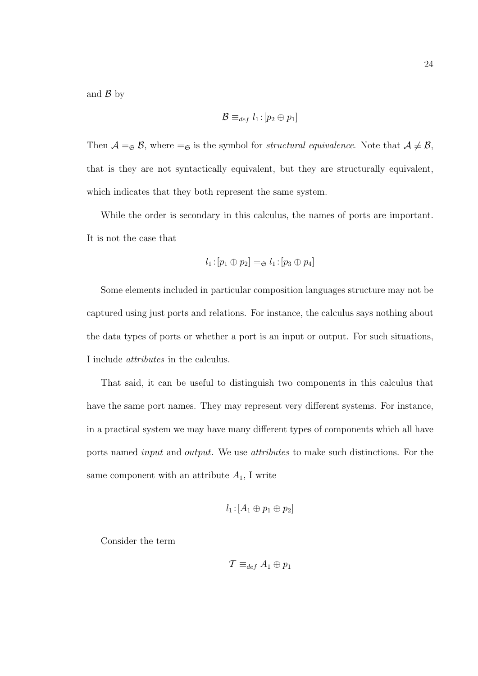and  $\mathcal{B}$  by

$$
\mathcal{B} \equiv_{def} l_1 : [p_2 \oplus p_1]
$$

Then  $A =_{\mathfrak{S}} B$ , where  $=_{\mathfrak{S}}$  is the symbol for *structural equivalence*. Note that  $A \not\equiv B$ , that is they are not syntactically equivalent, but they are structurally equivalent, which indicates that they both represent the same system.

While the order is secondary in this calculus, the names of ports are important. It is not the case that

$$
l_1:[p_1\oplus p_2]=_{\mathfrak{S}}l_1:[p_3\oplus p_4]
$$

Some elements included in particular composition languages structure may not be captured using just ports and relations. For instance, the calculus says nothing about the data types of ports or whether a port is an input or output. For such situations, I include attributes in the calculus.

That said, it can be useful to distinguish two components in this calculus that have the same port names. They may represent very different systems. For instance, in a practical system we may have many different types of components which all have ports named input and output. We use attributes to make such distinctions. For the same component with an attribute  $A_1$ , I write

$$
l_1:[A_1\oplus p_1\oplus p_2]
$$

Consider the term

$$
\mathcal{T} \equiv_{def} A_1 \oplus p_1
$$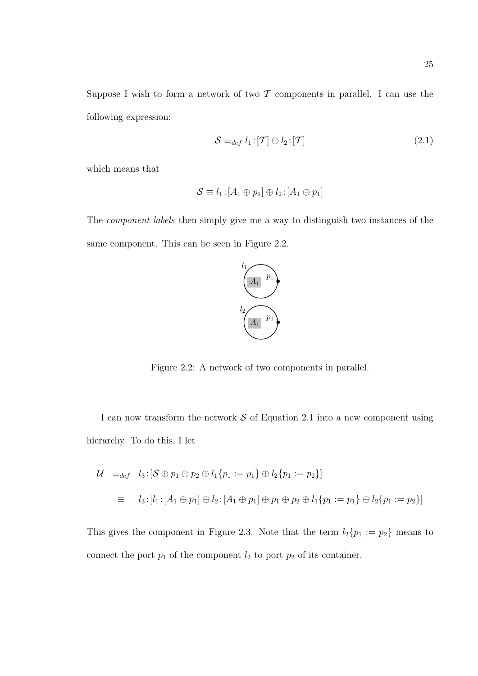Suppose I wish to form a network of two  $\mathcal T$  components in parallel. I can use the following expression:

$$
S \equiv_{def} l_1 : [T] \oplus l_2 : [T]
$$
\n
$$
(2.1)
$$

which means that

$$
\mathcal{S} \equiv l_1 : [A_1 \oplus p_1] \oplus l_2 : [A_1 \oplus p_1]
$$

The component labels then simply give me a way to distinguish two instances of the same component. This can be seen in Figure 2.2.



Figure 2.2: A network of two components in parallel.

I can now transform the network  $S$  of Equation 2.1 into a new component using hierarchy. To do this, I let

$$
\begin{aligned}\n\mathcal{U} &=_{def} l_3: [\mathcal{S} \oplus p_1 \oplus p_2 \oplus l_1 \{p_1 := p_1\} \oplus l_2 \{p_1 := p_2\}] \\
&= l_3: [l_1: [A_1 \oplus p_1] \oplus l_2: [A_1 \oplus p_1] \oplus p_1 \oplus p_2 \oplus l_1 \{p_1 := p_1\} \oplus l_2 \{p_1 := p_2\}]\n\end{aligned}
$$

This gives the component in Figure 2.3. Note that the term  $l_2\{p_1 := p_2\}$  means to connect the port  $p_1$  of the component  $l_2$  to port  $p_2$  of its container.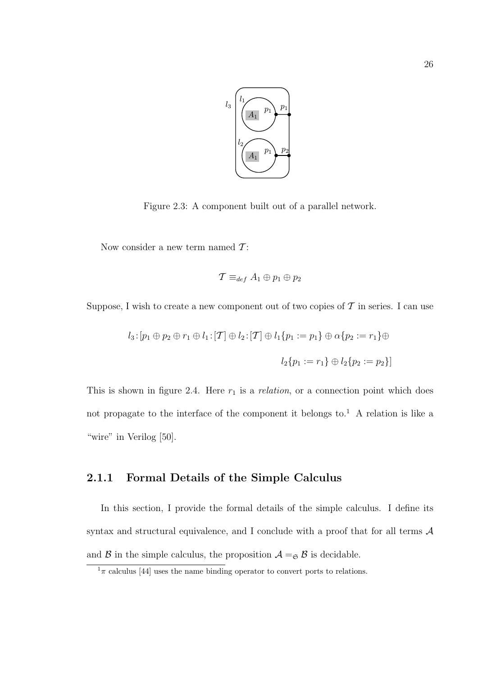

Figure 2.3: A component built out of a parallel network.

Now consider a new term named  $\mathcal{T}$ :

$$
\mathcal{T} \equiv_{def} A_1 \oplus p_1 \oplus p_2
$$

Suppose, I wish to create a new component out of two copies of  $\mathcal T$  in series. I can use

$$
l_3: [p_1 \oplus p_2 \oplus r_1 \oplus l_1: [T] \oplus l_2: [T] \oplus l_1 \{p_1 := p_1\} \oplus \alpha \{p_2 := r_1\} \oplus
$$

$$
l_2 \{p_1 := r_1\} \oplus l_2 \{p_2 := p_2\}]
$$

This is shown in figure 2.4. Here  $r_1$  is a *relation*, or a connection point which does not propagate to the interface of the component it belongs to.<sup>1</sup> A relation is like a "wire" in Verilog [50].

#### 2.1.1 Formal Details of the Simple Calculus

In this section, I provide the formal details of the simple calculus. I define its syntax and structural equivalence, and I conclude with a proof that for all terms  $A$ and  $\beta$  in the simple calculus, the proposition  $\mathcal{A} =_{\mathfrak{S}} \beta$  is decidable.

 $1\pi$  calculus [44] uses the name binding operator to convert ports to relations.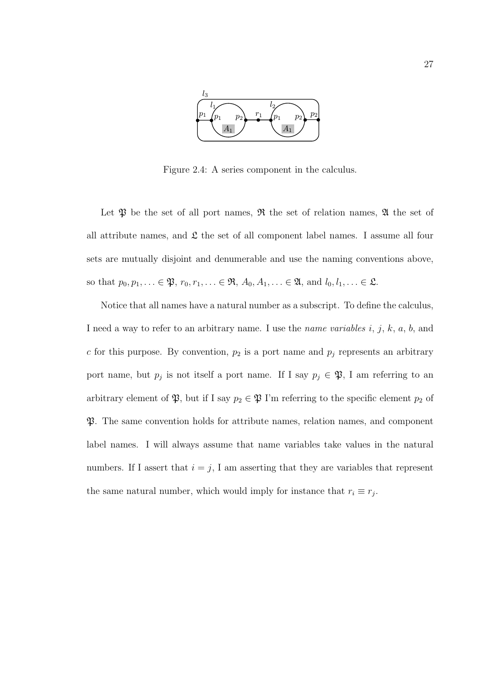

Figure 2.4: A series component in the calculus.

Let  $\mathfrak P$  be the set of all port names,  $\mathfrak R$  the set of relation names,  $\mathfrak A$  the set of all attribute names, and  $\mathfrak L$  the set of all component label names. I assume all four sets are mutually disjoint and denumerable and use the naming conventions above, so that  $p_0, p_1, \ldots \in \mathfrak{P}, r_0, r_1, \ldots \in \mathfrak{R}, A_0, A_1, \ldots \in \mathfrak{A}, \text{ and } l_0, l_1, \ldots \in \mathfrak{L}.$ 

Notice that all names have a natural number as a subscript. To define the calculus, I need a way to refer to an arbitrary name. I use the *name variables i, j, k, a, b,* and  $c$  for this purpose. By convention,  $p_2$  is a port name and  $p_j$  represents an arbitrary port name, but  $p_j$  is not itself a port name. If I say  $p_j \in \mathfrak{P}$ , I am referring to an arbitrary element of  $\mathfrak{P}$ , but if I say  $p_2 \in \mathfrak{P}$  I'm referring to the specific element  $p_2$  of P. The same convention holds for attribute names, relation names, and component label names. I will always assume that name variables take values in the natural numbers. If I assert that  $i = j$ , I am asserting that they are variables that represent the same natural number, which would imply for instance that  $r_i \equiv r_j$ .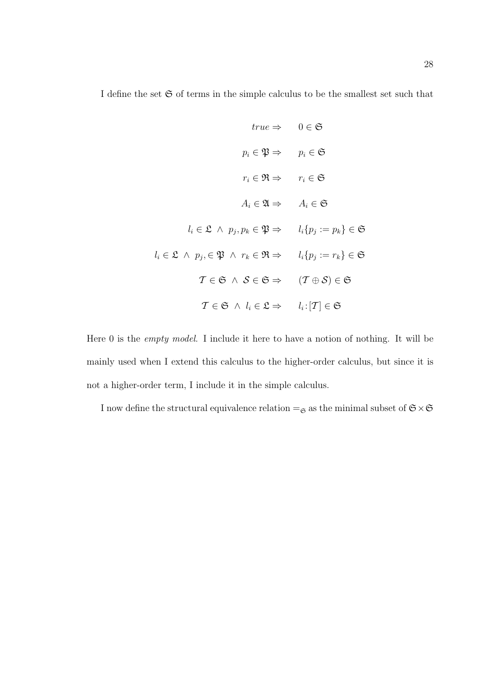I define the set  $\mathfrak S$  of terms in the simple calculus to be the smallest set such that

$$
true \Rightarrow \quad 0 \in \mathfrak{S}
$$
\n
$$
p_i \in \mathfrak{P} \Rightarrow \quad p_i \in \mathfrak{S}
$$
\n
$$
r_i \in \mathfrak{R} \Rightarrow \quad r_i \in \mathfrak{S}
$$
\n
$$
A_i \in \mathfrak{A} \Rightarrow \quad A_i \in \mathfrak{S}
$$
\n
$$
l_i \in \mathfrak{L} \land p_j, p_k \in \mathfrak{P} \Rightarrow \quad l_i \{ p_j := p_k \} \in \mathfrak{S}
$$
\n
$$
l_i \in \mathfrak{L} \land p_j, \in \mathfrak{P} \land r_k \in \mathfrak{R} \Rightarrow \quad l_i \{ p_j := r_k \} \in \mathfrak{S}
$$
\n
$$
\mathcal{T} \in \mathfrak{S} \land \mathcal{S} \in \mathfrak{S} \Rightarrow \quad (\mathcal{T} \oplus \mathcal{S}) \in \mathfrak{S}
$$
\n
$$
\mathcal{T} \in \mathfrak{S} \land l_i \in \mathfrak{L} \Rightarrow \quad l_i : [\mathcal{T}] \in \mathfrak{S}
$$

Here 0 is the empty model. I include it here to have a notion of nothing. It will be mainly used when I extend this calculus to the higher-order calculus, but since it is not a higher-order term, I include it in the simple calculus.

I now define the structural equivalence relation  $=_\mathfrak{S}$  as the minimal subset of  $\mathfrak{S}\times \mathfrak{S}$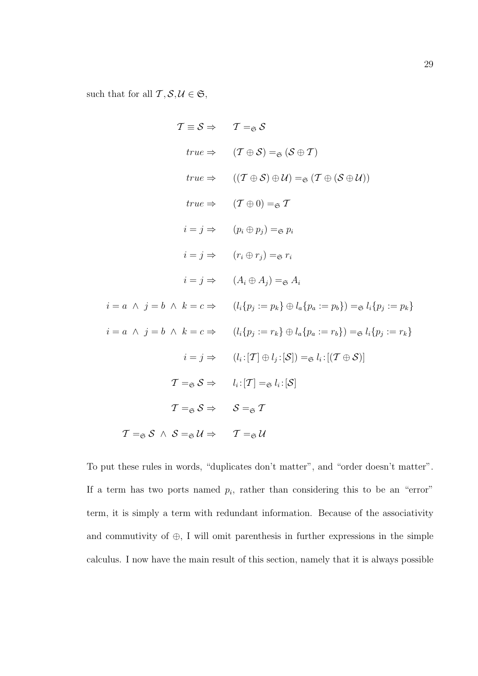such that for all  $\mathcal{T}, \mathcal{S}, \mathcal{U} \in \mathfrak{S},$ 

$$
T \equiv S \Rightarrow T =_{\mathfrak{S}} S
$$
  
\n
$$
true \Rightarrow (T \oplus S) =_{\mathfrak{S}} (S \oplus T)
$$
  
\n
$$
true \Rightarrow ((T \oplus S) \oplus \mathcal{U}) =_{\mathfrak{S}} (T \oplus (S \oplus \mathcal{U}))
$$
  
\n
$$
true \Rightarrow (T \oplus 0) =_{\mathfrak{S}} T
$$
  
\n
$$
i = j \Rightarrow (p_i \oplus p_j) =_{\mathfrak{S}} p_i
$$
  
\n
$$
i = j \Rightarrow (r_i \oplus r_j) =_{\mathfrak{S}} r_i
$$
  
\n
$$
i = j \Rightarrow (A_i \oplus A_j) =_{\mathfrak{S}} A_i
$$
  
\n
$$
i = a \land j = b \land k = c \Rightarrow (l_i \{p_j := p_k\} \oplus l_a \{p_a := p_b\}) =_{\mathfrak{S}} l_i \{p_j := p_k\}
$$
  
\n
$$
i = a \land j = b \land k = c \Rightarrow (l_i \{p_j := r_k\} \oplus l_a \{p_a := r_b\}) =_{\mathfrak{S}} l_i \{p_j := r_k\}
$$
  
\n
$$
i = j \Rightarrow (l_i : [T] \oplus l_j : [S]) =_{\mathfrak{S}} l_i : [(T \oplus S)]
$$
  
\n
$$
T =_{\mathfrak{S}} S \Rightarrow l_i : [T] =_{\mathfrak{S}} l_i : [S]
$$
  
\n
$$
T =_{\mathfrak{S}} S \Rightarrow S =_{\mathfrak{S}} T
$$
  
\n
$$
T =_{\mathfrak{S}} S \land S =_{\mathfrak{S}} U \Rightarrow T =_{\mathfrak{S}} U
$$

To put these rules in words, "duplicates don't matter", and "order doesn't matter". If a term has two ports named  $p_i$ , rather than considering this to be an "error" term, it is simply a term with redundant information. Because of the associativity and commutivity of  $\oplus$ , I will omit parenthesis in further expressions in the simple calculus. I now have the main result of this section, namely that it is always possible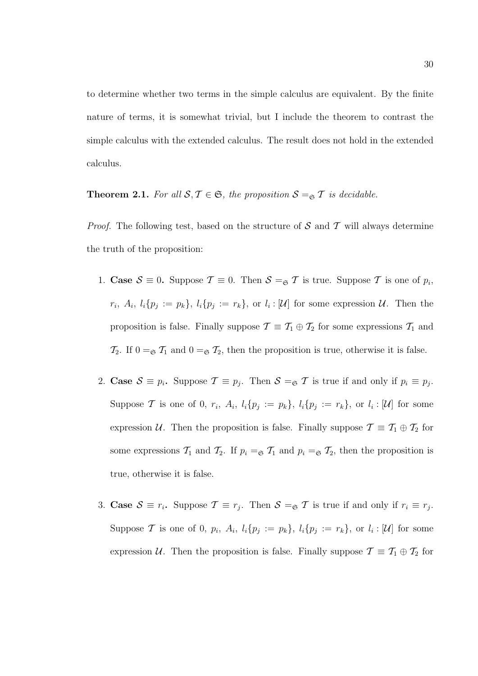to determine whether two terms in the simple calculus are equivalent. By the finite nature of terms, it is somewhat trivial, but I include the theorem to contrast the simple calculus with the extended calculus. The result does not hold in the extended calculus.

**Theorem 2.1.** For all  $S, T \in \mathfrak{S}$ , the proposition  $S =_{\mathfrak{S}} T$  is decidable.

*Proof.* The following test, based on the structure of  $S$  and  $T$  will always determine the truth of the proposition:

- 1. Case  $S \equiv 0$ . Suppose  $\mathcal{T} \equiv 0$ . Then  $S =_{\mathfrak{S}} \mathcal{T}$  is true. Suppose  $\mathcal{T}$  is one of  $p_i$ ,  $r_i, A_i, l_i\{p_j := p_k\}, l_i\{p_j := r_k\}, \text{ or } l_i : [\mathcal{U}] \text{ for some expression } \mathcal{U}. \text{ Then the }$ proposition is false. Finally suppose  $\mathcal{T} \equiv \mathcal{T}_1 \oplus \mathcal{T}_2$  for some expressions  $\mathcal{T}_1$  and  $\mathcal{T}_2$ . If  $0 = \epsilon \mathcal{T}_1$  and  $0 = \epsilon \mathcal{T}_2$ , then the proposition is true, otherwise it is false.
- 2. Case  $S \equiv p_i$ . Suppose  $\mathcal{T} \equiv p_j$ . Then  $S = \mathcal{F}$  is true if and only if  $p_i \equiv p_j$ . Suppose T is one of 0,  $r_i$ ,  $A_i$ ,  $l_i\{p_j := p_k\}$ ,  $l_i\{p_j := r_k\}$ , or  $l_i : [\mathcal{U}]$  for some expression U. Then the proposition is false. Finally suppose  $\mathcal{T} \equiv \mathcal{T}_1 \oplus \mathcal{T}_2$  for some expressions  $\mathcal{T}_1$  and  $\mathcal{T}_2$ . If  $p_i = \epsilon \mathcal{T}_1$  and  $p_i = \epsilon \mathcal{T}_2$ , then the proposition is true, otherwise it is false.
- 3. Case  $S \equiv r_i$ . Suppose  $\mathcal{T} \equiv r_j$ . Then  $S = \mathcal{F}$  is true if and only if  $r_i \equiv r_j$ . Suppose T is one of 0,  $p_i$ ,  $A_i$ ,  $l_i\{p_j := p_k\}$ ,  $l_i\{p_j := r_k\}$ , or  $l_i : [\mathcal{U}]$  for some expression U. Then the proposition is false. Finally suppose  $\mathcal{T} \equiv \mathcal{T}_1 \oplus \mathcal{T}_2$  for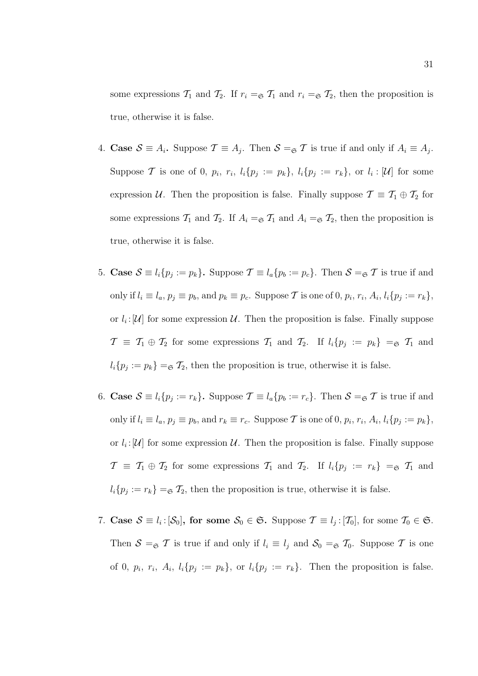some expressions  $\mathcal{T}_1$  and  $\mathcal{T}_2$ . If  $r_i = \epsilon \mathcal{T}_1$  and  $r_i = \epsilon \mathcal{T}_2$ , then the proposition is true, otherwise it is false.

- 4. Case  $S \equiv A_i$ . Suppose  $\mathcal{T} \equiv A_j$ . Then  $S = \mathcal{F}$  is true if and only if  $A_i \equiv A_j$ . Suppose T is one of 0,  $p_i$ ,  $r_i$ ,  $l_i\{p_j := p_k\}$ ,  $l_i\{p_j := r_k\}$ , or  $l_i : [\mathcal{U}]$  for some expression U. Then the proposition is false. Finally suppose  $\mathcal{T} \equiv \mathcal{T}_1 \oplus \mathcal{T}_2$  for some expressions  $\mathcal{T}_1$  and  $\mathcal{T}_2$ . If  $A_i = \mathcal{F}_1$  and  $A_i = \mathcal{F}_2$ , then the proposition is true, otherwise it is false.
- 5. Case  $S \equiv l_i \{p_j := p_k\}$ . Suppose  $\mathcal{T} \equiv l_a \{p_b := p_c\}$ . Then  $S = \mathcal{F}$  is true if and only if  $l_i \equiv l_a, p_j \equiv p_b$ , and  $p_k \equiv p_c$ . Suppose T is one of 0,  $p_i, r_i, A_i, l_i \{p_j := r_k\},$ or  $l_i: [U]$  for some expression U. Then the proposition is false. Finally suppose  $\mathcal{T} \equiv \mathcal{T}_1 \oplus \mathcal{T}_2$  for some expressions  $\mathcal{T}_1$  and  $\mathcal{T}_2$ . If  $l_i\{p_j := p_k\} = \mathfrak{S} \mathcal{T}_1$  and  $l_i\{p_j := p_k\} = \mathfrak{S} \mathcal{T}_2$ , then the proposition is true, otherwise it is false.
- 6. Case  $S \equiv l_i \{p_j := r_k\}$ . Suppose  $\mathcal{T} \equiv l_a \{p_b := r_c\}$ . Then  $S = \mathcal{F}$  is true if and only if  $l_i \equiv l_a$ ,  $p_j \equiv p_b$ , and  $r_k \equiv r_c$ . Suppose T is one of 0,  $p_i$ ,  $r_i$ ,  $A_i$ ,  $l_i\{p_j := p_k\}$ , or  $l_i: [U]$  for some expression U. Then the proposition is false. Finally suppose  $\mathcal{T} \equiv \mathcal{T}_1 \oplus \mathcal{T}_2$  for some expressions  $\mathcal{T}_1$  and  $\mathcal{T}_2$ . If  $l_i\{p_j := r_k\} = \mathcal{F}_1$  and  $l_i\{p_j := r_k\} = \mathcal{F}_2$ , then the proposition is true, otherwise it is false.
- 7. Case  $S \equiv l_i : [\mathcal{S}_0]$ , for some  $S_0 \in \mathfrak{S}$ . Suppose  $\mathcal{T} \equiv l_j : [\mathcal{T}_0]$ , for some  $\mathcal{T}_0 \in \mathfrak{S}$ . Then  $S =_{\mathfrak{S}} T$  is true if and only if  $l_i \equiv l_j$  and  $S_0 =_{\mathfrak{S}} T_0$ . Suppose T is one of 0,  $p_i$ ,  $r_i$ ,  $A_i$ ,  $l_i\{p_j := p_k\}$ , or  $l_i\{p_j := r_k\}$ . Then the proposition is false.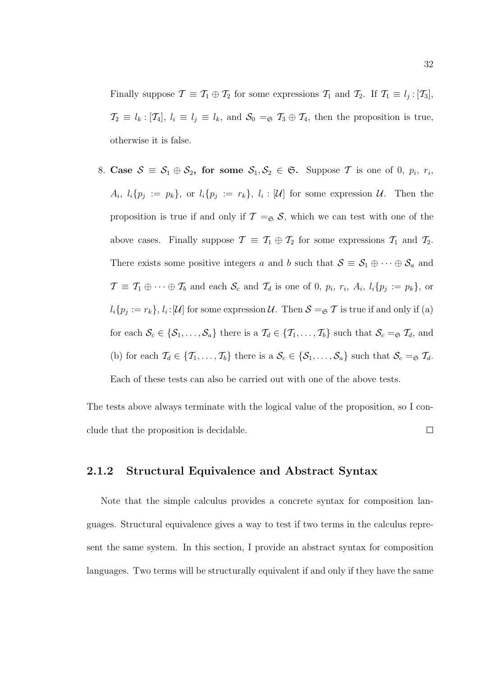Finally suppose  $\mathcal{T} \equiv \mathcal{T}_1 \oplus \mathcal{T}_2$  for some expressions  $\mathcal{T}_1$  and  $\mathcal{T}_2$ . If  $\mathcal{T}_1 \equiv l_j : [\mathcal{T}_3]$ ,  $\mathcal{T}_2 \equiv l_k : [\mathcal{T}_4], l_i \equiv l_j \equiv l_k$ , and  $\mathcal{S}_0 = \mathcal{S} \mathcal{T}_3 \oplus \mathcal{T}_4$ , then the proposition is true, otherwise it is false.

8. Case  $S = S_1 \oplus S_2$ , for some  $S_1, S_2 \in \mathfrak{S}$ . Suppose T is one of 0,  $p_i$ ,  $r_i$ ,  $A_i, l_i\{p_j := p_k\},\$  or  $l_i\{p_j := r_k\}, l_i : [\mathcal{U}]$  for some expression  $\mathcal{U}$ . Then the proposition is true if and only if  $\mathcal{T} =_{\mathfrak{S}} \mathcal{S}$ , which we can test with one of the above cases. Finally suppose  $\mathcal{T} \equiv \mathcal{T}_1 \oplus \mathcal{T}_2$  for some expressions  $\mathcal{T}_1$  and  $\mathcal{T}_2$ . There exists some positive integers a and b such that  $S \equiv S_1 \oplus \cdots \oplus S_a$  and  $\mathcal{T} \equiv \mathcal{T}_1 \oplus \cdots \oplus \mathcal{T}_b$  and each  $\mathcal{S}_c$  and  $\mathcal{T}_d$  is one of 0,  $p_i$ ,  $r_i$ ,  $A_i$ ,  $l_i\{p_j := p_k\}$ , or  $l_i\{p_j:=r_k\},\,l_i:[\mathcal{U}]$  for some expression  $\mathcal{U}$ . Then  $\mathcal{S}=_\mathfrak{S}\mathcal{T}$  is true if and only if (a) for each  $S_c \in \{S_1, \ldots, S_a\}$  there is a  $\mathcal{T}_d \in \{T_1, \ldots, T_b\}$  such that  $S_c = \mathcal{T}_d$ , and (b) for each  $\mathcal{T}_d \in \{\mathcal{T}_1, \ldots, \mathcal{T}_b\}$  there is a  $\mathcal{S}_c \in \{\mathcal{S}_1, \ldots, \mathcal{S}_a\}$  such that  $\mathcal{S}_c = \mathcal{S} \mathcal{T}_d$ . Each of these tests can also be carried out with one of the above tests.

The tests above always terminate with the logical value of the proposition, so I con- $\Box$ clude that the proposition is decidable.

#### 2.1.2 Structural Equivalence and Abstract Syntax

Note that the simple calculus provides a concrete syntax for composition languages. Structural equivalence gives a way to test if two terms in the calculus represent the same system. In this section, I provide an abstract syntax for composition languages. Two terms will be structurally equivalent if and only if they have the same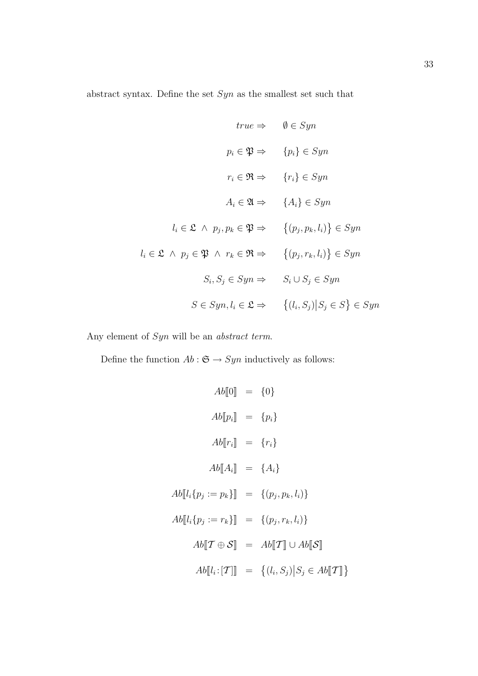abstract syntax. Define the set  $\operatorname{Syn}$  as the smallest set such that

$$
true \Rightarrow \quad \emptyset \in Syn
$$
  
\n
$$
p_i \in \mathfrak{P} \Rightarrow \quad \{p_i\} \in Sym
$$
  
\n
$$
r_i \in \mathfrak{R} \Rightarrow \quad \{r_i\} \in Sym
$$
  
\n
$$
A_i \in \mathfrak{A} \Rightarrow \quad \{A_i\} \in Sym
$$
  
\n
$$
l_i \in \mathfrak{L} \land p_j, p_k \in \mathfrak{P} \Rightarrow \quad \{(p_j, p_k, l_i)\} \in Sym
$$
  
\n
$$
l_i \in \mathfrak{L} \land p_j \in \mathfrak{P} \land r_k \in \mathfrak{R} \Rightarrow \quad \{(p_j, r_k, l_i)\} \in Sym
$$
  
\n
$$
S_i, S_j \in Sym \Rightarrow \quad S_i \cup S_j \in Sym
$$
  
\n
$$
S \in Sym, l_i \in \mathfrak{L} \Rightarrow \quad \{(l_i, S_j) | S_j \in S \} \in Sym
$$

Any element of  $Syn$  will be an *abstract term*.

Define the function  $Ab: \mathfrak{S} \to Syn$  inductively as follows:

$$
Ab[\![0]\!] = \{0\}
$$
  
\n
$$
Ab[\![p_i]\!] = \{p_i\}
$$
  
\n
$$
Ab[\![r_i]\!] = \{r_i\}
$$
  
\n
$$
Ab[\![A_i]\!] = \{A_i\}
$$
  
\n
$$
Ab[\![l_i\{p_j := p_k\}]\!] = \{(p_j, p_k, l_i)\}
$$
  
\n
$$
Ab[\![l_i\{p_j := r_k\}]\!] = \{(p_j, r_k, l_i)\}
$$
  
\n
$$
Ab[\![T \oplus \mathcal{S}]\!] = Ab[\![T]\!] \cup Ab[\![\mathcal{S}]\!]
$$
  
\n
$$
Ab[\![l_i : [T]\!]] = \{(l_i, S_j) | S_j \in Ab[\![T]\!] \}
$$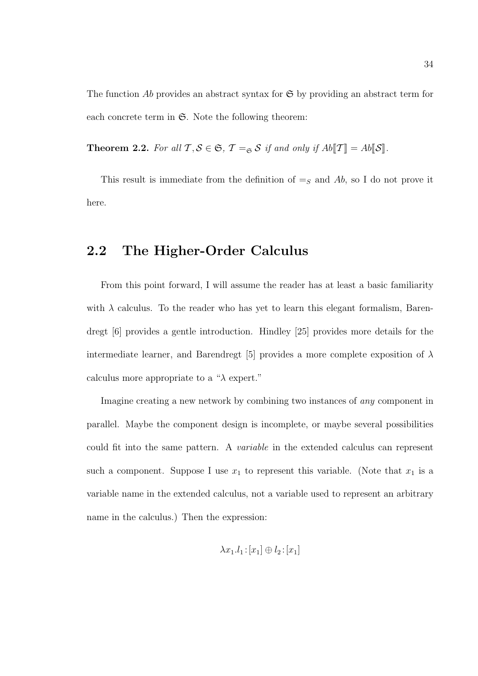The function Ab provides an abstract syntax for  $\mathfrak{S}$  by providing an abstract term for each concrete term in  $\mathfrak{S}$ . Note the following theorem:

**Theorem 2.2.** For all  $\mathcal{T}, \mathcal{S} \in \mathfrak{S}, \mathcal{T} =_{\mathfrak{S}} \mathcal{S}$  if and only if  $Ab[\![\mathcal{T}]\!] = Ab[\![\mathcal{S}]\!]$ .

This result is immediate from the definition of  $=s$  and Ab, so I do not prove it here.

## 2.2 The Higher-Order Calculus

From this point forward, I will assume the reader has at least a basic familiarity with  $\lambda$  calculus. To the reader who has yet to learn this elegant formalism, Barendregt [6] provides a gentle introduction. Hindley [25] provides more details for the intermediate learner, and Barendregt [5] provides a more complete exposition of  $\lambda$ calculus more appropriate to a " $\lambda$  expert."

Imagine creating a new network by combining two instances of any component in parallel. Maybe the component design is incomplete, or maybe several possibilities could fit into the same pattern. A variable in the extended calculus can represent such a component. Suppose I use  $x_1$  to represent this variable. (Note that  $x_1$  is a variable name in the extended calculus, not a variable used to represent an arbitrary name in the calculus.) Then the expression:

$$
\lambda x_1.l_1:[x_1]\oplus l_2:[x_1]
$$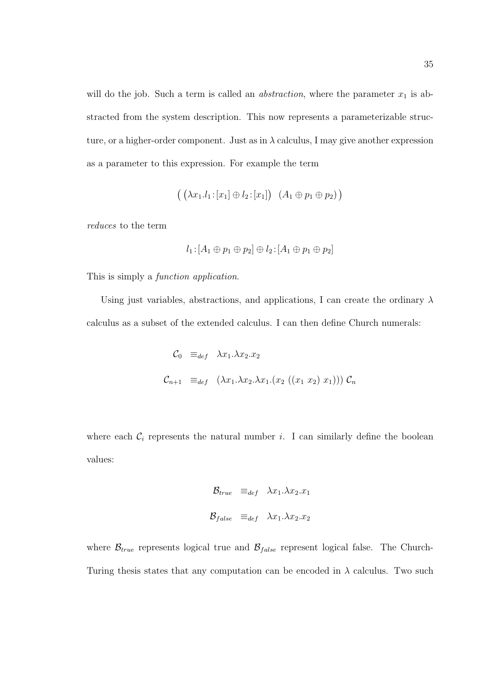will do the job. Such a term is called an *abstraction*, where the parameter  $x_1$  is abstracted from the system description. This now represents a parameterizable structure, or a higher-order component. Just as in  $\lambda$  calculus, I may give another expression as a parameter to this expression. For example the term

$$
((\lambda x_1.l_1:[x_1]\oplus l_2:[x_1])\ (A_1\oplus p_1\oplus p_2))
$$

reduces to the term

$$
l_1:[A_1\oplus p_1\oplus p_2]\oplus l_2:[A_1\oplus p_1\oplus p_2]
$$

This is simply a function application.

Using just variables, abstractions, and applications, I can create the ordinary  $\lambda$ calculus as a subset of the extended calculus. I can then define Church numerals:

$$
C_0 \equiv_{def} \lambda x_1.\lambda x_2.x_2
$$
  

$$
C_{n+1} \equiv_{def} (\lambda x_1.\lambda x_2.\lambda x_1.(x_2 ((x_1 x_2) x_1))) C_n
$$

where each  $\mathcal{C}_i$  represents the natural number i. I can similarly define the boolean values:

$$
\mathcal{B}_{true} \equiv_{def} \lambda x_1 . \lambda x_2 . x_1
$$

$$
\mathcal{B}_{false} \equiv_{def} \lambda x_1 . \lambda x_2 . x_2
$$

where  $\mathcal{B}_{true}$  represents logical true and  $\mathcal{B}_{false}$  represent logical false. The Church-Turing thesis states that any computation can be encoded in  $\lambda$  calculus. Two such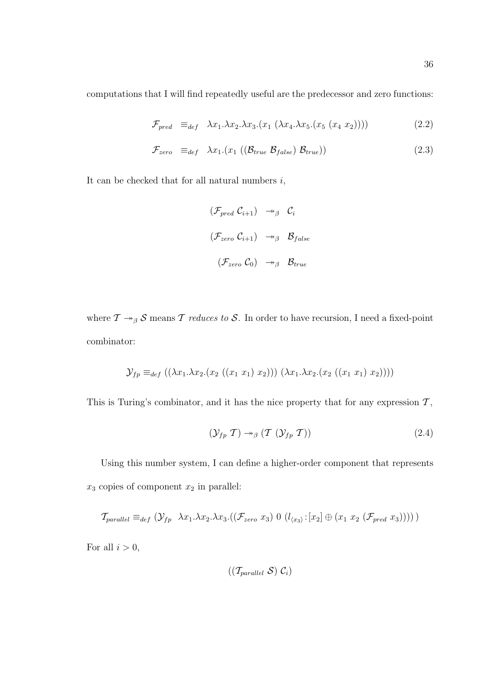computations that I will find repeatedly useful are the predecessor and zero functions:

$$
\mathcal{F}_{pred} \equiv_{def} \lambda x_1.\lambda x_2.\lambda x_3.(x_1 \ (\lambda x_4.\lambda x_5.(x_5 \ (x_4 \ x_2)))) \tag{2.2}
$$

$$
\mathcal{F}_{zero} \equiv_{def} \lambda x_1.(x_1 ((\mathcal{B}_{true} \mathcal{B}_{false}) \mathcal{B}_{true})) \tag{2.3}
$$

It can be checked that for all natural numbers  $i$ ,

$$
\begin{array}{ccc}\n(\mathcal{F}_{pred} \ \mathcal{C}_{i+1}) & \rightarrow_{\beta} & \mathcal{C}_{i} \\
(\mathcal{F}_{zero} \ \mathcal{C}_{i+1}) & \rightarrow_{\beta} & \mathcal{B}_{false} \\
(\mathcal{F}_{zero} \ \mathcal{C}_{0}) & \rightarrow_{\beta} & \mathcal{B}_{true}\n\end{array}
$$

where  $\mathcal{T} \rightarrow_{\beta} \mathcal{S}$  means  $\mathcal{T}$  reduces to  $\mathcal{S}$ . In order to have recursion, I need a fixed-point combinator:

$$
\mathcal{Y}_{fp} \equiv_{def} ((\lambda x_1.\lambda x_2.(x_2 ((x_1 x_1) x_2))) (\lambda x_1.\lambda x_2.(x_2 ((x_1 x_1) x_2))))
$$

This is Turing's combinator, and it has the nice property that for any expression  $\mathcal{T},$ 

$$
(\mathcal{Y}_{fp} \mathcal{T}) \rightarrow_{\beta} (\mathcal{T} \ (\mathcal{Y}_{fp} \mathcal{T})) \tag{2.4}
$$

Using this number system, I can define a higher-order component that represents  $x_3$  copies of component  $x_2$  in parallel:

$$
\mathcal{T}_{parallel} \equiv_{def} (\mathcal{Y}_{fp} \ \lambda x_1.\lambda x_2.\lambda x_3.((\mathcal{F}_{zero} \ x_3) \ 0 \ (l_{\langle x_3 \rangle}: [x_2] \oplus (x_1 \ x_2 \ (\mathcal{F}_{pred} \ x_3))))
$$

For all  $i > 0$ ,

$$
((\mathcal{T}_{parallel} \; \mathcal{S}) \; \mathcal{C}_i)
$$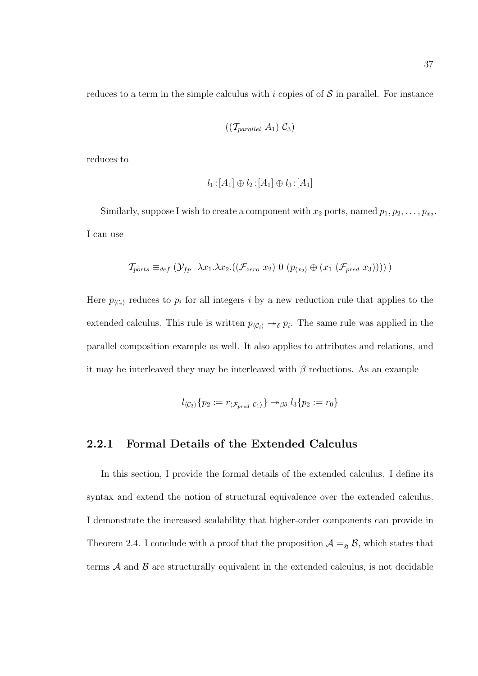reduces to a term in the simple calculus with i copies of of  $S$  in parallel. For instance

$$
((\mathcal{T}_{parallel} A_1) \mathcal{C}_3)
$$

reduces to

$$
l_1:[A_1]\oplus l_2:[A_1]\oplus l_3:[A_1]
$$

Similarly, suppose I wish to create a component with  $x_2$  ports, named  $p_1, p_2, \ldots, p_{x_2}$ . I can use

$$
\mathcal{T}_{ports} \equiv_{def} (\mathcal{Y}_{fp} \ \lambda x_1.\lambda x_2.((\mathcal{F}_{zero} x_2) 0 (p_{\langle x_2 \rangle} \oplus (x_1 (\mathcal{F}_{pred} x_3))))))
$$

Here  $p_{\langle C_i \rangle}$  reduces to  $p_i$  for all integers i by a new reduction rule that applies to the extended calculus. This rule is written  $p_{\langle C_i \rangle} \rightarrow_{\delta} p_i$ . The same rule was applied in the parallel composition example as well. It also applies to attributes and relations, and it may be interleaved they may be interleaved with  $\beta$  reductions. As an example

$$
l_{\langle \mathcal{C}_3 \rangle} \{ p_2 := r_{\langle \mathcal{F}_{pred} \mathcal{C}_1 \rangle} \} \rightarrow_{\beta \delta} l_3 \{ p_2 := r_0 \}
$$

### 2.2.1 Formal Details of the Extended Calculus

In this section, I provide the formal details of the extended calculus. I define its syntax and extend the notion of structural equivalence over the extended calculus. I demonstrate the increased scalability that higher-order components can provide in Theorem 2.4. I conclude with a proof that the proposition  $A =_{\mathfrak{H}} B$ , which states that terms  $A$  and  $B$  are structurally equivalent in the extended calculus, is not decidable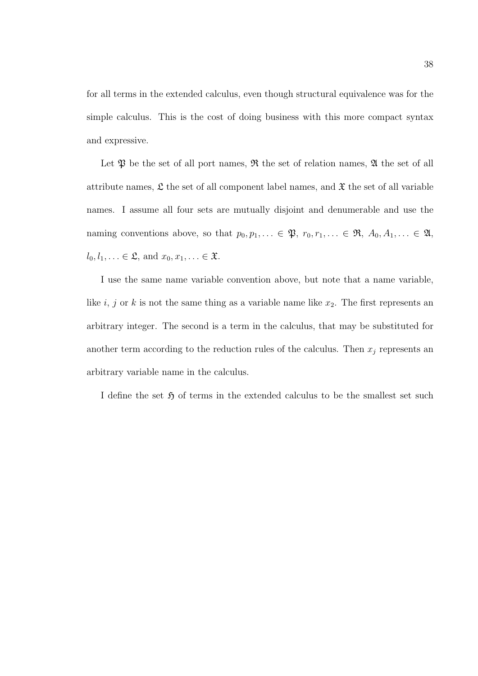for all terms in the extended calculus, even though structural equivalence was for the simple calculus. This is the cost of doing business with this more compact syntax and expressive.

Let  $\mathfrak P$  be the set of all port names,  $\mathfrak R$  the set of relation names,  $\mathfrak A$  the set of all attribute names,  $\mathfrak L$  the set of all component label names, and  $\mathfrak X$  the set of all variable names. I assume all four sets are mutually disjoint and denumerable and use the naming conventions above, so that  $p_0, p_1, \ldots \in \mathfrak{P}, r_0, r_1, \ldots \in \mathfrak{R}, A_0, A_1, \ldots \in \mathfrak{A},$  $l_0, l_1, \ldots \in \mathfrak{L}$ , and  $x_0, x_1, \ldots \in \mathfrak{X}$ .

I use the same name variable convention above, but note that a name variable, like i, j or k is not the same thing as a variable name like  $x_2$ . The first represents an arbitrary integer. The second is a term in the calculus, that may be substituted for another term according to the reduction rules of the calculus. Then  $x_j$  represents an arbitrary variable name in the calculus.

I define the set  $\mathfrak H$  of terms in the extended calculus to be the smallest set such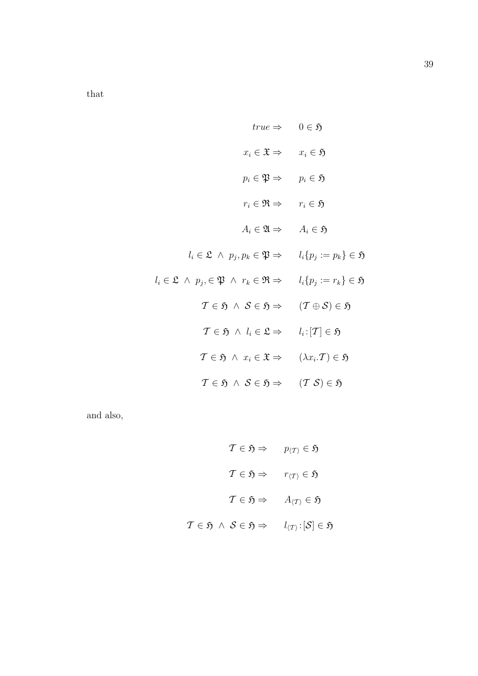that

$$
true \Rightarrow \quad 0 \in \mathfrak{H}
$$
\n
$$
x_i \in \mathfrak{X} \Rightarrow \quad x_i \in \mathfrak{H}
$$
\n
$$
p_i \in \mathfrak{P} \Rightarrow \quad p_i \in \mathfrak{H}
$$
\n
$$
r_i \in \mathfrak{R} \Rightarrow \quad r_i \in \mathfrak{H}
$$
\n
$$
A_i \in \mathfrak{A} \Rightarrow \quad A_i \in \mathfrak{H}
$$
\n
$$
l_i \in \mathfrak{L} \land p_j, p_k \in \mathfrak{P} \Rightarrow \quad l_i \{ p_j := p_k \} \in \mathfrak{H}
$$
\n
$$
l_i \in \mathfrak{L} \land p_j, \in \mathfrak{P} \land r_k \in \mathfrak{R} \Rightarrow \quad l_i \{ p_j := r_k \} \in \mathfrak{H}
$$
\n
$$
\mathcal{T} \in \mathfrak{H} \land \mathcal{S} \in \mathfrak{H} \Rightarrow \quad (\mathcal{T} \oplus \mathcal{S}) \in \mathfrak{H}
$$
\n
$$
\mathcal{T} \in \mathfrak{H} \land l_i \in \mathfrak{L} \Rightarrow \quad l_i : [\mathcal{T}] \in \mathfrak{H}
$$
\n
$$
\mathcal{T} \in \mathfrak{H} \land x_i \in \mathfrak{X} \Rightarrow \quad (\lambda x_i. \mathcal{T}) \in \mathfrak{H}
$$
\n
$$
\mathcal{T} \in \mathfrak{H} \land \mathcal{S} \in \mathfrak{H} \Rightarrow \quad (\mathcal{T} \mathcal{S}) \in \mathfrak{H}
$$

and also,

$$
\mathcal{T} \in \mathfrak{H} \Rightarrow p_{\langle \mathcal{T} \rangle} \in \mathfrak{H}
$$

$$
\mathcal{T} \in \mathfrak{H} \Rightarrow r_{\langle \mathcal{T} \rangle} \in \mathfrak{H}
$$

$$
\mathcal{T} \in \mathfrak{H} \Rightarrow A_{\langle \mathcal{T} \rangle} \in \mathfrak{H}
$$

$$
\mathcal{T} \in \mathfrak{H} \land \mathcal{S} \in \mathfrak{H} \Rightarrow l_{\langle \mathcal{T} \rangle} : [\mathcal{S}] \in \mathfrak{H}
$$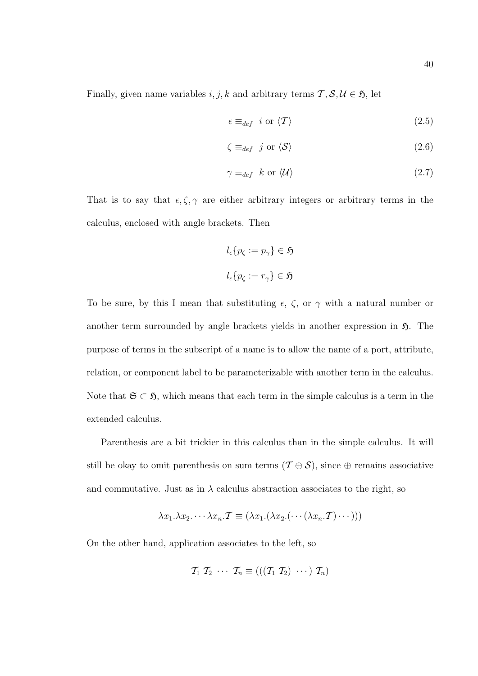Finally, given name variables  $i, j, k$  and arbitrary terms  $\mathcal{T}, \mathcal{S}, \mathcal{U} \in \mathfrak{H}$ , let

$$
\epsilon \equiv_{def} i \text{ or } \langle \mathcal{T} \rangle \tag{2.5}
$$

$$
\zeta \equiv_{def} j \text{ or } \langle \mathcal{S} \rangle \tag{2.6}
$$

$$
\gamma \equiv_{def} k \text{ or } \langle \mathcal{U} \rangle \tag{2.7}
$$

That is to say that  $\epsilon, \zeta, \gamma$  are either arbitrary integers or arbitrary terms in the calculus, enclosed with angle brackets. Then

$$
l_{\epsilon}\{p_{\zeta} := p_{\gamma}\} \in \mathfrak{H}
$$

$$
l_{\epsilon}\{p_{\zeta} := r_{\gamma}\} \in \mathfrak{H}
$$

To be sure, by this I mean that substituting  $\epsilon$ ,  $\zeta$ , or  $\gamma$  with a natural number or another term surrounded by angle brackets yields in another expression in  $\mathfrak{H}$ . The purpose of terms in the subscript of a name is to allow the name of a port, attribute, relation, or component label to be parameterizable with another term in the calculus. Note that  $\mathfrak{S} \subset \mathfrak{H}$ , which means that each term in the simple calculus is a term in the extended calculus.

Parenthesis are a bit trickier in this calculus than in the simple calculus. It will still be okay to omit parenthesis on sum terms  $(\mathcal{T} \oplus \mathcal{S})$ , since  $\oplus$  remains associative and commutative. Just as in  $\lambda$  calculus abstraction associates to the right, so

$$
\lambda x_1 \cdot \lambda x_2 \cdot \cdot \cdot \cdot \lambda x_n \cdot \mathcal{T} \equiv (\lambda x_1 \cdot (\lambda x_2 \cdot (\cdot \cdot (\lambda x_n \cdot \mathcal{T}) \cdot \cdot \cdot)))
$$

On the other hand, application associates to the left, so

$$
\mathcal{T}_1 \mathcal{T}_2 \cdots \mathcal{T}_n \equiv (((\mathcal{T}_1 \mathcal{T}_2) \cdots) \mathcal{T}_n)
$$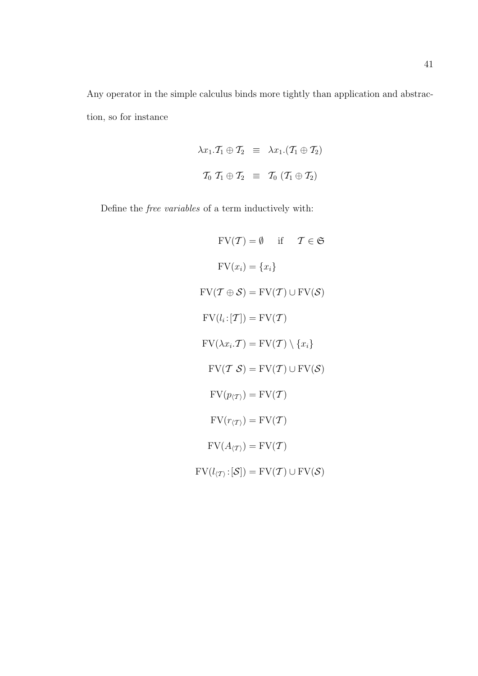Any operator in the simple calculus binds more tightly than application and abstraction, so for instance

$$
\lambda x_1 \cdot \mathcal{T}_1 \oplus \mathcal{T}_2 \equiv \lambda x_1 \cdot (\mathcal{T}_1 \oplus \mathcal{T}_2)
$$
  

$$
\mathcal{T}_0 \mathcal{T}_1 \oplus \mathcal{T}_2 \equiv \mathcal{T}_0 \left( \mathcal{T}_1 \oplus \mathcal{T}_2 \right)
$$

Define the free variables of a term inductively with:

$$
FV(T) = \emptyset \quad \text{if} \quad T \in \mathfrak{S}
$$

$$
FV(x_i) = \{x_i\}
$$

$$
FV(T \oplus S) = FV(T) \cup FV(S)
$$

$$
FV(l_i : [T]) = FV(T)
$$

$$
FV(\lambda x_i \cdot T) = FV(T) \setminus \{x_i\}
$$

$$
FV(T S) = FV(T) \cup FV(S)
$$

$$
FV(p_{\langle T \rangle}) = FV(T)
$$

$$
FV(r_{\langle T \rangle}) = FV(T)
$$

$$
FV(A_{\langle T \rangle}) = FV(T)
$$

 $\text{FV}(l_{\langle \mathcal{T} \rangle} : [\mathcal{S}]) = \text{FV}(\mathcal{T}) \cup \text{FV}(\mathcal{S})$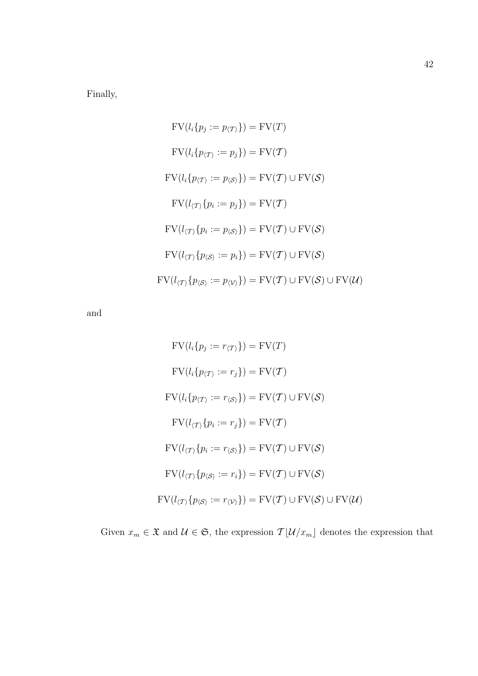Finally,

$$
FV(l_i\{p_j := p_{\langle T\rangle}\}) = FV(T)
$$
  
\n
$$
FV(l_i\{p_{\langle T\rangle} := p_j\}) = FV(T)
$$
  
\n
$$
FV(l_i\{p_{\langle T\rangle} := p_{\langle S\rangle}\}) = FV(T) \cup FV(S)
$$
  
\n
$$
FV(l_{\langle T\rangle}\{p_i := p_j\}) = FV(T)
$$
  
\n
$$
FV(l_{\langle T\rangle}\{p_i := p_{\langle S\rangle}\}) = FV(T) \cup FV(S)
$$
  
\n
$$
FV(l_{\langle T\rangle}\{p_{\langle S\rangle} := p_i\}) = FV(T) \cup FV(S)
$$
  
\n
$$
FV(l_{\langle T\rangle}\{p_{\langle S\rangle} := p_{\langle V\rangle}\}) = FV(T) \cup FV(S) \cup FV(U)
$$

and

$$
FV(l_i\{p_j := r_{\langle T\rangle}\}) = FV(T)
$$
  
\n
$$
FV(l_i\{p_{\langle T\rangle} := r_j\}) = FV(T)
$$
  
\n
$$
FV(l_i\{p_{\langle T\rangle} := r_{\langle S\rangle}\}) = FV(T) \cup FV(S)
$$
  
\n
$$
FV(l_{\langle T\rangle}\{p_i := r_j\}) = FV(T)
$$
  
\n
$$
FV(l_{\langle T\rangle}\{p_i := r_{\langle S\rangle}\}) = FV(T) \cup FV(S)
$$
  
\n
$$
FV(l_{\langle T\rangle}\{p_{\langle S\rangle} := r_i\}) = FV(T) \cup FV(S)
$$
  
\n
$$
FV(l_{\langle T\rangle}\{p_{\langle S\rangle} := r_{\langle V\rangle}\}) = FV(T) \cup FV(S) \cup FV(U)
$$

Given  $x_m \in \mathfrak{X}$  and  $\mathcal{U} \in \mathfrak{S}$ , the expression  $\mathcal{T}[\mathcal{U}/x_m]$  denotes the expression that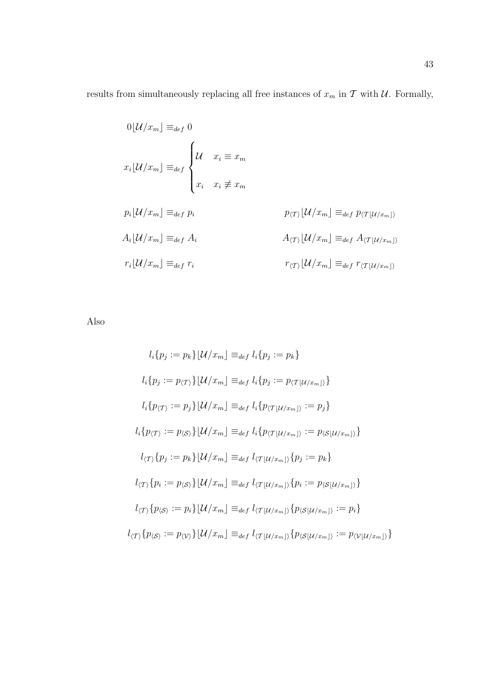results from simultaneously replacing all free instances of  $x_m$  in  $\mathcal T$  with  $\mathcal U$ . Formally,

$$
0[U/x_m] \equiv_{def} 0
$$
  
\n
$$
x_i[U/x_m] \equiv_{def} \begin{cases} \mathcal{U} & x_i \equiv x_m \\ x_i & x_i \not\equiv x_m \end{cases}
$$
  
\n
$$
p_i[U/x_m] \equiv_{def} p_i
$$
  
\n
$$
A_i[U/x_m] \equiv_{def} A_i
$$
  
\n
$$
A_{\langle T \rangle}[U/x_m] \equiv_{def} A_{\langle T | U/x_m \rangle}
$$
  
\n
$$
r_i[U/x_m] \equiv_{def} r_i
$$
  
\n
$$
r_{\langle T \rangle}[U/x_m] \equiv_{def} r_{\langle T | U/x_m \rangle}
$$

Also

$$
l_i\{p_j := p_k\} [U/x_m] \equiv_{def} l_i\{p_j := p_k\}
$$
  
\n
$$
l_i\{p_j := p_{\langle T\rangle}\} [U/x_m] \equiv_{def} l_i\{p_j := p_{\langle T|U/x_m]\}}\}
$$
  
\n
$$
l_i\{p_{\langle T\rangle} := p_j\} [U/x_m] \equiv_{def} l_i\{p_{\langle T|U/x_m]\}} := p_j\}
$$
  
\n
$$
l_i\{p_{\langle T\rangle} := p_{\langle S\rangle}\} [U/x_m] \equiv_{def} l_i\{p_{\langle T|U/x_m]\}} := p_{\langle S|U/x_m]\}}\}
$$
  
\n
$$
l_{\langle T\rangle}\{p_j := p_k\} [U/x_m] \equiv_{def} l_{\langle T|U/x_m]\rangle}\{p_j := p_k\}
$$
  
\n
$$
l_{\langle T\rangle}\{p_i := p_{\langle S\rangle}\} [U/x_m] \equiv_{def} l_{\langle T|U/x_m]\rangle}\{p_i := p_{\langle S|U/x_m]\rangle}\}
$$
  
\n
$$
l_{\langle T\rangle}\{p_{\langle S\rangle} := p_i\} [U/x_m] \equiv_{def} l_{\langle T|U/x_m]\rangle}\{p_{\langle S|U/x_m]\rangle} := p_i\}
$$
  
\n
$$
l_{\langle T\rangle}\{p_{\langle S\rangle} := p_{\langle V\rangle}\} [U/x_m] \equiv_{def} l_{\langle T|U/x_m]\rangle}\{p_{\langle S|U/x_m]\rangle} := p_{\langle V|U/x_m]\rangle}\}
$$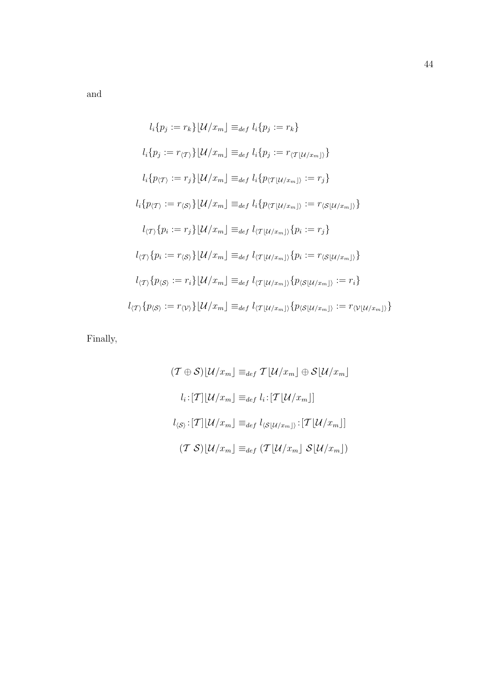and

$$
l_i\{p_j := r_k\} | \mathcal{U}/x_m] \equiv_{def} l_i\{p_j := r_k\}
$$
  
\n
$$
l_i\{p_j := r_{\langle \mathcal{T} \rangle}\} | \mathcal{U}/x_m] \equiv_{def} l_i\{p_j := r_{\langle \mathcal{T} | \mathcal{U}/x_m] \rangle}\}
$$
  
\n
$$
l_i\{p_{\langle \mathcal{T} \rangle} := r_j\} | \mathcal{U}/x_m] \equiv_{def} l_i\{p_{\langle \mathcal{T} | \mathcal{U}/x_m] \rangle} := r_j\}
$$
  
\n
$$
l_i\{p_{\langle \mathcal{T} \rangle} := r_{\langle \mathcal{S} \rangle}\} | \mathcal{U}/x_m] \equiv_{def} l_i\{p_{\langle \mathcal{T} | \mathcal{U}/x_m] \rangle} := r_{\langle \mathcal{S} | \mathcal{U}/x_m] \rangle}\}
$$
  
\n
$$
l_{\langle \mathcal{T} \rangle}\{p_i := r_j\} | \mathcal{U}/x_m] \equiv_{def} l_{\langle \mathcal{T} | \mathcal{U}/x_m] \rangle}\{p_i := r_j\}
$$
  
\n
$$
l_{\langle \mathcal{T} \rangle}\{p_i := r_{\langle \mathcal{S} \rangle}\} | \mathcal{U}/x_m] \equiv_{def} l_{\langle \mathcal{T} | \mathcal{U}/x_m] \rangle}\{p_i := r_{\langle \mathcal{S} | \mathcal{U}/x_m] \rangle}\}
$$
  
\n
$$
l_{\langle \mathcal{T} \rangle}\{p_{\langle \mathcal{S} \rangle} := r_i\} | \mathcal{U}/x_m] \equiv_{def} l_{\langle \mathcal{T} | \mathcal{U}/x_m] \rangle}\{p_{\langle \mathcal{S} | \mathcal{U}/x_m] \rangle} := r_i\}
$$
  
\n
$$
l_{\langle \mathcal{T} \rangle}\{p_{\langle \mathcal{S} \rangle} := r_{\langle \mathcal{V} \rangle}\} | \mathcal{U}/x_m] \equiv_{def} l_{\langle \mathcal{T} | \mathcal{U}/x_m] \rangle}\{p_{\langle \mathcal{S} | \mathcal{U}/x_m] \rangle} := r_{\langle \mathcal{V} | \mathcal{U}/x_m] \rangle}\}
$$

Finally,

$$
(\mathcal{T} \oplus \mathcal{S})[\mathcal{U}/x_m] \equiv_{def} \mathcal{T}[\mathcal{U}/x_m] \oplus \mathcal{S}[\mathcal{U}/x_m]
$$

$$
l_i: [\mathcal{T}][\mathcal{U}/x_m] \equiv_{def} l_i: [\mathcal{T}[\mathcal{U}/x_m]]
$$

$$
l_{\langle \mathcal{S} \rangle}: [\mathcal{T}][\mathcal{U}/x_m] \equiv_{def} l_{\langle \mathcal{S}[\mathcal{U}/x_m] \rangle}: [\mathcal{T}[\mathcal{U}/x_m]]
$$

$$
(\mathcal{T} \mathcal{S})[\mathcal{U}/x_m] \equiv_{def} (\mathcal{T}[\mathcal{U}/x_m] \mathcal{S}[\mathcal{U}/x_m])
$$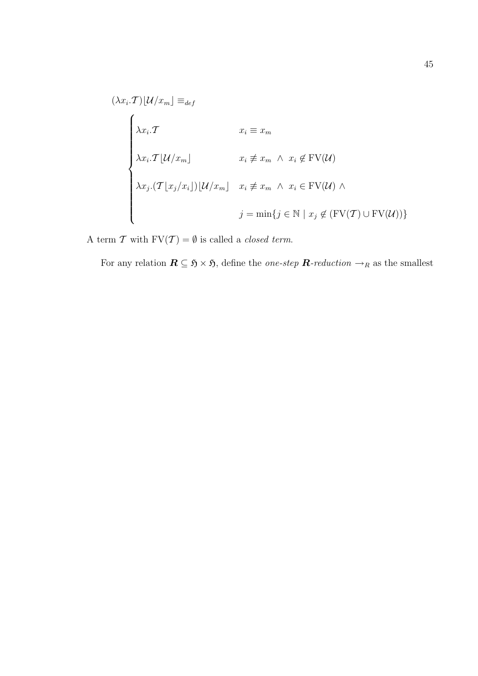$$
(\lambda x_i \cdot \mathcal{T})[\mathcal{U}/x_m] \equiv_{def}
$$
\n
$$
\begin{cases}\n\lambda x_i \cdot \mathcal{T} & x_i \equiv x_m \\
\lambda x_i \cdot \mathcal{T}[\mathcal{U}/x_m] & x_i \not\equiv x_m \land x_i \not\in \text{FV}(\mathcal{U}) \\
\lambda x_j \cdot (\mathcal{T}[\mathcal{X}_j/x_i])[\mathcal{U}/x_m] & x_i \not\equiv x_m \land x_i \in \text{FV}(\mathcal{U}) \land \\
j = \min\{j \in \mathbb{N} \mid x_j \not\in (\text{FV}(\mathcal{T}) \cup \text{FV}(\mathcal{U}))\}\n\end{cases}
$$

A term  $\mathcal T$  with  $\mathrm{FV}(\mathcal T)=\emptyset$  is called a *closed term*.

For any relation  $\mathbf{R} \subseteq \mathfrak{H} \times \mathfrak{H}$ , define the *one-step*  $\mathbf{R}$ -reduction  $\rightarrow_R$  as the smallest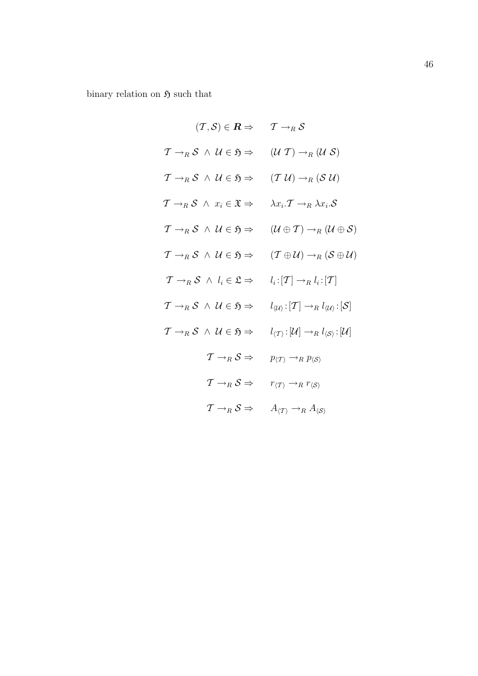binary relation on  $\mathfrak H$  such that

$$
(T, S) \in \mathbf{R} \Rightarrow T \rightarrow_R S
$$
  
\n
$$
T \rightarrow_R S \land U \in \mathfrak{H} \Rightarrow (U T) \rightarrow_R (U S)
$$
  
\n
$$
T \rightarrow_R S \land U \in \mathfrak{H} \Rightarrow (T U) \rightarrow_R (S U)
$$
  
\n
$$
T \rightarrow_R S \land x_i \in \mathfrak{X} \Rightarrow \lambda x_i \cdot T \rightarrow_R \lambda x_i \cdot S
$$
  
\n
$$
T \rightarrow_R S \land U \in \mathfrak{H} \Rightarrow (U \oplus T) \rightarrow_R (U \oplus S)
$$
  
\n
$$
T \rightarrow_R S \land U \in \mathfrak{H} \Rightarrow (T \oplus U) \rightarrow_R (S \oplus U)
$$
  
\n
$$
T \rightarrow_R S \land U_i \in \mathfrak{L} \Rightarrow l_i : [T] \rightarrow_R l_i : [T]
$$
  
\n
$$
T \rightarrow_R S \land U \in \mathfrak{H} \Rightarrow l_{\langle U \rangle} : [T] \rightarrow_R l_{\langle U \rangle} : [S]
$$
  
\n
$$
T \rightarrow_R S \land U \in \mathfrak{H} \Rightarrow l_{\langle T \rangle} : [U] \rightarrow_R l_{\langle S \rangle} : [U]
$$
  
\n
$$
T \rightarrow_R S \Rightarrow p_{\langle T \rangle} \rightarrow_R p_{\langle S \rangle}
$$
  
\n
$$
T \rightarrow_R S \Rightarrow r_{\langle T \rangle} \rightarrow_R r_{\langle S \rangle}
$$
  
\n
$$
T \rightarrow_R S \Rightarrow A_{\langle T \rangle} \rightarrow_R A_{\langle S \rangle}
$$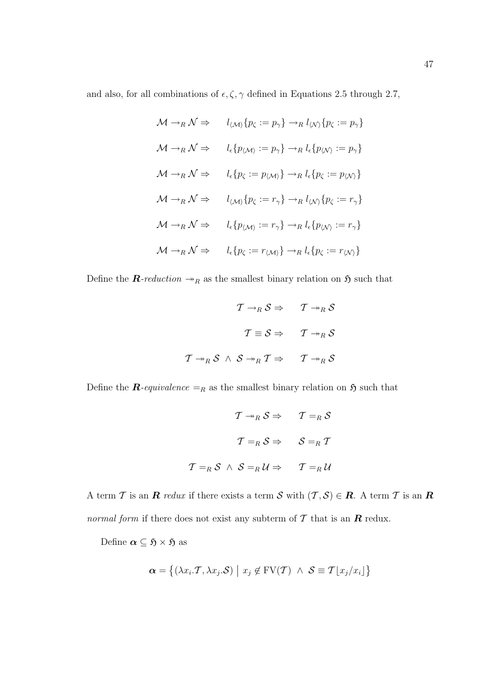and also, for all combinations of  $\epsilon, \zeta, \gamma$  defined in Equations 2.5 through 2.7,

$$
\mathcal{M} \to_R \mathcal{N} \Rightarrow l_{\langle \mathcal{M} \rangle} \{ p_{\zeta} := p_{\gamma} \} \to_R l_{\langle \mathcal{N} \rangle} \{ p_{\zeta} := p_{\gamma} \}
$$
  

$$
\mathcal{M} \to_R \mathcal{N} \Rightarrow l_{\epsilon} \{ p_{\langle \mathcal{M} \rangle} := p_{\gamma} \} \to_R l_{\epsilon} \{ p_{\langle \mathcal{N} \rangle} := p_{\gamma} \}
$$
  

$$
\mathcal{M} \to_R \mathcal{N} \Rightarrow l_{\epsilon} \{ p_{\zeta} := p_{\langle \mathcal{M} \rangle} \} \to_R l_{\epsilon} \{ p_{\zeta} := p_{\langle \mathcal{N} \rangle} \}
$$
  

$$
\mathcal{M} \to_R \mathcal{N} \Rightarrow l_{\langle \mathcal{M} \rangle} \{ p_{\zeta} := r_{\gamma} \} \to_R l_{\langle \mathcal{N} \rangle} \{ p_{\zeta} := r_{\gamma} \}
$$
  

$$
\mathcal{M} \to_R \mathcal{N} \Rightarrow l_{\epsilon} \{ p_{\langle \mathcal{M} \rangle} := r_{\gamma} \} \to_R l_{\epsilon} \{ p_{\langle \mathcal{N} \rangle} := r_{\gamma} \}
$$
  

$$
\mathcal{M} \to_R \mathcal{N} \Rightarrow l_{\epsilon} \{ p_{\zeta} := r_{\langle \mathcal{M} \rangle} \} \to_R l_{\epsilon} \{ p_{\zeta} := r_{\langle \mathcal{N} \rangle} \}
$$

Define the  $\mathbf{R}\text{-reduction}\rightarrow_R$  as the smallest binary relation on  $\mathfrak{H}$  such that

$$
\begin{array}{ccccc}\n & \tau \rightarrow_R \mathcal{S} \Rightarrow & \tau \rightarrow_R \mathcal{S} \\
 & & \tau \equiv \mathcal{S} \Rightarrow & \tau \rightarrow_R \mathcal{S} \\
 & & \tau \equiv \mathcal{S} \Rightarrow & \tau \rightarrow_R \mathcal{S} \\
 & & & \tau \rightarrow_R \mathcal{S} \end{array}
$$

Define the  $\mathbf{R}$ -equivalence  $=_{R}$  as the smallest binary relation on  $\mathfrak{H}$  such that

$$
\mathcal{T} \rightarrow_R \mathcal{S} \Rightarrow \qquad \mathcal{T} =_R \mathcal{S}
$$

$$
\mathcal{T} =_R \mathcal{S} \Rightarrow \qquad \mathcal{S} =_R \mathcal{T}
$$

$$
\mathcal{T} =_R \mathcal{S} \ \wedge \ \mathcal{S} =_R \mathcal{U} \Rightarrow \qquad \mathcal{T} =_R \mathcal{U}
$$

A term T is an R redux if there exists a term S with  $(\mathcal{T}, \mathcal{S}) \in \mathbb{R}$ . A term T is an R *normal form* if there does not exist any subterm of  $\mathcal T$  that is an  $\mathbb R$  redux.

Define  $\alpha \subseteq \mathfrak{H} \times \mathfrak{H}$  as

$$
\boldsymbol{\alpha} = \{(\lambda x_i \mathcal{T}, \lambda x_j \mathcal{S}) \mid x_j \notin \text{FV}(\mathcal{T}) \ \wedge \ \mathcal{S} \equiv \mathcal{T} \lfloor x_j/x_i \rfloor \}
$$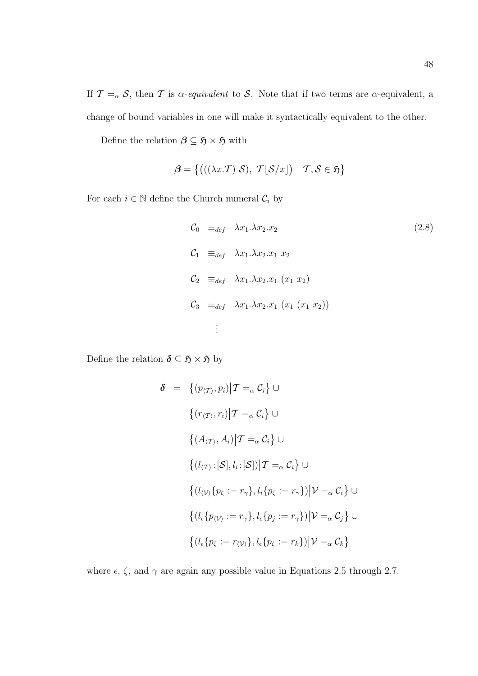If  $\mathcal{T} =_{\alpha} \mathcal{S}$ , then  $\mathcal{T}$  is  $\alpha$ -equivalent to  $\mathcal{S}$ . Note that if two terms are  $\alpha$ -equivalent, a change of bound variables in one will make it syntactically equivalent to the other.

Define the relation  $\boldsymbol{\beta} \subseteq \mathfrak{H} \times \mathfrak{H}$  with

$$
\boldsymbol{\beta} = \left\{ \left( ((\lambda x. \mathcal{T}) \mathcal{S}), \ \mathcal{T} \lfloor \mathcal{S}/x \rfloor \right) \mid \mathcal{T}, \mathcal{S} \in \mathfrak{H} \right\}
$$

For each  $i\in\mathbb{N}$  define the Church numeral  $\mathcal{C}_i$  by

$$
C_0 \equiv_{def} \lambda x_1.\lambda x_2.x_2
$$
\n
$$
C_1 \equiv_{def} \lambda x_1.\lambda x_2.x_1 x_2
$$
\n
$$
C_2 \equiv_{def} \lambda x_1.\lambda x_2.x_1 (x_1 x_2)
$$
\n
$$
C_3 \equiv_{def} \lambda x_1.\lambda x_2.x_1 (x_1 (x_1 x_2))
$$
\n
$$
\vdots
$$
\n(2.8)

Define the relation  $\pmb{\delta} \subseteq \mathfrak{H} \times \mathfrak{H}$  by

$$
\delta = \left\{ (p_{\langle T \rangle}, p_i) | T =_{\alpha} C_i \right\} \cup
$$
\n
$$
\left\{ (r_{\langle T \rangle}, r_i) | T =_{\alpha} C_i \right\} \cup
$$
\n
$$
\left\{ (A_{\langle T \rangle}, A_i) | T =_{\alpha} C_i \right\} \cup
$$
\n
$$
\left\{ (l_{\langle T \rangle} : [\mathcal{S}], l_i : [\mathcal{S}]) | T =_{\alpha} C_i \right\} \cup
$$
\n
$$
\left\{ (l_{\langle V \rangle} \{ p_{\zeta} := r_{\gamma} \}, l_i \{ p_{\zeta} := r_{\gamma} \}) | \mathcal{V} =_{\alpha} C_i \right\} \cup
$$
\n
$$
\left\{ (l_{\epsilon} \{ p_{\langle V \rangle} := r_{\gamma} \}, l_{\epsilon} \{ p_j := r_{\gamma} \}) | \mathcal{V} =_{\alpha} C_j \right\} \cup
$$
\n
$$
\left\{ (l_{\epsilon} \{ p_{\zeta} := r_{\langle V \rangle} \}, l_{\epsilon} \{ p_{\zeta} := r_k \}) | \mathcal{V} =_{\alpha} C_k \right\}
$$

where  $\epsilon,$   $\zeta,$  and  $\gamma$  are again any possible value in Equations 2.5 through 2.7.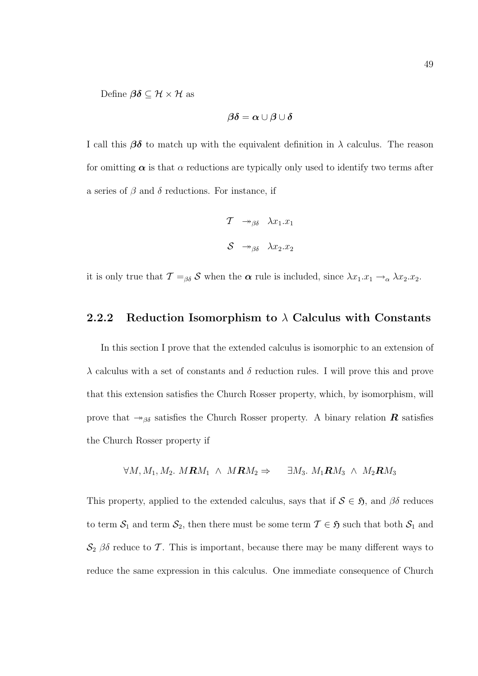Define  $\boldsymbol{\beta}\boldsymbol{\delta} \subseteq \mathcal{H} \times \mathcal{H}$  as

$$
\beta\delta=\alpha\cup\beta\cup\delta
$$

I call this  $\beta\delta$  to match up with the equivalent definition in  $\lambda$  calculus. The reason for omitting  $\alpha$  is that  $\alpha$  reductions are typically only used to identify two terms after a series of  $\beta$  and  $\delta$  reductions. For instance, if

$$
\begin{array}{ccc}\n\mathcal{T} & \twoheadrightarrow_{\beta\delta} & \lambda x_1.x_1 \\
\mathcal{S} & \twoheadrightarrow_{\beta\delta} & \lambda x_2.x_2\n\end{array}
$$

it is only true that  $\mathcal{T} =_{\beta\delta} \mathcal{S}$  when the  $\alpha$  rule is included, since  $\lambda x_1.x_1 \rightarrow_\alpha \lambda x_2.x_2$ .

#### 2.2.2 Reduction Isomorphism to  $\lambda$  Calculus with Constants

In this section I prove that the extended calculus is isomorphic to an extension of  $\lambda$  calculus with a set of constants and  $\delta$  reduction rules. I will prove this and prove that this extension satisfies the Church Rosser property, which, by isomorphism, will prove that  $\rightarrow_{\beta\delta}$  satisfies the Church Rosser property. A binary relation R satisfies the Church Rosser property if

$$
\forall M, M_1, M_2. \; MRM_1 \;\land\; MRM_2 \Rightarrow \quad \exists M_3. \; M_1\mathbf{R}M_3 \;\land\; M_2\mathbf{R}M_3
$$

This property, applied to the extended calculus, says that if  $S \in \mathfrak{H}$ , and  $\beta\delta$  reduces to term  $S_1$  and term  $S_2$ , then there must be some term  $\mathcal{T} \in \mathfrak{H}$  such that both  $S_1$  and  $\mathcal{S}_2$   $\beta\delta$  reduce to T. This is important, because there may be many different ways to reduce the same expression in this calculus. One immediate consequence of Church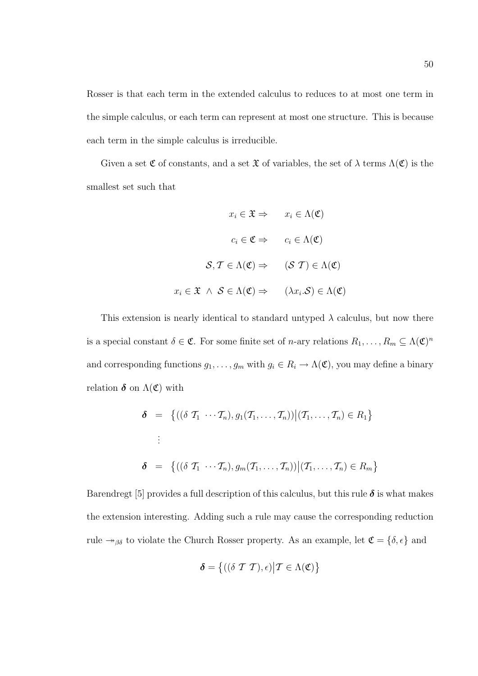Rosser is that each term in the extended calculus to reduces to at most one term in the simple calculus, or each term can represent at most one structure. This is because each term in the simple calculus is irreducible.

Given a set  $\mathfrak C$  of constants, and a set  $\mathfrak X$  of variables, the set of  $\lambda$  terms  $\Lambda(\mathfrak C)$  is the smallest set such that

$$
x_i \in \mathfrak{X} \Rightarrow x_i \in \Lambda(\mathfrak{C})
$$

$$
c_i \in \mathfrak{C} \Rightarrow c_i \in \Lambda(\mathfrak{C})
$$

$$
\mathcal{S}, \mathcal{T} \in \Lambda(\mathfrak{C}) \Rightarrow (\mathcal{S}, \mathcal{T}) \in \Lambda(\mathfrak{C})
$$

$$
x_i \in \mathfrak{X} \land \mathcal{S} \in \Lambda(\mathfrak{C}) \Rightarrow (\lambda x_i.\mathcal{S}) \in \Lambda(\mathfrak{C})
$$

This extension is nearly identical to standard untyped  $\lambda$  calculus, but now there is a special constant  $\delta \in \mathfrak{C}$ . For some finite set of *n*-ary relations  $R_1, \ldots, R_m \subseteq \Lambda(\mathfrak{C})^n$ and corresponding functions  $g_1, \ldots, g_m$  with  $g_i \in R_i \to \Lambda(\mathfrak{C})$ , you may define a binary relation  $\delta$  on  $\Lambda(\mathfrak{C})$  with

$$
\delta = \left\{ ((\delta \mathcal{T}_1 \cdots \mathcal{T}_n), g_1(\mathcal{T}_1, \dots, \mathcal{T}_n)) \middle| (\mathcal{T}_1, \dots, \mathcal{T}_n) \in R_1 \right\}
$$
  
:  

$$
\delta = \left\{ ((\delta \mathcal{T}_1 \cdots \mathcal{T}_n), g_m(\mathcal{T}_1, \dots, \mathcal{T}_n)) \middle| (\mathcal{T}_1, \dots, \mathcal{T}_n) \in R_m \right\}
$$

Barendregt [5] provides a full description of this calculus, but this rule  $\delta$  is what makes the extension interesting. Adding such a rule may cause the corresponding reduction rule  $\rightarrow_{\beta\delta}$  to violate the Church Rosser property. As an example, let  $\mathfrak{C} = \{\delta, \epsilon\}$  and

$$
\boldsymbol{\delta} = \left\{ \left( (\delta \mathcal{T} \mathcal{T}), \epsilon \right) \middle| \mathcal{T} \in \Lambda(\mathfrak{C}) \right\}
$$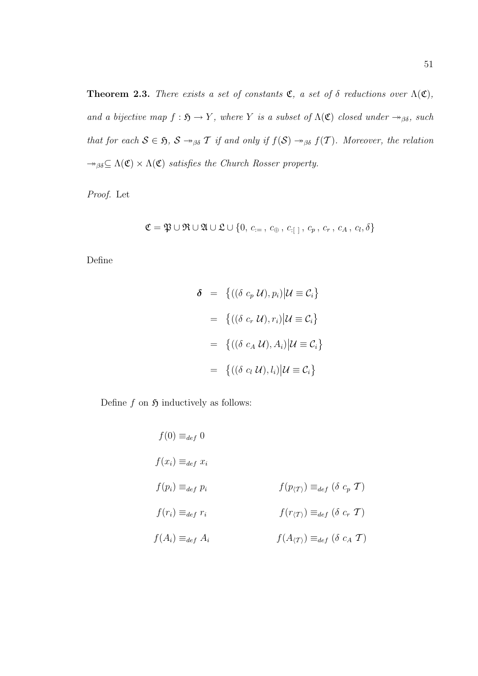**Theorem 2.3.** There exists a set of constants  $\mathfrak{C}$ , a set of  $\delta$  reductions over  $\Lambda(\mathfrak{C})$ , and a bijective map  $f : \mathfrak{H} \to Y$ , where Y is a subset of  $\Lambda(\mathfrak{C})$  closed under  $\rightarrow_{\beta\delta}$ , such that for each  $S \in \mathfrak{H}$ ,  $S \rightarrow_{\beta \delta} \mathcal{T}$  if and only if  $f(S) \rightarrow_{\beta \delta} f(\mathcal{T})$ . Moreover, the relation  $\rightarrow_{\beta\delta} \subseteq \Lambda(\mathfrak{C}) \times \Lambda(\mathfrak{C})$  satisfies the Church Rosser property.

Proof. Let

$$
\mathfrak{C} = \mathfrak{P} \cup \mathfrak{R} \cup \mathfrak{A} \cup \mathfrak{L} \cup \{0, c_{i=1}, c_{\oplus}, c_{i+1}, c_p, c_r, c_A, c_l, \delta\}
$$

Define

$$
\delta = \{((\delta c_p \mathcal{U}), p_i) | \mathcal{U} \equiv \mathcal{C}_i\}
$$

$$
= \{((\delta c_r \mathcal{U}), r_i) | \mathcal{U} \equiv \mathcal{C}_i\}
$$

$$
= \{((\delta c_A \mathcal{U}), A_i) | \mathcal{U} \equiv \mathcal{C}_i\}
$$

$$
= \{((\delta c_l \mathcal{U}), l_i) | \mathcal{U} \equiv \mathcal{C}_i\}
$$

Define f on  $\mathfrak H$  inductively as follows:

 $f(0) \equiv_{def} 0$  $f(x_i) \equiv_{def} x_i$  $f(p_i) \equiv_{def} p_i$  f(p<sub>(T)</sub>)  $\equiv_{def} (\delta c_p \mathcal{T})$  $f(r_i) \equiv_{def} r_i$  f( $r_{\langle \mathcal{T} \rangle}$ )  $\equiv_{def} (\delta \ c_r \ \mathcal{T})$  $f(A_i) \equiv_{def} A_i$   $f(A_{(\mathcal{T})}) \equiv_{def} (\delta c_A \mathcal{T})$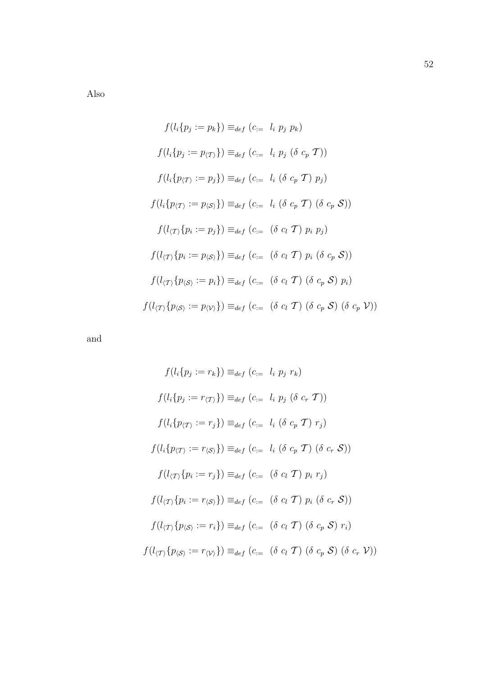Also

$$
f(l_i\{p_j := p_k\}) \equiv_{def} (c_{:=} l_i p_j p_k)
$$
  
\n
$$
f(l_i\{p_j := p_{\langle T\rangle}\}) \equiv_{def} (c_{:=} l_i p_j (\delta c_p T))
$$
  
\n
$$
f(l_i\{p_{\langle T\rangle} := p_j\}) \equiv_{def} (c_{:=} l_i (\delta c_p T) p_j)
$$
  
\n
$$
f(l_i\{p_{\langle T\rangle} := p_{\langle S\rangle}\}) \equiv_{def} (c_{:=} l_i (\delta c_p T) (\delta c_p S))
$$
  
\n
$$
f(l_{\langle T\rangle}\{p_i := p_j\}) \equiv_{def} (c_{:=} (\delta c_l T) p_i p_j)
$$
  
\n
$$
f(l_{\langle T\rangle}\{p_i := p_{\langle S\rangle}\}) \equiv_{def} (c_{:=} (\delta c_l T) (\delta c_p S) p_i)
$$
  
\n
$$
f(l_{\langle T\rangle}\{p_{\langle S\rangle} := p_i\}) \equiv_{def} (c_{:=} (\delta c_l T) (\delta c_p S) p_i)
$$
  
\n
$$
f(l_{\langle T\rangle}\{p_{\langle S\rangle} := p_{\langle V\rangle}\}) \equiv_{def} (c_{:=} (\delta c_l T) (\delta c_p S) (\delta c_p V))
$$

and

$$
f(l_i\{p_j := r_k\}) \equiv_{def} (c_{:=} l_i p_j r_k)
$$
  
\n
$$
f(l_i\{p_j := r_{\langle T \rangle}\}) \equiv_{def} (c_{:=} l_i p_j (\delta c_r T))
$$
  
\n
$$
f(l_i\{p_{\langle T \rangle} := r_j\}) \equiv_{def} (c_{:=} l_i (\delta c_p T) r_j)
$$
  
\n
$$
f(l_i\{p_{\langle T \rangle} := r_{\langle S \rangle}\}) \equiv_{def} (c_{:=} l_i (\delta c_p T) (\delta c_r S))
$$
  
\n
$$
f(l_{\langle T \rangle}\{p_i := r_j\}) \equiv_{def} (c_{:=} (\delta c_l T) p_i r_j)
$$
  
\n
$$
f(l_{\langle T \rangle}\{p_i := r_{\langle S \rangle}\}) \equiv_{def} (c_{:=} (\delta c_l T) p_i (\delta c_r S))
$$
  
\n
$$
f(l_{\langle T \rangle}\{p_{\langle S \rangle} := r_i\}) \equiv_{def} (c_{:=} (\delta c_l T) (\delta c_p S) r_i)
$$
  
\n
$$
f(l_{\langle T \rangle}\{p_{\langle S \rangle} := r_{\langle V \rangle}\}) \equiv_{def} (c_{:=} (\delta c_l T) (\delta c_p S) (\delta c_r V))
$$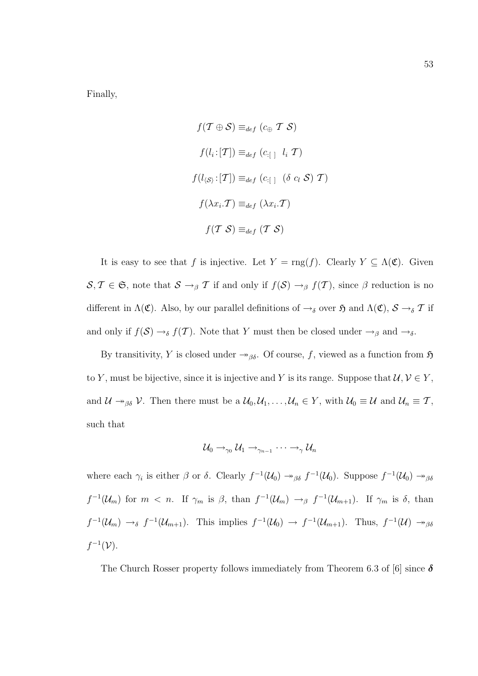Finally,

$$
f(\mathcal{T} \oplus \mathcal{S}) \equiv_{def} (c_{\oplus} \mathcal{T} \mathcal{S})
$$

$$
f(l_i : [\mathcal{T}]) \equiv_{def} (c_{\cdot} \mathcal{T} \mathcal{T})
$$

$$
f(l_{\langle \mathcal{S} \rangle} : [\mathcal{T}]) \equiv_{def} (c_{\cdot} \mathcal{T} \mathcal{T})
$$

$$
f(\lambda x_i \mathcal{T}) \equiv_{def} (\lambda x_i \mathcal{T})
$$

$$
f(\mathcal{T} \mathcal{S}) \equiv_{def} (\mathcal{T} \mathcal{S})
$$

It is easy to see that f is injective. Let  $Y = \text{rng}(f)$ . Clearly  $Y \subseteq \Lambda(\mathfrak{C})$ . Given  $S, \mathcal{T} \in \mathfrak{S}$ , note that  $S \to_{\beta} \mathcal{T}$  if and only if  $f(S) \to_{\beta} f(\mathcal{T})$ , since  $\beta$  reduction is no different in  $\Lambda(\mathfrak{C})$ . Also, by our parallel definitions of  $\rightarrow_{\delta}$  over  $\mathfrak{H}$  and  $\Lambda(\mathfrak{C})$ ,  $\mathcal{S} \rightarrow_{\delta} \mathcal{T}$  if and only if  $f(\mathcal{S}) \to_{\delta} f(\mathcal{T})$ . Note that Y must then be closed under  $\to_{\beta}$  and  $\to_{\delta}$ .

By transitivity, Y is closed under  $\rightarrow_{\beta\delta}$ . Of course, f, viewed as a function from  $\mathfrak{H}$ to Y, must be bijective, since it is injective and Y is its range. Suppose that  $\mathcal{U}, \mathcal{V} \in Y$ , and  $\mathcal{U} \rightarrow_{\beta \delta} \mathcal{V}$ . Then there must be a  $\mathcal{U}_0, \mathcal{U}_1, \ldots, \mathcal{U}_n \in Y$ , with  $\mathcal{U}_0 \equiv \mathcal{U}$  and  $\mathcal{U}_n \equiv \mathcal{T}$ , such that

$$
\mathcal{U}_0 \rightarrow_{\gamma_0} \mathcal{U}_1 \rightarrow_{\gamma_{n-1}} \cdots \rightarrow_{\gamma} \mathcal{U}_n
$$

where each  $\gamma_i$  is either  $\beta$  or  $\delta$ . Clearly  $f^{-1}(\mathcal{U}_0) \to_{\beta\delta} f^{-1}(\mathcal{U}_0)$ . Suppose  $f^{-1}(\mathcal{U}_0) \to_{\beta\delta} f^{-1}(\mathcal{U}_0)$  $f^{-1}(\mathcal{U}_m)$  for  $m < n$ . If  $\gamma_m$  is  $\beta$ , than  $f^{-1}(\mathcal{U}_m) \to_{\beta} f^{-1}(\mathcal{U}_{m+1})$ . If  $\gamma_m$  is  $\delta$ , than  $f^{-1}(\mathcal{U}_m) \to_{\delta} f^{-1}(\mathcal{U}_{m+1})$ . This implies  $f^{-1}(\mathcal{U}_0) \to f^{-1}(\mathcal{U}_{m+1})$ . Thus,  $f^{-1}(\mathcal{U}) \to_{\beta\delta}$  $f^{-1}(\mathcal{V}).$ 

The Church Rosser property follows immediately from Theorem 6.3 of [6] since  $\delta$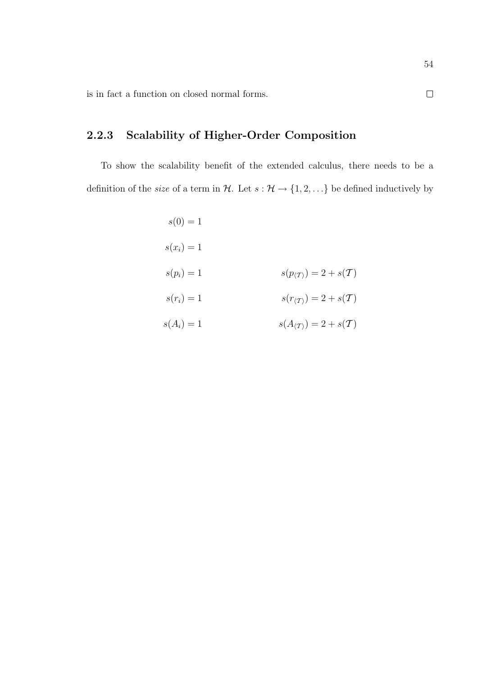is in fact a function on closed normal forms.

# 2.2.3 Scalability of Higher-Order Composition

To show the scalability benefit of the extended calculus, there needs to be a definition of the *size* of a term in  $\mathcal{H}$ . Let  $s : \mathcal{H} \to \{1, 2, ...\}$  be defined inductively by

|                                                 | $s(0) = 1$ |
|-------------------------------------------------|------------|
|                                                 | $s(x_i)=1$ |
| $s(p_{\langle T \rangle}) = 2 + s(\mathcal{T})$ | $s(p_i)=1$ |
| $s(r_{\langle T \rangle}) = 2 + s(\mathcal{T})$ | $s(r_i)=1$ |
| $s(A_{\langle T \rangle}) = 2 + s(\mathcal{T})$ | $s(A_i)=1$ |

 $\Box$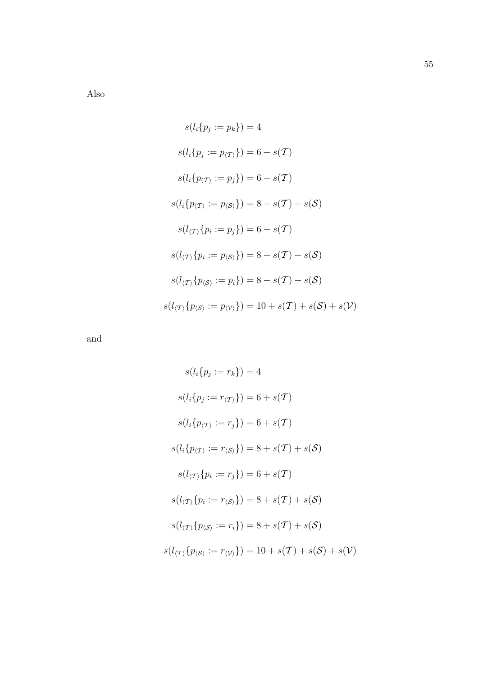Also

$$
s(l_i\{p_j := p_k\}) = 4
$$
  
\n
$$
s(l_i\{p_j := p_{\langle T\rangle}\}) = 6 + s(\mathcal{T})
$$
  
\n
$$
s(l_i\{p_{\langle T\rangle} := p_j\}) = 6 + s(\mathcal{T})
$$
  
\n
$$
s(l_i\{p_{\langle T\rangle} := p_{\langle S\rangle}\}) = 8 + s(\mathcal{T}) + s(\mathcal{S})
$$
  
\n
$$
s(l_{\langle T\rangle}\{p_i := p_j\}) = 6 + s(\mathcal{T})
$$
  
\n
$$
s(l_{\langle T\rangle}\{p_i := p_{\langle S\rangle}\}) = 8 + s(\mathcal{T}) + s(\mathcal{S})
$$
  
\n
$$
s(l_{\langle T\rangle}\{p_{\langle S\rangle} := p_i\}) = 8 + s(\mathcal{T}) + s(\mathcal{S}) + s(\mathcal{V})
$$

and

$$
s(l_i\{p_j := r_k\}) = 4
$$
  
\n
$$
s(l_i\{p_j := r_{\langle T \rangle}\}) = 6 + s(\mathcal{T})
$$
  
\n
$$
s(l_i\{p_{\langle T \rangle} := r_j\}) = 6 + s(\mathcal{T})
$$
  
\n
$$
s(l_i\{p_{\langle T \rangle} := r_{\langle S \rangle}\}) = 8 + s(\mathcal{T}) + s(\mathcal{S})
$$
  
\n
$$
s(l_{\langle T \rangle}\{p_i := r_j\}) = 6 + s(\mathcal{T})
$$
  
\n
$$
s(l_{\langle T \rangle}\{p_i := r_{\langle S \rangle}\}) = 8 + s(\mathcal{T}) + s(\mathcal{S})
$$
  
\n
$$
s(l_{\langle T \rangle}\{p_{\langle S \rangle} := r_i\}) = 8 + s(\mathcal{T}) + s(\mathcal{S})
$$
  
\n
$$
s(l_{\langle T \rangle}\{p_{\langle S \rangle} := r_{\langle V \rangle}\}) = 10 + s(\mathcal{T}) + s(\mathcal{S}) + s(\mathcal{V})
$$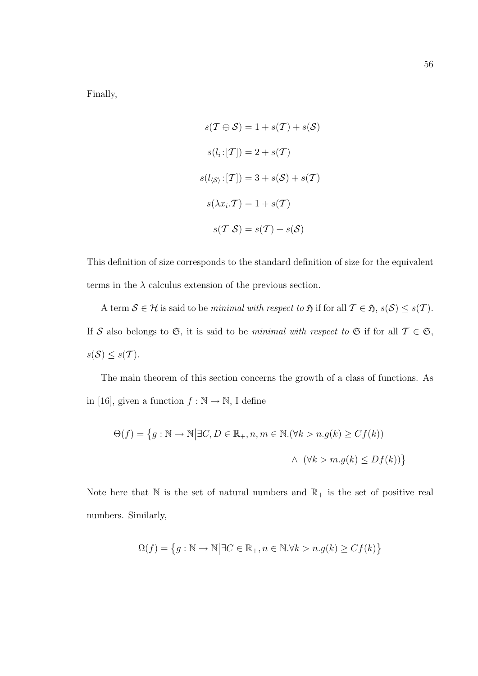Finally,

$$
s(\mathcal{T} \oplus \mathcal{S}) = 1 + s(\mathcal{T}) + s(\mathcal{S})
$$

$$
s(l_i : [\mathcal{T}]) = 2 + s(\mathcal{T})
$$

$$
s(l_{\langle \mathcal{S} \rangle} : [\mathcal{T}]) = 3 + s(\mathcal{S}) + s(\mathcal{T})
$$

$$
s(\lambda x_i \cdot \mathcal{T}) = 1 + s(\mathcal{T})
$$

$$
s(\mathcal{T} \mathcal{S}) = s(\mathcal{T}) + s(\mathcal{S})
$$

This definition of size corresponds to the standard definition of size for the equivalent terms in the  $\lambda$  calculus extension of the previous section.

A term  $S \in \mathcal{H}$  is said to be *minimal with respect to*  $\mathfrak{H}$  if for all  $\mathcal{T} \in \mathfrak{H}$ ,  $s(\mathcal{S}) \leq s(\mathcal{T})$ . If S also belongs to G, it is said to be minimal with respect to G if for all  $\mathcal{T} \in \mathfrak{S}$ ,  $s(\mathcal{S}) \leq s(\mathcal{T}).$ 

The main theorem of this section concerns the growth of a class of functions. As in [16], given a function  $f : \mathbb{N} \to \mathbb{N}$ , I define

$$
\Theta(f) = \left\{ g : \mathbb{N} \to \mathbb{N} \middle| \exists C, D \in \mathbb{R}_+, n, m \in \mathbb{N}. (\forall k > n. g(k) \ge C f(k)) \right\}
$$
\n
$$
\land \quad (\forall k > m. g(k) \le D f(k)) \right\}
$$

Note here that  $\mathbb N$  is the set of natural numbers and  $\mathbb R_+$  is the set of positive real numbers. Similarly,

$$
\Omega(f) = \left\{ g : \mathbb{N} \to \mathbb{N} \middle| \exists C \in \mathbb{R}_+, n \in \mathbb{N}. \forall k > n. g(k) \ge C f(k) \right\}
$$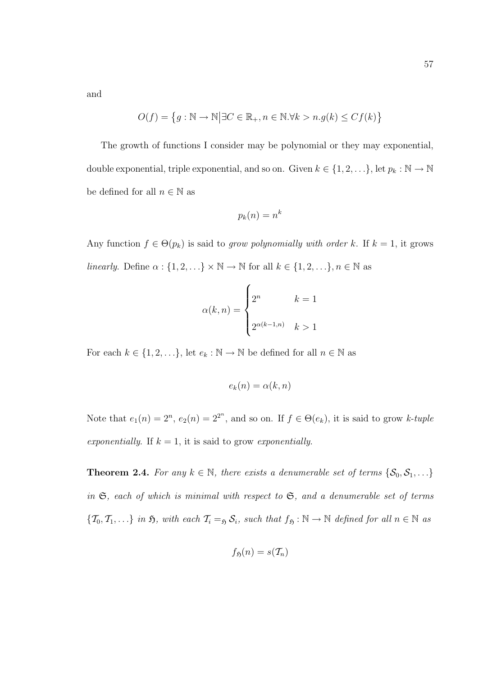and

$$
O(f) = \left\{ g : \mathbb{N} \to \mathbb{N} \middle| \exists C \in \mathbb{R}_+, n \in \mathbb{N}. \forall k > n. g(k) \le C f(k) \right\}
$$

The growth of functions I consider may be polynomial or they may exponential, double exponential, triple exponential, and so on. Given  $k \in \{1, 2, \ldots\}$ , let  $p_k : \mathbb{N} \to \mathbb{N}$ be defined for all  $n \in \mathbb{N}$  as

$$
p_k(n) = n^k
$$

Any function  $f \in \Theta(p_k)$  is said to grow polynomially with order k. If  $k = 1$ , it grows linearly. Define  $\alpha$  :  $\{1, 2, \ldots\} \times \mathbb{N} \to \mathbb{N}$  for all  $k \in \{1, 2, \ldots\}, n \in \mathbb{N}$  as

$$
\alpha(k,n) = \begin{cases} 2^n & k=1\\ 2^{\alpha(k-1,n)} & k>1 \end{cases}
$$

For each  $k \in \{1, 2, \ldots\}$ , let  $e_k : \mathbb{N} \to \mathbb{N}$  be defined for all  $n \in \mathbb{N}$  as

$$
e_k(n) = \alpha(k, n)
$$

Note that  $e_1(n) = 2^n$ ,  $e_2(n) = 2^{2^n}$ , and so on. If  $f \in \Theta(e_k)$ , it is said to grow k-tuple exponentially. If  $k = 1$ , it is said to grow exponentially.

**Theorem 2.4.** For any  $k \in \mathbb{N}$ , there exists a denumerable set of terms  $\{\mathcal{S}_0, \mathcal{S}_1, \ldots\}$ in  $\mathfrak{S}$ , each of which is minimal with respect to  $\mathfrak{S}$ , and a denumerable set of terms  $\{\mathcal{T}_0, \mathcal{T}_1, \ldots\}$  in  $\mathfrak{H}$ , with each  $\mathcal{T}_i =_{\mathfrak{H}} \mathcal{S}_i$ , such that  $f_{\mathfrak{H}} : \mathbb{N} \to \mathbb{N}$  defined for all  $n \in \mathbb{N}$  as

$$
f_{\mathfrak{H}}(n)=s(\mathcal{T}_n)
$$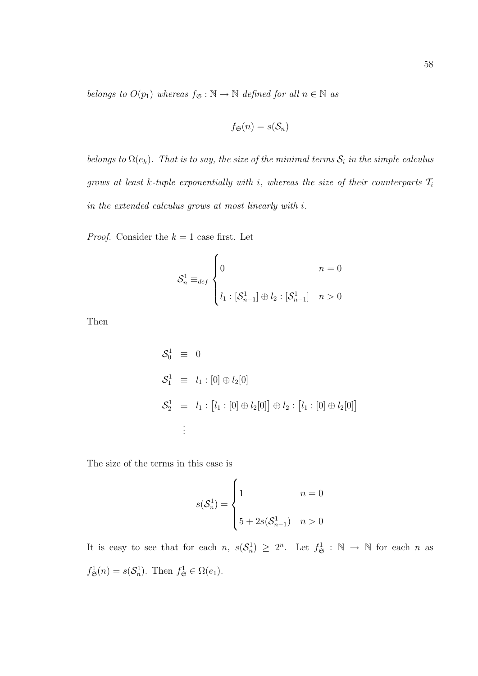belongs to  $O(p_1)$  whereas  $f_{\mathfrak{S}} : \mathbb{N} \to \mathbb{N}$  defined for all  $n \in \mathbb{N}$  as

$$
f_{\mathfrak{S}}(n)=s(\mathcal{S}_n)
$$

belongs to  $\Omega(e_k)$ . That is to say, the size of the minimal terms  $S_i$  in the simple calculus grows at least k-tuple exponentially with i, whereas the size of their counterparts  $\mathcal{T}_i$ in the extended calculus grows at most linearly with i.

*Proof.* Consider the  $k = 1$  case first. Let

$$
\mathcal{S}_n^1 \equiv_{def} \begin{cases} 0 & n = 0 \\ & \\ l_1 : [\mathcal{S}_{n-1}^1] \oplus l_2 : [\mathcal{S}_{n-1}^1] & n > 0 \end{cases}
$$

Then

$$
S_0^1 \equiv 0
$$
  
\n
$$
S_1^1 \equiv l_1 : [0] \oplus l_2[0]
$$
  
\n
$$
S_2^1 \equiv l_1 : [l_1 : [0] \oplus l_2[0]] \oplus l_2 : [l_1 : [0] \oplus l_2[0]]
$$
  
\n
$$
\vdots
$$

The size of the terms in this case is

$$
s(\mathcal{S}_n^1) = \begin{cases} 1 & n = 0\\ 5 + 2s(\mathcal{S}_{n-1}^1) & n > 0 \end{cases}
$$

It is easy to see that for each  $n, s(S_n^1) \geq 2^n$ . Let  $f_{\mathfrak{S}}^1 : \mathbb{N} \to \mathbb{N}$  for each n as  $f_{\mathfrak{S}}^1(n) = s(\mathcal{S}_n^1)$ . Then  $f_{\mathfrak{S}}^1 \in \Omega(e_1)$ .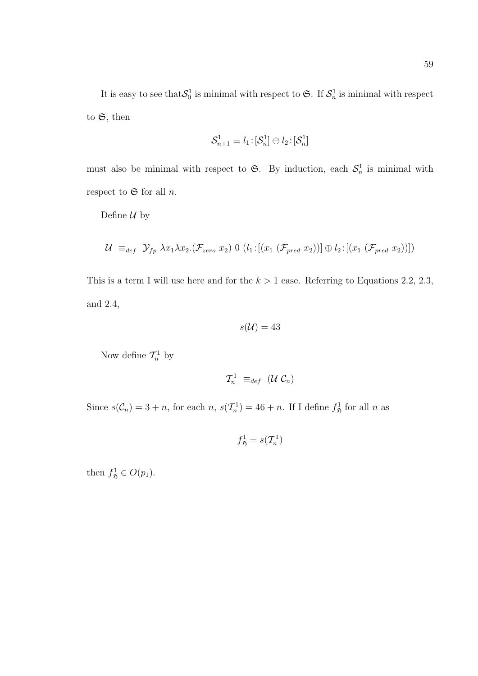It is easy to see that  $S_0^1$  is minimal with respect to G. If  $S_n^1$  is minimal with respect to  $\mathfrak{S}$ , then

$$
\mathcal{S}_{n+1}^1\equiv l_1\!:\![\mathcal{S}_{n}^1]\oplus l_2\!:\![\mathcal{S}_{n}^1]
$$

must also be minimal with respect to  $\mathfrak{S}$ . By induction, each  $\mathcal{S}_n^1$  is minimal with respect to  $\mathfrak S$  for all n.

Define  $\mathcal U$  by

$$
\mathcal{U} \equiv_{def} \mathcal{Y}_{fp} \ \lambda x_1 \lambda x_2 \cdot (\mathcal{F}_{zero} \ x_2) \ 0 \ (l_1: [(x_1 \ (\mathcal{F}_{pred} \ x_2))] \oplus l_2: [(x_1 \ (\mathcal{F}_{pred} \ x_2))])
$$

This is a term I will use here and for the  $k > 1$  case. Referring to Equations 2.2, 2.3, and 2.4,

$$
s(\mathcal{U})=43
$$

Now define  $\mathcal{T}_n^1$  by

$$
\mathcal{T}_n^1 \equiv_{def} (\mathcal{U} \; \mathcal{C}_n)
$$

Since  $s(\mathcal{C}_n) = 3 + n$ , for each  $n, s(\mathcal{T}_n^1) = 46 + n$ . If I define  $f_{\mathfrak{H}}^1$  for all  $n$  as

$$
f_{\mathfrak{H}}^1 = s(\mathcal{T}_n^1)
$$

then  $f_{\mathfrak{H}}^1 \in O(p_1)$ .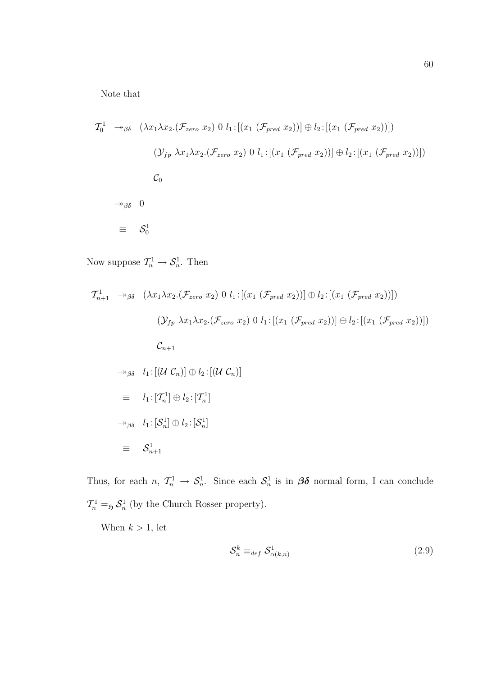Note that

$$
\mathcal{T}_0^1 \rightarrow_{\beta\delta} (\lambda x_1 \lambda x_2.(\mathcal{F}_{zero} x_2) 0 l_1: [(x_1 (\mathcal{F}_{pred} x_2))] \oplus l_2: [(x_1 (\mathcal{F}_{pred} x_2))])
$$
  

$$
(\mathcal{Y}_{fp} \lambda x_1 \lambda x_2.(\mathcal{F}_{zero} x_2) 0 l_1: [(x_1 (\mathcal{F}_{pred} x_2))] \oplus l_2: [(x_1 (\mathcal{F}_{pred} x_2))])
$$
  

$$
\mathcal{C}_0
$$
  

$$
\rightarrow_{\beta\delta} 0
$$
  

$$
\equiv \mathcal{S}_0^1
$$

Now suppose  $\mathcal{T}_n^1 \to \mathcal{S}_n^1$ . Then

$$
\mathcal{T}_{n+1}^{1} \rightarrow_{\beta\delta} (\lambda x_{1}\lambda x_{2}.(\mathcal{F}_{zero} x_{2}) 0 l_{1}:[(x_{1} (\mathcal{F}_{pred} x_{2}))]\oplus l_{2}:[(x_{1} (\mathcal{F}_{pred} x_{2}))])
$$
  

$$
(\mathcal{Y}_{fp} \lambda x_{1}\lambda x_{2}.(\mathcal{F}_{zero} x_{2}) 0 l_{1}:[(x_{1} (\mathcal{F}_{pred} x_{2}))]\oplus l_{2}:[(x_{1} (\mathcal{F}_{pred} x_{2}))])
$$
  

$$
\mathcal{C}_{n+1}
$$
  

$$
\rightarrow_{\beta\delta} l_{1}:[(U \mathcal{C}_{n})] \oplus l_{2}:[(U \mathcal{C}_{n})]
$$
  

$$
\equiv l_{1}:[\mathcal{T}_{n}^{1}] \oplus l_{2}:[\mathcal{T}_{n}^{1}]
$$
  

$$
\rightarrow_{\beta\delta} l_{1}:[\mathcal{S}_{n}^{1}] \oplus l_{2}:[\mathcal{S}_{n}^{1}]
$$
  

$$
\equiv \mathcal{S}_{n+1}^{1}
$$

Thus, for each  $n, \mathcal{T}_n^1 \to \mathcal{S}_n^1$ . Since each  $\mathcal{S}_n^1$  is in  $\beta\delta$  normal form, I can conclude  $\mathcal{T}_n^1 =_{\mathfrak{H}} \mathcal{S}_n^1$  (by the Church Rosser property).

When  $k > 1$ , let

$$
\mathcal{S}_n^k \equiv_{def} \mathcal{S}_{\alpha(k,n)}^1 \tag{2.9}
$$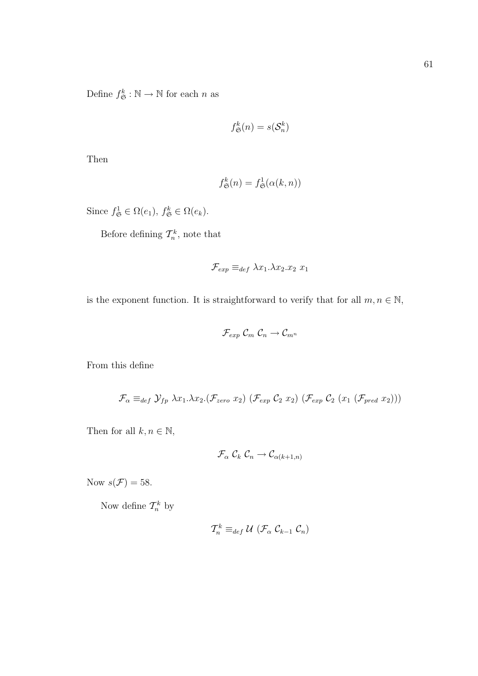Define  $f^k_{\mathfrak{S}} : \mathbb{N} \to \mathbb{N}$  for each *n* as

$$
f_{\mathfrak{S}}^k(n) = s(\mathcal{S}_n^k)
$$

Then

$$
f_{\mathfrak{S}}^k(n) = f_{\mathfrak{S}}^1(\alpha(k, n))
$$

Since  $f_{\mathfrak{S}}^1 \in \Omega(e_1)$ ,  $f_{\mathfrak{S}}^k \in \Omega(e_k)$ .

Before defining  $\mathcal{T}_n^k$ , note that

$$
\mathcal{F}_{exp} \equiv_{def} \lambda x_1. \lambda x_2. x_2 \; x_1
$$

is the exponent function. It is straightforward to verify that for all  $m, n \in \mathbb{N}$ ,

$$
\mathcal{F}_{exp} \mathcal{C}_m \mathcal{C}_n \to \mathcal{C}_{m^n}
$$

From this define

$$
\mathcal{F}_{\alpha} \equiv_{def} \mathcal{Y}_{fp} \lambda x_1. \lambda x_2. (\mathcal{F}_{zero} x_2) (\mathcal{F}_{exp} C_2 x_2) (\mathcal{F}_{exp} C_2 (x_1 (\mathcal{F}_{pred} x_2)))
$$

Then for all  $k, n \in \mathbb{N}$ ,

$$
\mathcal{F}_{\alpha}\; \mathcal{C}_k \;\mathcal{C}_n \to \mathcal{C}_{\alpha(k+1,n)}
$$

Now  $s(\mathcal{F}) = 58$ .

Now define  $\mathcal{T}_n^k$  by

$$
\mathcal{T}_n^k \equiv_{def} \mathcal{U} \ (\mathcal{F}_{\alpha} \ \mathcal{C}_{k-1} \ \mathcal{C}_n)
$$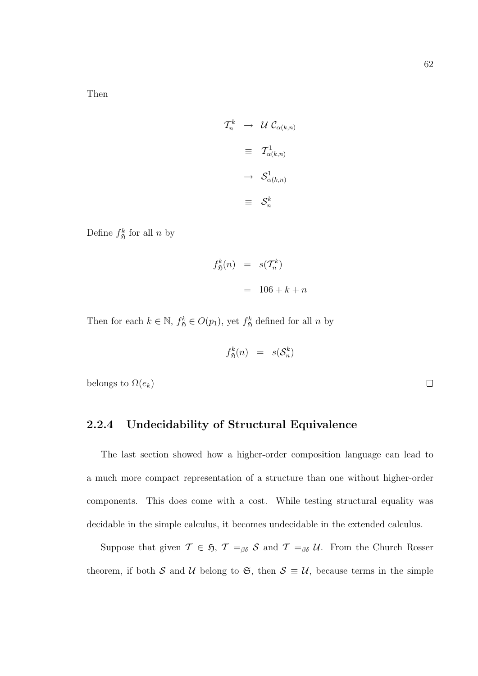Then

$$
\begin{aligned}\nT_n^k &\to \mathcal{U} \mathcal{C}_{\alpha(k,n)} \\
&\equiv \mathcal{T}_{\alpha(k,n)}^1 \\
&\to \mathcal{S}_{\alpha(k,n)}^1 \\
&\equiv \mathcal{S}_n^k\n\end{aligned}
$$

Define  $f_{\mathfrak{H}}^k$  for all n by

$$
f_{\mathfrak{H}}^k(n) = s(\mathcal{T}_n^k)
$$

$$
= 106 + k + n
$$

Then for each  $k \in \mathbb{N}$ ,  $f_{\mathfrak{H}}^k \in O(p_1)$ , yet  $f_{\mathfrak{H}}^k$  defined for all n by

$$
f_{\mathfrak{H}}^k(n) \;\; = \;\; s(\mathcal{S}_n^k)
$$

belongs to  $\Omega(e_k)$ 

#### 2.2.4 Undecidability of Structural Equivalence

The last section showed how a higher-order composition language can lead to a much more compact representation of a structure than one without higher-order components. This does come with a cost. While testing structural equality was decidable in the simple calculus, it becomes undecidable in the extended calculus.

Suppose that given  $\mathcal{T} \in \mathfrak{H}$ ,  $\mathcal{T} =_{\beta\delta} \mathcal{S}$  and  $\mathcal{T} =_{\beta\delta} \mathcal{U}$ . From the Church Rosser theorem, if both S and U belong to G, then  $S \equiv U$ , because terms in the simple

 $\Box$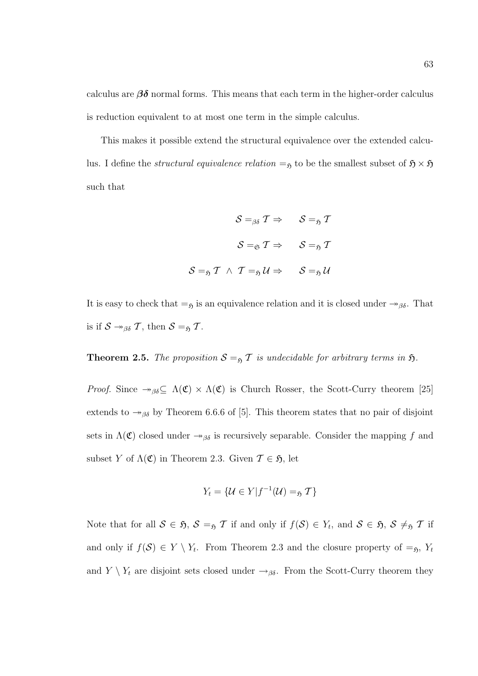calculus are  $\beta\delta$  normal forms. This means that each term in the higher-order calculus is reduction equivalent to at most one term in the simple calculus.

This makes it possible extend the structural equivalence over the extended calculus. I define the *structural equivalence relation*  $=$ <sub>5</sub> to be the smallest subset of  $\mathfrak{H} \times \mathfrak{H}$ such that

$$
\mathcal{S} =_{\beta\delta} \mathcal{T} \Rightarrow \qquad \mathcal{S} =_{\mathfrak{H}} \mathcal{T}
$$
\n
$$
\mathcal{S} =_{\mathfrak{S}} \mathcal{T} \Rightarrow \qquad \mathcal{S} =_{\mathfrak{H}} \mathcal{T}
$$
\n
$$
\mathcal{S} =_{\mathfrak{H}} \mathcal{T} \quad \wedge \quad \mathcal{T} =_{\mathfrak{H}} \mathcal{U} \Rightarrow \qquad \mathcal{S} =_{\mathfrak{H}} \mathcal{U}
$$

It is easy to check that  $=$ <sub>5</sub> is an equivalence relation and it is closed under  $\rightarrow$ <sub>βδ</sub>. That is if  $S \rightarrow_{\beta \delta} \mathcal{T}$ , then  $S =_{\mathfrak{H}} \mathcal{T}$ .

**Theorem 2.5.** The proposition  $S =_{\mathfrak{H}} T$  is undecidable for arbitrary terms in  $\mathfrak{H}$ .

*Proof.* Since  $\rightarrow_{\beta\delta} \subseteq \Lambda(\mathfrak{C}) \times \Lambda(\mathfrak{C})$  is Church Rosser, the Scott-Curry theorem [25] extends to  $\rightarrow_{\beta\delta}$  by Theorem 6.6.6 of [5]. This theorem states that no pair of disjoint sets in  $\Lambda(\mathfrak{C})$  closed under  $\rightarrow_{\beta\delta}$  is recursively separable. Consider the mapping f and subset Y of  $\Lambda(\mathfrak{C})$  in Theorem 2.3. Given  $\mathcal{T} \in \mathfrak{H}$ , let

$$
Y_t = \{ \mathcal{U} \in Y | f^{-1}(\mathcal{U}) =_{\mathfrak{H}} \mathcal{T} \}
$$

Note that for all  $S \in \mathfrak{H}$ ,  $S =_{\mathfrak{H}} T$  if and only if  $f(S) \in Y_t$ , and  $S \in \mathfrak{H}$ ,  $S \neq_{\mathfrak{H}} T$  if and only if  $f(\mathcal{S}) \in Y \setminus Y_t$ . From Theorem 2.3 and the closure property of  $=_{\mathfrak{H}}$ ,  $Y_t$ and  $Y \setminus Y_t$  are disjoint sets closed under  $\rightarrow_{\beta\delta}$ . From the Scott-Curry theorem they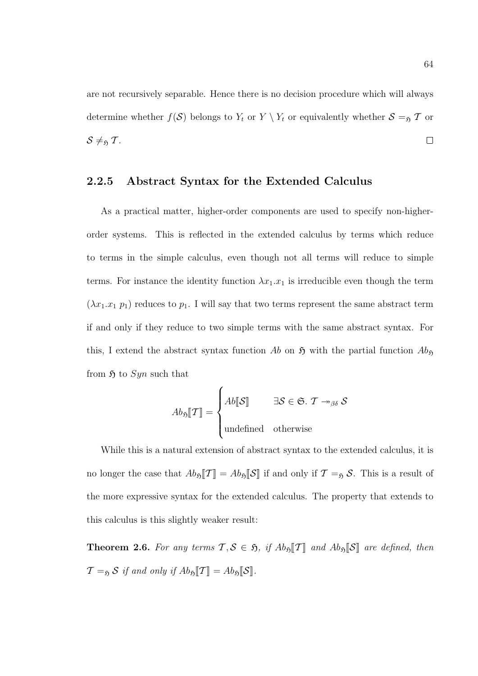are not recursively separable. Hence there is no decision procedure which will always determine whether  $f(\mathcal{S})$  belongs to  $Y_t$  or  $Y \setminus Y_t$  or equivalently whether  $\mathcal{S} =_{\mathfrak{H}} \mathcal{T}$  or  $S \neq_{\mathfrak{H}} T$ .  $\Box$ 

#### 2.2.5 Abstract Syntax for the Extended Calculus

As a practical matter, higher-order components are used to specify non-higherorder systems. This is reflected in the extended calculus by terms which reduce to terms in the simple calculus, even though not all terms will reduce to simple terms. For instance the identity function  $\lambda x_1 \cdot x_1$  is irreducible even though the term  $(\lambda x_1.x_1 p_1)$  reduces to  $p_1$ . I will say that two terms represent the same abstract term if and only if they reduce to two simple terms with the same abstract syntax. For this, I extend the abstract syntax function Ab on  $\mathfrak{H}$  with the partial function  $Ab_{\mathfrak{H}}$ from  $\mathfrak{H}$  to Syn such that

$$
Ab_{\mathfrak{H}}[\mathcal{T}] = \begin{cases} Ab[\mathcal{S}] & \exists \mathcal{S} \in \mathfrak{S}. \ \mathcal{T} \rightarrow_{\beta \delta} \mathcal{S} \\ \text{undefined} & \text{otherwise} \end{cases}
$$

While this is a natural extension of abstract syntax to the extended calculus, it is no longer the case that  $Ab_{\mathfrak{H}}[\mathcal{T}] = Ab_{\mathfrak{H}}[\mathcal{S}]$  if and only if  $\mathcal{T} =_{\mathfrak{H}} \mathcal{S}$ . This is a result of the more expressive syntax for the extended calculus. The property that extends to this calculus is this slightly weaker result:

**Theorem 2.6.** For any terms  $\mathcal{T}, \mathcal{S} \in \mathfrak{H}$ , if  $Ab_{\mathfrak{H}}[\mathcal{T}]$  and  $Ab_{\mathfrak{H}}[\mathcal{S}]$  are defined, then  $\mathcal{T} =_{\mathfrak{H}} S$  if and only if  $Ab_{\mathfrak{H}}[\mathcal{T}] = Ab_{\mathfrak{H}}[S]$ .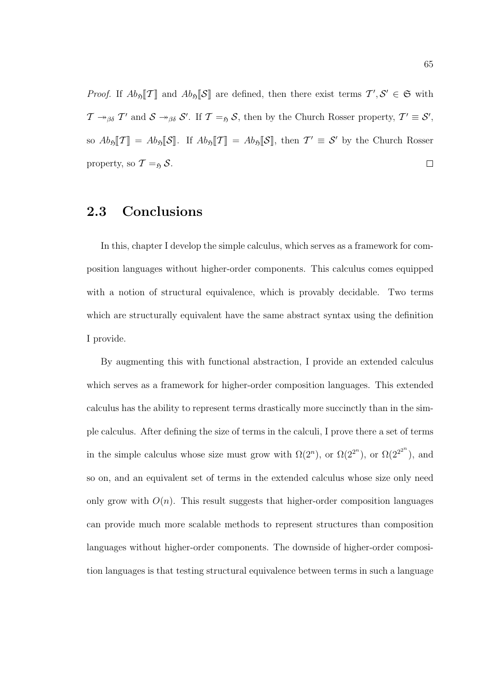*Proof.* If  $Ab_{\mathfrak{H}}[\mathcal{T}]$  and  $Ab_{\mathfrak{H}}[\mathcal{S}]$  are defined, then there exist terms  $\mathcal{T}', \mathcal{S}' \in \mathfrak{S}$  with  $\mathcal{T} \twoheadrightarrow_{\beta\delta} \mathcal{T}'$  and  $\mathcal{S} \twoheadrightarrow_{\beta\delta} \mathcal{S}'$ . If  $\mathcal{T} =_{\mathfrak{H}} \mathcal{S}$ , then by the Church Rosser property,  $\mathcal{T}' \equiv \mathcal{S}'$ , so  $Ab_{\mathfrak{H}}[\![\mathcal{T}]\!] = Ab_{\mathfrak{H}}[\![\mathcal{S}]\!]$ . If  $Ab_{\mathfrak{H}}[\![\mathcal{T}]\!] = Ab_{\mathfrak{H}}[\![\mathcal{S}]\!]$ , then  $\mathcal{T}' \equiv \mathcal{S}'$  by the Church Rosser property, so  $\mathcal{T} =_{\mathfrak{H}} \mathcal{S}$ .  $\overline{\phantom{a}}$ 

## 2.3 Conclusions

In this, chapter I develop the simple calculus, which serves as a framework for composition languages without higher-order components. This calculus comes equipped with a notion of structural equivalence, which is provably decidable. Two terms which are structurally equivalent have the same abstract syntax using the definition I provide.

By augmenting this with functional abstraction, I provide an extended calculus which serves as a framework for higher-order composition languages. This extended calculus has the ability to represent terms drastically more succinctly than in the simple calculus. After defining the size of terms in the calculi, I prove there a set of terms in the simple calculus whose size must grow with  $\Omega(2^n)$ , or  $\Omega(2^{2^n})$ , or  $\Omega(2^{2^{2^n}})$ , and so on, and an equivalent set of terms in the extended calculus whose size only need only grow with  $O(n)$ . This result suggests that higher-order composition languages can provide much more scalable methods to represent structures than composition languages without higher-order components. The downside of higher-order composition languages is that testing structural equivalence between terms in such a language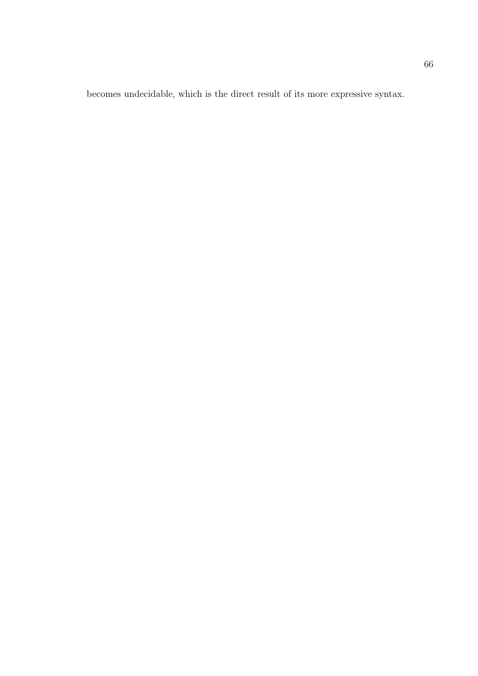becomes undecidable, which is the direct result of its more expressive syntax.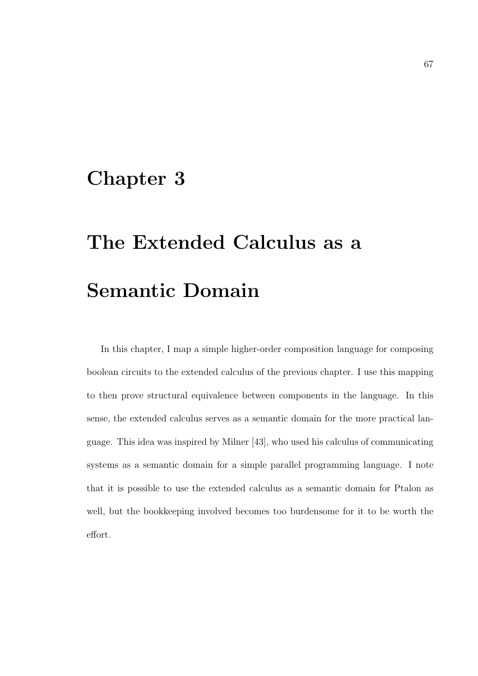# Chapter 3

# The Extended Calculus as a Semantic Domain

In this chapter, I map a simple higher-order composition language for composing boolean circuits to the extended calculus of the previous chapter. I use this mapping to then prove structural equivalence between components in the language. In this sense, the extended calculus serves as a semantic domain for the more practical language. This idea was inspired by Milner [43], who used his calculus of communicating systems as a semantic domain for a simple parallel programming language. I note that it is possible to use the extended calculus as a semantic domain for Ptalon as well, but the bookkeeping involved becomes too burdensome for it to be worth the effort.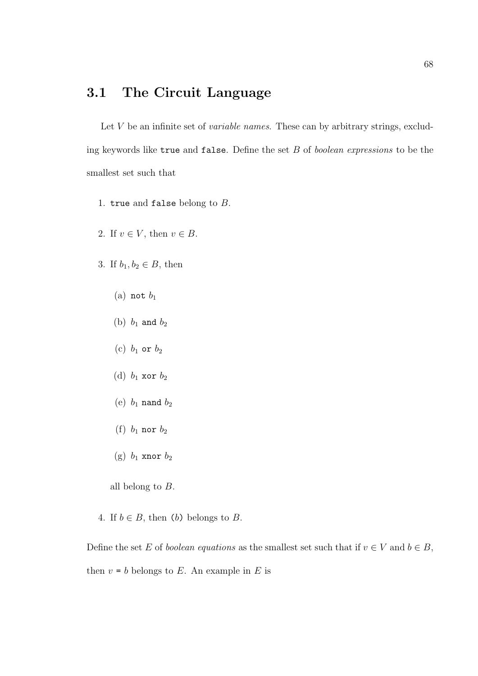## 3.1 The Circuit Language

Let  $V$  be an infinite set of *variable names*. These can by arbitrary strings, excluding keywords like true and false. Define the set B of boolean expressions to be the smallest set such that

- 1. true and false belong to  $B$ .
- 2. If  $v \in V$ , then  $v \in B$ .
- 3. If  $b_1, b_2 \in B$ , then
	- (a) not  $b_1$
	- (b)  $b_1$  and  $b_2$
	- (c)  $b_1$  or  $b_2$
	- (d)  $b_1$  xor  $b_2$
	- (e)  $b_1$  nand  $b_2$
	- (f)  $b_1$  nor  $b_2$
	- (g)  $b_1$  xnor  $b_2$

all belong to B.

4. If  $b \in B$ , then (b) belongs to B.

Define the set E of boolean equations as the smallest set such that if  $v \in V$  and  $b \in B$ , then  $v = b$  belongs to E. An example in E is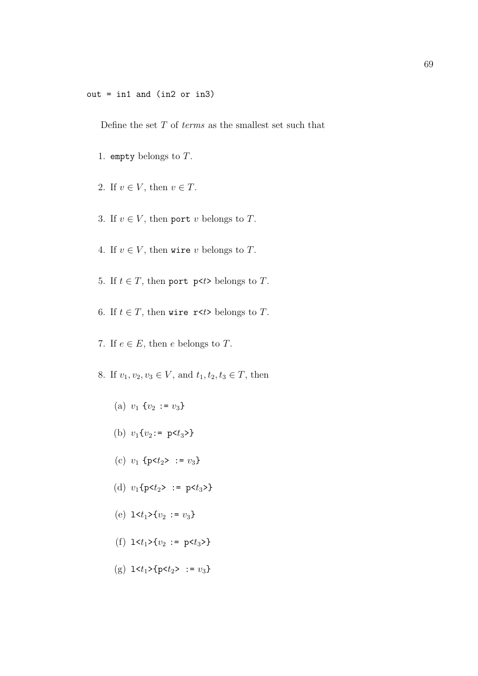Define the set  $T$  of *terms* as the smallest set such that

- 1. empty belongs to  $T$ .
- 2. If  $v \in V$ , then  $v \in T$ .
- 3. If  $v \in V$ , then port v belongs to T.
- 4. If  $v \in V$ , then wire v belongs to T.
- 5. If  $t \in T$ , then port p<t> belongs to T.
- 6. If  $t \in T$ , then wire r<t> belongs to T.
- 7. If  $e \in E$ , then e belongs to T.
- 8. If  $v_1, v_2, v_3 \in V$ , and  $t_1, t_2, t_3 \in T$ , then
	- (a)  $v_1$  { $v_2 := v_3$ }
	- (b)  $v_1\{v_2:=\; p \leq t_3\}$
	- (c)  $v_1$  {p< $t_2$ > :=  $v_3$ }
	- (d)  $v_1$ {p< $t_2$ > := p< $t_3$ >}
	- (e)  $1 \lt t_1 \gt \{v_2 := v_3\}$
	- (f)  $1 \lt t_1 > \{v_2 := p \lt t_3 > \}$
	- (g)  $1 \lt t_1 > \{p \lt t_2 > : = v_3\}$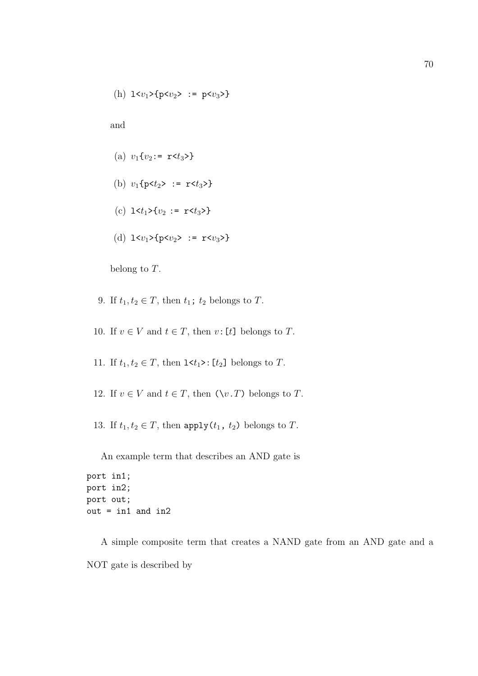(h) 
$$
1 < v_1 > {p < v_2} > : p < v_3 >
$$

and

- (a)  $v_1\{v_2:=\mathbf{r} < t_3 > \}$
- (b)  $v_1$ {p< $t_2$ > := r< $t_3$ >}
- (c)  $1 \lt t_1 > \{v_2 := r \lt t_3 > \}$
- (d)  $1 \le v_1 > \{p \le v_2 > : r \le v_3 > \}$

belong to T.

- 9. If  $t_1, t_2 \in T$ , then  $t_1$ ;  $t_2$  belongs to T.
- 10. If  $v \in V$  and  $t \in T$ , then  $v: [t]$  belongs to T.
- 11. If  $t_1, t_2 \in T$ , then  $1 \le t_1$ >:  $[t_2]$  belongs to T.
- 12. If  $v \in V$  and  $t \in T$ , then  $(\forall v \cdot T)$  belongs to T.
- 13. If  $t_1, t_2 \in T$ , then apply $(t_1, t_2)$  belongs to T.

An example term that describes an AND gate is

```
port in1;
port in2;
port out;
out = in1 and in2
```
A simple composite term that creates a NAND gate from an AND gate and a NOT gate is described by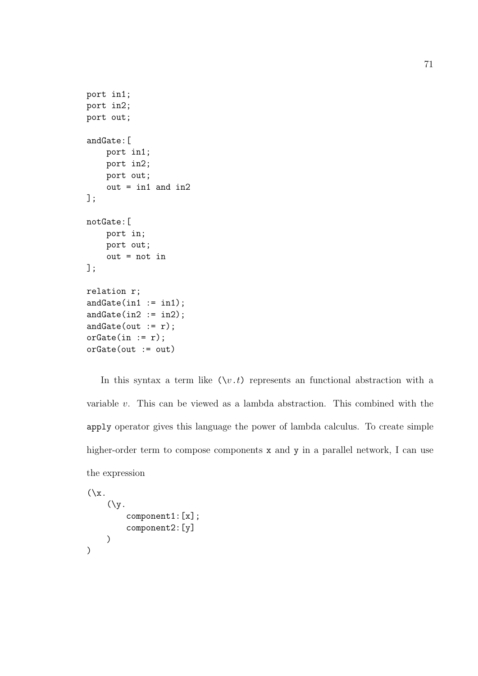```
port in1;
port in2;
port out;
andGate:[
    port in1;
    port in2;
    port out;
    out = in1 and in2];
notGate:[
    port in;
    port out;
    out = not in
];
relation r;
andGate(in1 := in1);andGate(in2 := in2);andGate(out := r);orGate(in := r);orGate(out := out)
```
In this syntax a term like  $(\forall v \cdot t)$  represents an functional abstraction with a variable  $v$ . This can be viewed as a lambda abstraction. This combined with the apply operator gives this language the power of lambda calculus. To create simple higher-order term to compose components x and y in a parallel network, I can use the expression

```
(\lambda x)(\forall y).
           component1:[x];
           component2:[y]
     )
)
```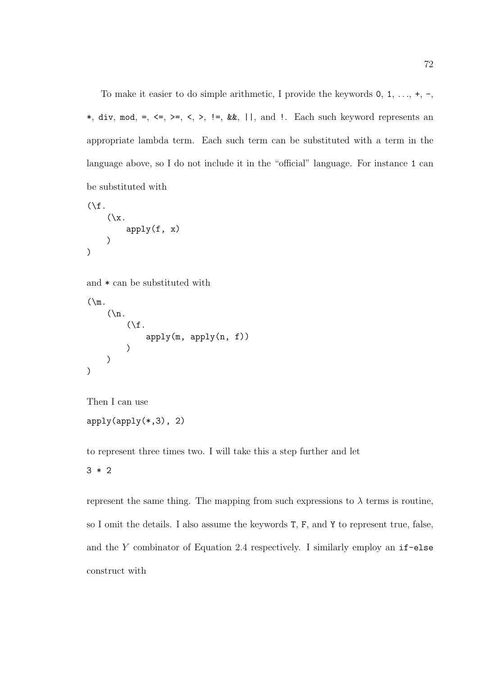To make it easier to do simple arithmetic, I provide the keywords  $0, 1, \ldots, +, -$ , \*, div, mod, =,  $\leq$ ,  $\geq$ ,  $\leq$ ,  $\leq$ ,  $\leq$ ,  $\leq$ ,  $\leq$ ,  $\leq$ ,  $\leq$ ,  $\leq$ ,  $\leq$ ,  $\leq$ ,  $\leq$ ,  $\leq$ ,  $\leq$ ,  $\leq$ ,  $\leq$ ,  $\leq$ ,  $\leq$ ,  $\leq$ ,  $\leq$ ,  $\leq$ ,  $\leq$ ,  $\leq$ ,  $\leq$ ,  $\leq$ ,  $\leq$ ,  $\leq$ ,  $\leq$ ,  $\$ appropriate lambda term. Each such term can be substituted with a term in the language above, so I do not include it in the "official" language. For instance 1 can be substituted with

```
(\forall f.(\lambda x).
              apply(f, x))
)
```

```
and * can be substituted with
```

```
(\mathcal{m}).
       (\n\vee n).
              (\forall f.apply(m, apply(n, f))
              )
       )
)
```

```
Then I can use
```

```
apply(apply(*,3), 2)
```
to represent three times two. I will take this a step further and let

3 \* 2

represent the same thing. The mapping from such expressions to  $\lambda$  terms is routine, so I omit the details. I also assume the keywords T, F, and Y to represent true, false, and the  $Y$  combinator of Equation 2.4 respectively. I similarly employ an  $if$ -else construct with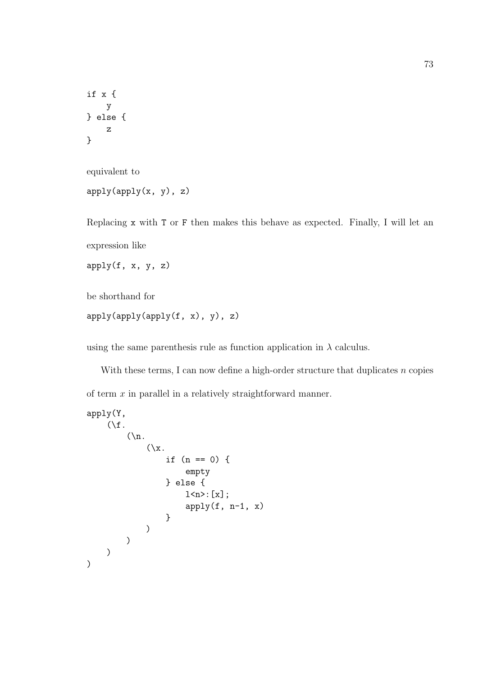```
if x {
    y
} else {
    z
}
```

```
equivalent to
```

```
apply(apply(x, y), z)
```
Replacing x with T or F then makes this behave as expected. Finally, I will let an expression like

apply(f, x, y, z)

be shorthand for

```
apply(apply(apply(f, x), y), z)
```
using the same parenthesis rule as function application in  $\lambda$  calculus.

With these terms, I can now define a high-order structure that duplicates  $n$  copies of term  $x$  in parallel in a relatively straightforward manner.

```
apply(Y,
     (\forall f.(\n\lambda n.
                (\chi_x)if (n == 0) {
                           empty
                     } else {
                           1 <n > : [x];
                           apply(f, n-1, x)}
                )
          )
     )
)
```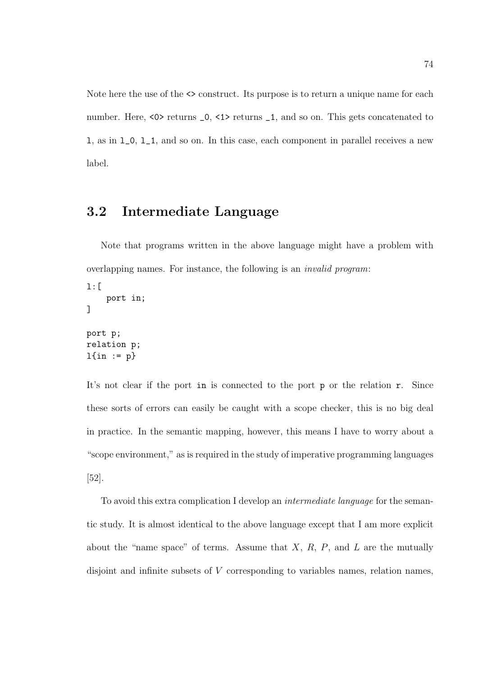Note here the use of the  $\leq$  construct. Its purpose is to return a unique name for each number. Here, <0> returns  $\_0$ , <1> returns  $\_1$ , and so on. This gets concatenated to l, as in l\_0, l\_1, and so on. In this case, each component in parallel receives a new label.

## 3.2 Intermediate Language

Note that programs written in the above language might have a problem with overlapping names. For instance, the following is an invalid program:

```
l:[
    port in;
]
port p;
relation p;
l{in := p}
```
It's not clear if the port in is connected to the port p or the relation r. Since these sorts of errors can easily be caught with a scope checker, this is no big deal in practice. In the semantic mapping, however, this means I have to worry about a "scope environment," as is required in the study of imperative programming languages [52].

To avoid this extra complication I develop an intermediate language for the semantic study. It is almost identical to the above language except that I am more explicit about the "name space" of terms. Assume that  $X, R, P$ , and  $L$  are the mutually disjoint and infinite subsets of V corresponding to variables names, relation names,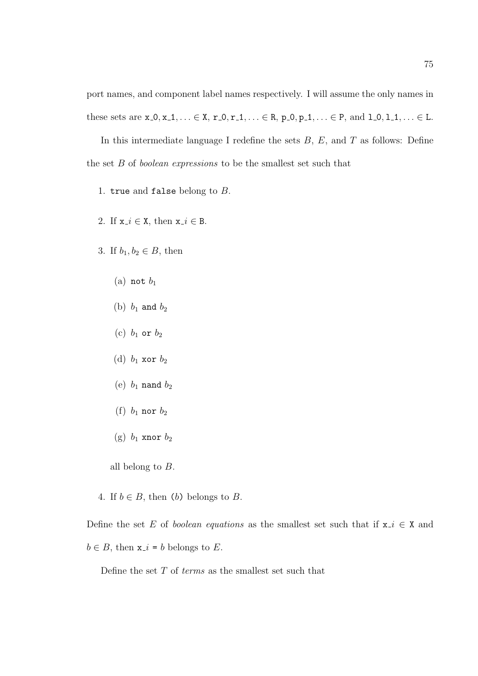port names, and component label names respectively. I will assume the only names in these sets are  $x_0, x_1, \ldots \in X$ ,  $r_0, r_1, \ldots \in R$ ,  $p_0, p_1, \ldots \in P$ , and  $1_0, 1_1, \ldots \in L$ .

In this intermediate language I redefine the sets  $B, E$ , and  $T$  as follows: Define the set B of boolean expressions to be the smallest set such that

- 1. true and false belong to  $B$ .
- 2. If  $x_i \in X$ , then  $x_i \in B$ .
- 3. If  $b_1, b_2 \in B$ , then
	- (a) not  $b_1$
	- (b)  $b_1$  and  $b_2$
	- (c)  $b_1$  or  $b_2$
	- (d)  $b_1$  xor  $b_2$
	- (e)  $b_1$  nand  $b_2$
	- (f)  $b_1$  nor  $b_2$
	- (g)  $b_1$  xnor  $b_2$
	- all belong to  $B$ .
- 4. If  $b \in B$ , then (b) belongs to B.

Define the set E of boolean equations as the smallest set such that if  $x_i \in X$  and  $b \in B$ , then  $x_i = b$  belongs to E.

Define the set  $T$  of *terms* as the smallest set such that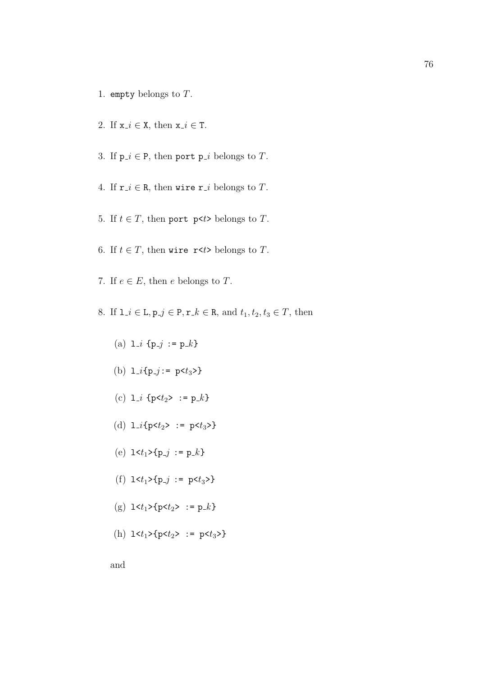- 1. empty belongs to T.
- 2. If  $x_i \in X$ , then  $x_i \in T$ .
- 3. If  $p_i \in P$ , then port  $p_i$  belongs to T.
- 4. If  $\mathbf{r} \cdot i \in \mathbb{R}$ , then wire  $\mathbf{r} \cdot i$  belongs to T.
- 5. If  $t \in T$ , then port p<t> belongs to T.
- 6. If  $t \in T$ , then wire r<t> belongs to T.
- 7. If  $e \in E$ , then e belongs to T.
- 8. If  $1 \neq i \in \mathbb{L}, p \neq j \in \mathbb{P}, \mathbf{r} \neq k \in \mathbb{R}, \text{ and } t_1, t_2, t_3 \in \mathbb{T}, \text{ then}$ 
	- (a)  $l_i$  {p\_j := p\_k}
	- (b)  $1_{i}$ {p<sub>-j</sub> := p<t<sub>3</sub>>}
	- (c)  $1_i$  {p< $t_2$ > := p<sub>-</sub>k}
	- (d)  $1_{i}$ {p< $t_{2}$ > := p< $t_{3}$ >}
	- (e)  $1 \lt t_1 > \{p_j : p_k\}$
	- (f)  $1 \lt t_1 > \{p_j : p \lt t_3 > \}$
	- (g)  $1 \lt t_1 > \{p \lt t_2 > : = p_k\}$
	- (h)  $1 \le t_1 > \{p \le t_2 > : p \le t_3 > \}$

and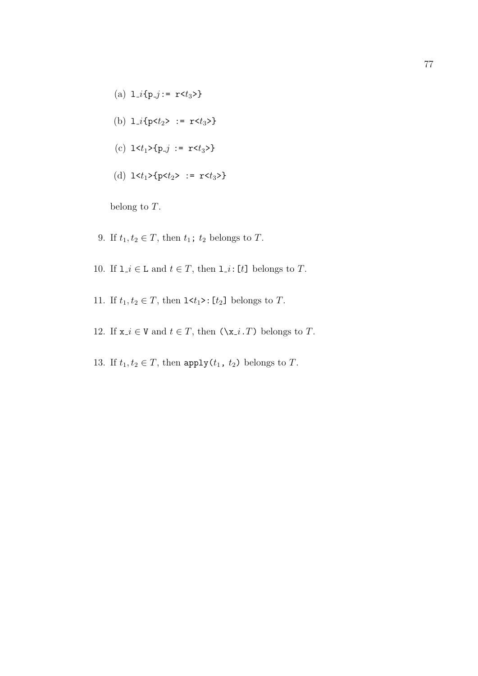- (a)  $1_{i}$ {p<sub>-j</sub> :=  $r$  <t<sub>3</sub>>}
- (b)  $1_{i}$ {p< $t_{2}$ > := r< $t_{3}$ }
- (c)  $1 \lt t_1 > \{p_j : r \lt t_3 > \}$
- (d)  $1 \le t_1 > \{p \le t_2 > : r \le t_3 > \}$

belong to T.

- 9. If  $t_1, t_2 \in T$ , then  $t_1$ ;  $t_2$  belongs to T.
- 10. If  $1 \neq i \in \mathbb{L}$  and  $t \in T$ , then  $1 \neq i : [t]$  belongs to T.
- 11. If  $t_1, t_2 \in T$ , then  $1 \le t_1 >: [t_2]$  belongs to T.
- 12. If  $x_i \in V$  and  $t \in T$ , then  $(\x_i, T)$  belongs to T.
- 13. If  $t_1, t_2 \in T$ , then apply $(t_1, t_2)$  belongs to T.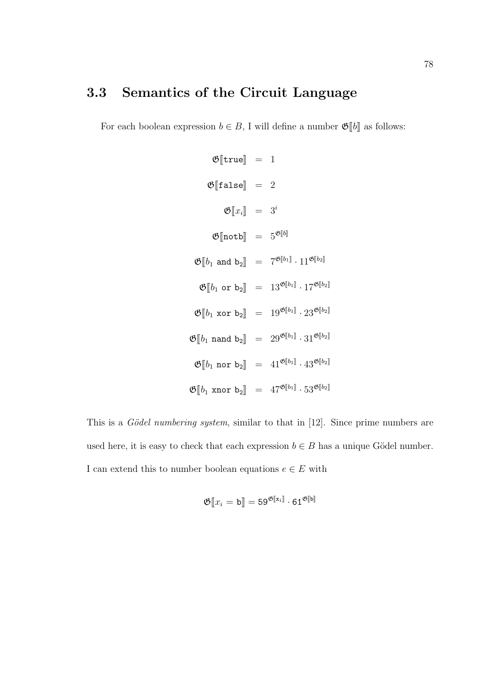# 3.3 Semantics of the Circuit Language

For each boolean expression  $b \in B$ , I will define a number  $\mathfrak{G}[\![b]\!]$  as follows:

$$
\mathfrak{G}[\text{true}] = 1
$$
\n
$$
\mathfrak{G}[\text{false}] = 2
$$
\n
$$
\mathfrak{G}[x_i] = 3^i
$$
\n
$$
\mathfrak{G}[\text{notb}] = 5^{\mathfrak{G}[b]}
$$
\n
$$
\mathfrak{G}[b_1 \text{ and } b_2] = 7^{\mathfrak{G}[b_1]} \cdot 11^{\mathfrak{G}[b_2]}
$$
\n
$$
\mathfrak{G}[b_1 \text{ or } b_2] = 13^{\mathfrak{G}[b_1]} \cdot 17^{\mathfrak{G}[b_2]}
$$
\n
$$
\mathfrak{G}[b_1 \text{ xor } b_2] = 19^{\mathfrak{G}[b_1]} \cdot 23^{\mathfrak{G}[b_2]}
$$
\n
$$
\mathfrak{G}[b_1 \text{ nand } b_2] = 29^{\mathfrak{G}[b_1]} \cdot 31^{\mathfrak{G}[b_2]}
$$
\n
$$
\mathfrak{G}[b_1 \text{ nor } b_2] = 41^{\mathfrak{G}[b_1]} \cdot 43^{\mathfrak{G}[b_2]}
$$
\n
$$
\mathfrak{G}[b_1 \text{ xnor } b_2] = 47^{\mathfrak{G}[b_1]} \cdot 53^{\mathfrak{G}[b_2]}
$$

This is a Gödel numbering system, similar to that in  $[12]$ . Since prime numbers are used here, it is easy to check that each expression  $b \in B$  has a unique Gödel number. I can extend this to number boolean equations  $e \in E$  with

$$
\mathfrak{G}[\![x_i=\mathsf{b}]\!] = 59^{\mathfrak{G}[\![\mathrm{x}_\mathrm{i}]\!]} \cdot 61^{\mathfrak{G}[\![\mathrm{b}]\!]}
$$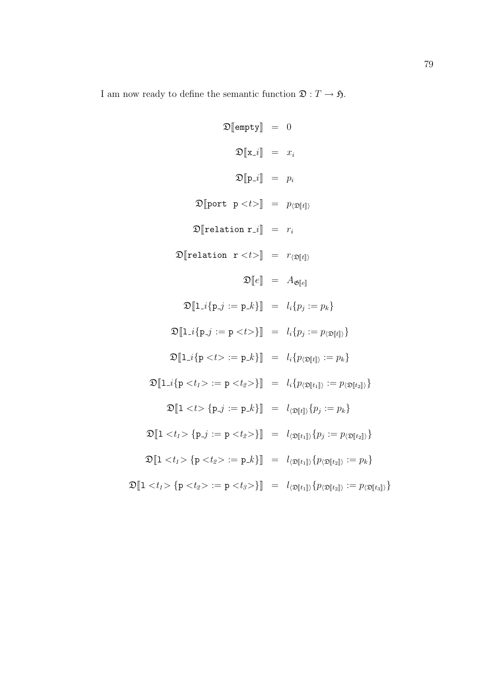I am now ready to define the semantic function  $\mathfrak{D}: T \to \mathfrak{H}$ .

$$
\mathfrak{D}[\text{empty}] = 0
$$
  
\n
$$
\mathfrak{D}[\mathbf{x}.i] = x_i
$$
  
\n
$$
\mathfrak{D}[\mathbf{p}.i] = p_i
$$
  
\n
$$
\mathfrak{D}[\text{port } \mathbf{p} < t >] = p_{\langle \mathfrak{D}[\![t]\!] \rangle}
$$
  
\n
$$
\mathfrak{D}[\text{relation } \mathbf{r}.i] = r_i
$$
  
\n
$$
\mathfrak{D}[\text{relation } \mathbf{r} < t >] = r_{\langle \mathfrak{D}[\![t]\!] \rangle}
$$
  
\n
$$
\mathfrak{D}[\![e]\!] = A_{\mathfrak{G}[\![e]\!]}
$$
  
\n
$$
\mathfrak{D}[\![1..i\{\mathbf{p}.j := \mathbf{p}.k\}] = l_i\{p_j := p_k\}
$$
  
\n
$$
\mathfrak{D}[\![1..i\{\mathbf{p}.j := \mathbf{p}.k\}] = l_i\{p_j := p_{\langle \mathfrak{D}[\![t]\!] \rangle}\}
$$
  
\n
$$
\mathfrak{D}[\![1..i\{\mathbf{p}.t > := \mathbf{p}.k\}] = l_i\{p_{\langle \mathfrak{D}[\![t]\!] \rangle} := p_k\}
$$
  
\n
$$
\mathfrak{D}[\![1..i\{\mathbf{p}.t > := \mathbf{p}.k\}] = l_i\{p_{\langle \mathfrak{D}[\![t]\!] \rangle} := p_{\langle \mathfrak{D}[\![t_2]\!] \rangle}\}
$$
  
\n
$$
\mathfrak{D}[\![1 \{\mathbf{p}.j := \mathbf{p}.k\}] = l_{\langle \mathfrak{D}[\![t]\!] \rangle}\{p_j := p_k\}
$$
  
\n
$$
\mathfrak{D}[\![1 \{\mathbf{p}.j := \mathbf{p}.k\}] = l_{\langle \mathfrak{D}[\![t_1]\!] \rangle}\{p_j := p_{\langle \mathfrak{D}[\![t_2]\!] \rangle}\}
$$
  
\n
$$
\mathfrak{D}[\![1 \{\mathbf{p}.k\} = \mathbf{p}.k\} = l_{\langle \mathfrak{D}[\![
$$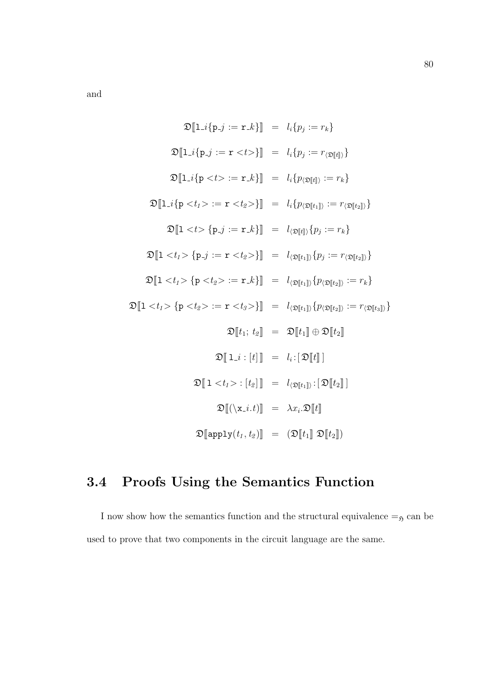and

$$
\mathfrak{D}[\mathbf{1}_{-i}\{p_{-j} := r_{-k}\}] = l_{i}\{p_{j} := r_{k}\}
$$
  

$$
\mathfrak{D}[\mathbf{1}_{-i}\{p_{-j} := r \langle t \rangle\}] = l_{i}\{p_{j} := r_{\langle \mathfrak{D}[t]\rangle}\}
$$
  

$$
\mathfrak{D}[\mathbf{1}_{-i}\{p \langle t \rangle := r \langle t \rangle\}] = l_{i}\{p_{\langle \mathfrak{D}[t]\rangle} := r_{k}\}
$$
  

$$
\mathfrak{D}[\mathbf{1}_{-i}\{p \langle t \rangle := r \langle t_{2} \rangle\}] = l_{i}\{p_{\langle \mathfrak{D}[t_{1}] \rangle} := r_{\langle \mathfrak{D}[t_{2}] \rangle}\}
$$
  

$$
\mathfrak{D}[\mathbf{1} \langle t \rangle = \{p_{-j} := r_{-k}\}] = l_{\langle \mathfrak{D}[t_{1}] \rangle} \{p_{j} := r_{k}\}
$$
  

$$
\mathfrak{D}[\mathbf{1} \langle t \rangle = \{p_{-j} := r \langle t_{2} \rangle\}] = l_{\langle \mathfrak{D}[t_{1}] \rangle} \{p_{j} := r_{\langle \mathfrak{D}[t_{2}] \rangle}\}
$$
  

$$
\mathfrak{D}[\mathbf{1} \langle t_{1} \rangle = \{p \langle t_{2} \rangle := r_{-k}\}] = l_{\langle \mathfrak{D}[t_{1}] \rangle} \{p_{\langle \mathfrak{D}[t_{2}] \rangle} := r_{\langle \mathfrak{D}[t_{3}] \rangle}\}
$$
  

$$
\mathfrak{D}[\mathbf{1} \langle t_{1} \rangle = \mathfrak{D}[\mathbf{t}_{1}] \oplus \mathfrak{D}[\mathbf{t}_{2}]
$$
  

$$
\mathfrak{D}[\mathbf{1}_{-i} : [t]] = l_{i} : [\mathfrak{D}[\mathbf{t}]]
$$
  

$$
\mathfrak{D}[\mathbf{1}_{-i} : [t_{2}]] = l_{\langle \mathfrak{D}[t_{1}] \rangle} : [\mathfrak{D}[\mathbf{t}_{2}]]
$$
  

$$
\mathfrak{D}[\mathbf{1} \langle t_{1} \rangle = \lambda x_{i} \mathfrak{D}[\math
$$

# 3.4 Proofs Using the Semantics Function

I now show how the semantics function and the structural equivalence  $=_5$  can be used to prove that two components in the circuit language are the same.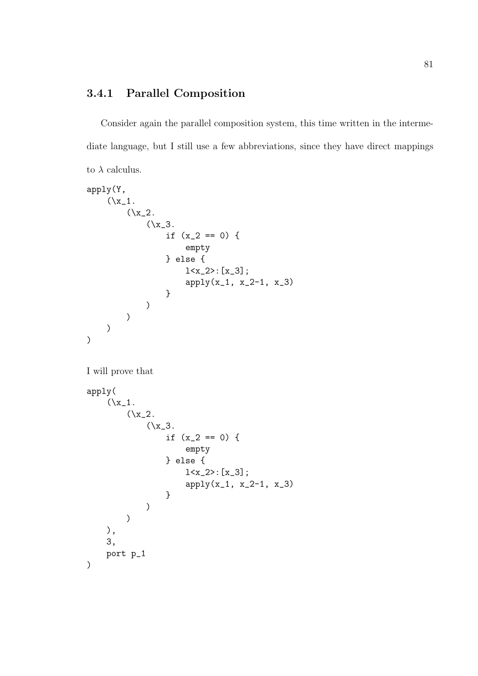### 3.4.1 Parallel Composition

Consider again the parallel composition system, this time written in the intermediate language, but I still use a few abbreviations, since they have direct mappings to  $\lambda$  calculus.

```
apply(Y,
    (\x_1.
         (\x_2).
              (\{x_3\})if (x_2 == 0) {
                       empty
                  } else {
                       1 < x_2 > : [x_3];apply(x_1, x_2-1, x_3)}
             )
         )
    )
)
```
I will prove that

```
apply(
    (\x_1.
         (\x_2).
              (\{x_3\})if (x_2 == 0) {
                       empty
                  } else {
                       1 < x_2 > : [x_3];apply(x_1, x_2-1, x_3)
                  }
             )
         )
    ),
    3,
    port p_1
)
```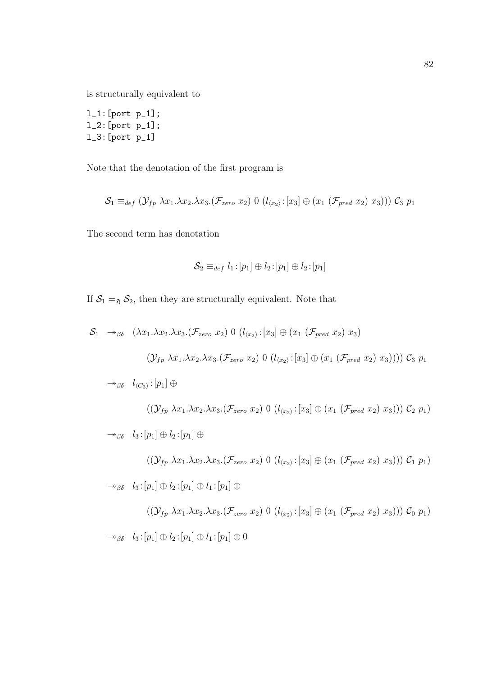is structurally equivalent to

l\_1:[port p\_1]; l\_2:[port p\_1]; l\_3:[port p\_1]

Note that the denotation of the first program is

$$
\mathcal{S}_1 \equiv_{def} (\mathcal{Y}_{fp} \ \lambda x_1.\lambda x_2.\lambda x_3.(\mathcal{F}_{zero} \ x_2) \ 0 \ (l_{\langle x_2 \rangle}: [x_3] \oplus (x_1 \ (\mathcal{F}_{pred} \ x_2) \ x_3))) \ \mathcal{C}_3 \ p_1
$$

The second term has denotation

$$
\mathcal{S}_2 \equiv_{def} l_1 \!:\! [p_1] \oplus l_2 \!:\! [p_1] \oplus l_2 \!:\! [p_1]
$$

If  $S_1 =_{\mathfrak{H}} S_2$ , then they are structurally equivalent. Note that

$$
S_1 \rightarrow_{\beta\delta} (\lambda x_1.\lambda x_2.\lambda x_3.(\mathcal{F}_{zero} x_2) 0 (l_{\langle x_2 \rangle}: [x_3] \oplus (x_1 (\mathcal{F}_{pred} x_2) x_3)
$$

$$
(\mathcal{Y}_{fp} \lambda x_1.\lambda x_2.\lambda x_3.(\mathcal{F}_{zero} x_2) 0 (l_{\langle x_2 \rangle}: [x_3] \oplus (x_1 (\mathcal{F}_{pred} x_2) x_3)))) \mathcal{C}_3 p_1
$$

 $\rightarrow_{\beta\delta}$   $l_{\langle C_3 \rangle}$ :  $[p_1] \oplus$ 

$$
((\mathcal{Y}_{fp} \ \lambda x_1.\lambda x_2.\lambda x_3.(\mathcal{F}_{zero} \ x_2) \ 0 \ (l_{\langle x_2 \rangle}: [x_3] \oplus (x_1 \ (\mathcal{F}_{pred} \ x_2) \ x_3))) \ \mathcal{C}_2 \ p_1)
$$

 $\rightarrow_{\beta\delta}$   $l_3: [p_1] \oplus l_2: [p_1] \oplus$ 

$$
((\mathcal{Y}_{fp} \lambda x_1.\lambda x_2.\lambda x_3.(\mathcal{F}_{zero} x_2) 0 (l_{\langle x_2 \rangle}: [x_3] \oplus (x_1 (\mathcal{F}_{pred} x_2) x_3))) \mathcal{C}_1 p_1)
$$

 $\rightarrow_{\beta\delta}$   $l_3:[p_1]\oplus l_2:[p_1]\oplus l_1:[p_1]\oplus$ 

$$
((\mathcal{Y}_{fp} \lambda x_1.\lambda x_2.\lambda x_3.(\mathcal{F}_{zero} x_2) 0 (l_{\langle x_2 \rangle}: [x_3] \oplus (x_1 (\mathcal{F}_{pred} x_2) x_3))) \mathcal{C}_0 p_1)
$$
  

$$
\rightarrow_{\beta\delta} l_3: [p_1] \oplus l_2: [p_1] \oplus l_1: [p_1] \oplus 0
$$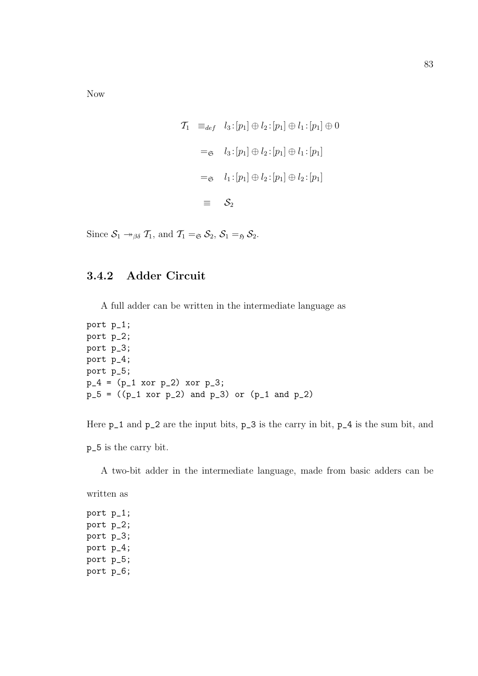Now

$$
\begin{aligned}\n\mathcal{T}_1 & \equiv_{def} & l_3: [p_1] \oplus l_2: [p_1] \oplus l_1: [p_1] \oplus 0 \\
& =_{\mathfrak{S}} & l_3: [p_1] \oplus l_2: [p_1] \oplus l_1: [p_1] \\
& =_{\mathfrak{S}} & l_1: [p_1] \oplus l_2: [p_1] \oplus l_2: [p_1] \\
& \equiv & \mathcal{S}_2\n\end{aligned}
$$

Since  $S_1 \rightarrow_{\beta \delta} \mathcal{T}_1$ , and  $\mathcal{T}_1 =_{\mathfrak{S}} S_2$ ,  $S_1 =_{\mathfrak{H}} S_2$ .

### 3.4.2 Adder Circuit

A full adder can be written in the intermediate language as

```
port p_1;
port p_2;
port p_3;
port p_4;
port p_5;
p_4 = (p_1 x_0 r p_2) x_0 r p_3;p_5 = ((p_1 x_0 r_1 p_2) and p_3) or (p_1 x_0 q_1 p_2)
```
Here  $p_1$  and  $p_2$  are the input bits,  $p_3$  is the carry in bit,  $p_4$  is the sum bit, and

p\_5 is the carry bit.

A two-bit adder in the intermediate language, made from basic adders can be

port p\_1; port p\_2; port p\_3; port p\_4; port p\_5; port p\_6;

written as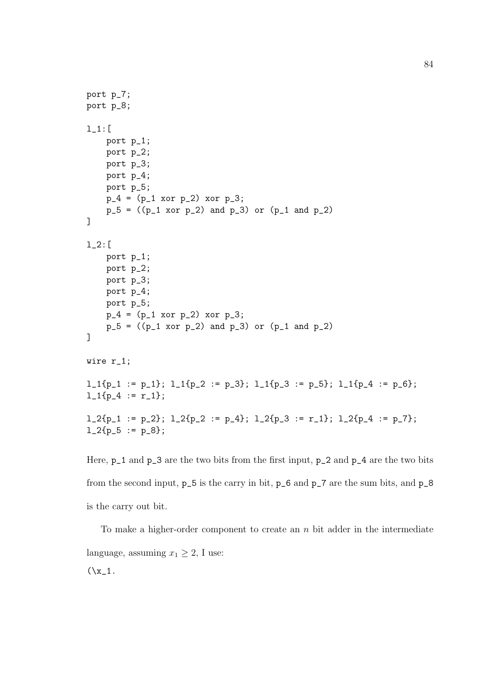```
port p_7;
port p_8;
l_1:[
    port p_1;
    port p_2;
    port p_3;
    port p_4;
    port p_5;
    p_4 = (p_1 x_0 r p_2) x_0 r p_3;p_5 = ((p_1 x_0 r_1 p_2) and p_3) or (p_1 x_0 q_1 p_2)]
l_2:[
    port p_1;
    port p_2;
    port p_3;
    port p_4;
    port p_5;
    p_4 = (p_1 x_0 r p_2) x_0 r p_3;p_5 = ((p_1 x_0 r_2) and p_3) or (p_1 and p_2)]
wire r_1;
l_1{p_1 := p_1}; l_1{p_2 := p_3}; l_1{p_3 := p_5}; l_1{p_4 := p_6};l_1{p_4 := r_1};
l_2{p_1 := p_2}; l_2{p_2 := p_4}; l_2{p_3 := r_1}; l_2{p_4 := p_7};l_2{p_5 := p_8};
```

```
Here, p_1 and p_3 are the two bits from the first input, p_2 and p_4 are the two bits
from the second input, p_5 is the carry in bit, p_6 and p_7 are the sum bits, and p_8
is the carry out bit.
```
To make a higher-order component to create an n bit adder in the intermediate language, assuming  $x_1 \geq 2$ , I use:  $(\x_1$ .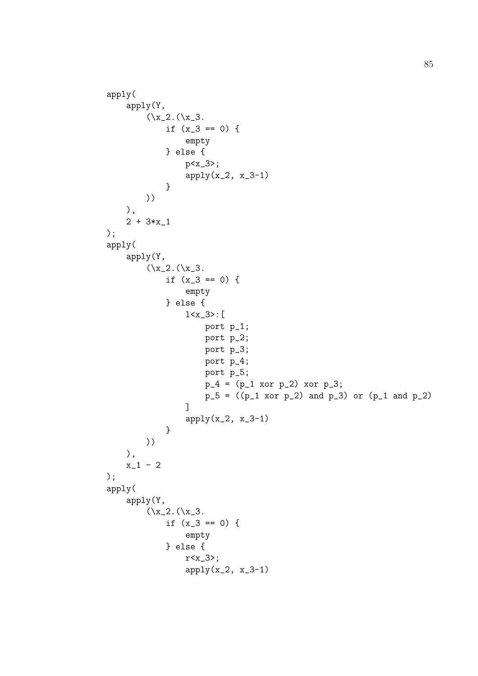```
apply(
    apply(Y,
        (\x_2.(\x_3.if (x_3 == 0) {
                empty
            } else {
                p<x_3>;
                apply(x_2, x_3-1)}
        ))
    ),
    2 + 3*x_1
);
apply(
    apply(Y,
        (\x_2.(\x_3.if (x_3 == 0) {
                empty
            } else {
                l<x_3>:[
                    port p_1;
                    port p_2;
                    port p_3;
                    port p_4;
                    port p_5;
                    p_4 = (p_1 x_0 r p_2) x_0 r p_3;p_5 = (p_1 x_0, p_2) and p_3 or (p_1 x_0, p_2)]
                apply(x_2, x_3-1)}
        ))
    ),
    x_1 - 2);
apply(
    apply(Y,
        (\x_2.(\x_3.if (x_3 == 0) {
                empty
            } else {
                r<x_3>;
                apply(x_2, x_3-1)
```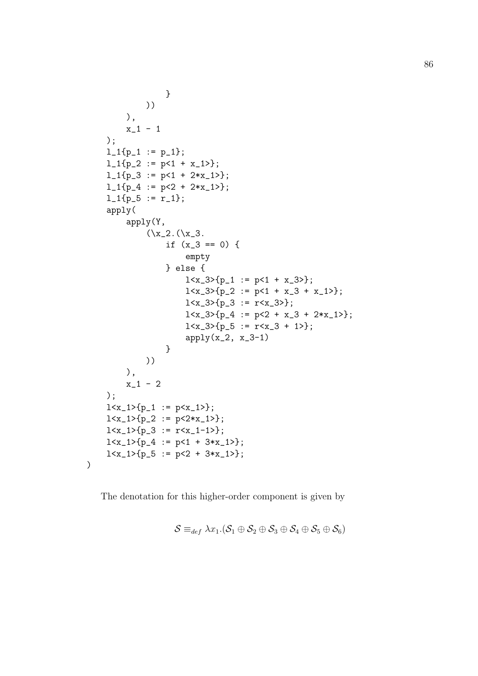```
}
         ))
    ),
    x_1 - 1);
l_1{p_1 : p_1 : p_1};l_1{p_2 := p<1 + x_1>};
l_1{p_3 := p<1 + 2*x_1>};
l_1{p_4 := p<2 + 2*x_1>};
1_1{p_5 := r_1};apply(
    apply(Y,
         (\x_2.(\x_3.if (x_3 == 0) {
                  empty
              } else {
                  1 < x_3 > {p_1 : p < 1 + x_3 >};1 < x_3 > {p_2 := p < 1 + x_3 + x_1 >};1 < x_3 > {p_3 := r < x_3 >};1 < x_3 > {p_4 := p < 2 + x_3 + 2*x_1 >};1 < x_3 > \{p_5 := r < x_3 + 1\};
                  apply(x_2, x_3-1)}
         ))
    ),
    x_1 - 2);
1 < x_1 > {p_1 : p < x_1 >};
1 < x_1 > {p_2 := p < 2 * x_1 > };1 < x_1 > {p_3 := r < x_1 - 1};
1 < x_1 > \{p_4 := p < 1 + 3*x_1 > \};1 < x_1 > {p_5 := p < 2 + 3*x_1 >};
```
The denotation for this higher-order component is given by

)

$$
\mathcal{S} \equiv_{def} \lambda x_1.(\mathcal{S}_1 \oplus \mathcal{S}_2 \oplus \mathcal{S}_3 \oplus \mathcal{S}_4 \oplus \mathcal{S}_5 \oplus \mathcal{S}_6)
$$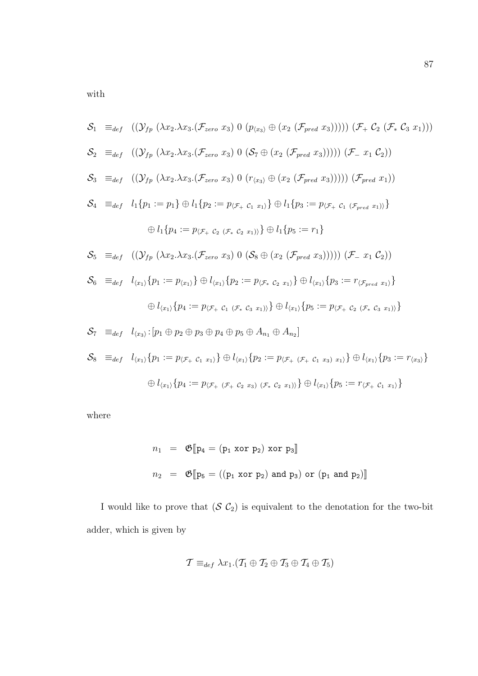with

$$
S_{1} \equiv_{def} ((\mathcal{Y}_{fp} (\lambda x_{2}.\lambda x_{3}.(\mathcal{F}_{zero} x_{3}) 0 (p_{(x_{3})} \oplus (x_{2} (\mathcal{F}_{pred} x_{3})))) (\mathcal{F}_{+} C_{2} (\mathcal{F}_{*} C_{3} x_{1})))
$$
  
\n
$$
S_{2} \equiv_{def} ((\mathcal{Y}_{fp} (\lambda x_{2}.\lambda x_{3}.(\mathcal{F}_{zero} x_{3}) 0 (S_{7} \oplus (x_{2} (\mathcal{F}_{pred} x_{3})))) (\mathcal{F}_{-} x_{1} C_{2}))
$$
  
\n
$$
S_{3} \equiv_{def} ((\mathcal{Y}_{fp} (\lambda x_{2}.\lambda x_{3}.(\mathcal{F}_{zero} x_{3}) 0 (r_{(x_{3})} \oplus (x_{2} (\mathcal{F}_{pred} x_{3})))) (\mathcal{F}_{pred} x_{1}))
$$
  
\n
$$
S_{4} \equiv_{def} l_{1} \{p_{1} := p_{1}\} \oplus l_{1} \{p_{2} := p_{\langle \mathcal{F}_{+} C_{1} x_{1} \rangle\} \oplus l_{1} \{p_{3} := p_{\langle \mathcal{F}_{+} C_{1} (\mathcal{F}_{pred} x_{1}) \rangle\}
$$
  
\n
$$
\oplus l_{1} \{p_{4} := p_{\langle \mathcal{F}_{+} C_{2} (\mathcal{F}_{*} c_{2} x_{1}) \rangle\} \oplus l_{1} \{p_{5} := r_{1}\}
$$
  
\n
$$
S_{5} \equiv_{def} ((\mathcal{Y}_{fp} (\lambda x_{2}.\lambda x_{3}.(\mathcal{F}_{zero} x_{3}) 0 (S_{8} \oplus (x_{2} (\mathcal{F}_{pred} x_{3})))) (\mathcal{F}_{-} x_{1} C_{2}))
$$
  
\n
$$
S_{6} \equiv_{def} l_{\langle x_{1} \rangle} \{p_{1} := p_{\langle x_{1} \rangle} \} \oplus l_{\langle x_{1} \rangle} \{p_{2} := p_{\langle \mathcal{F}_{+} C_{2} x_{1} \rangle\} \oplus l_{\langle x_{1} \rangle} \{p_{3} := r_{\langle \mathcal{F}_{pred} x_{1} \rangle\}}
$$
  
\n
$$
\oplus l_{\langle x_{1} \rangle} \
$$

where

$$
n_1 = \mathfrak{G}[\mathbf{p}_4 = (\mathbf{p}_1 \text{ xor } \mathbf{p}_2) \text{ xor } \mathbf{p}_3]
$$
  

$$
n_2 = \mathfrak{G}[\mathbf{p}_5 = ((\mathbf{p}_1 \text{ xor } \mathbf{p}_2) \text{ and } \mathbf{p}_3) \text{ or } (\mathbf{p}_1 \text{ and } \mathbf{p}_2)]
$$

I would like to prove that  $(S \mathcal{C}_2)$  is equivalent to the denotation for the two-bit adder, which is given by

$$
\mathcal{T} \equiv_{def} \lambda x_1. (\mathcal{T}_1 \oplus \mathcal{T}_2 \oplus \mathcal{T}_3 \oplus \mathcal{T}_4 \oplus \mathcal{T}_5)
$$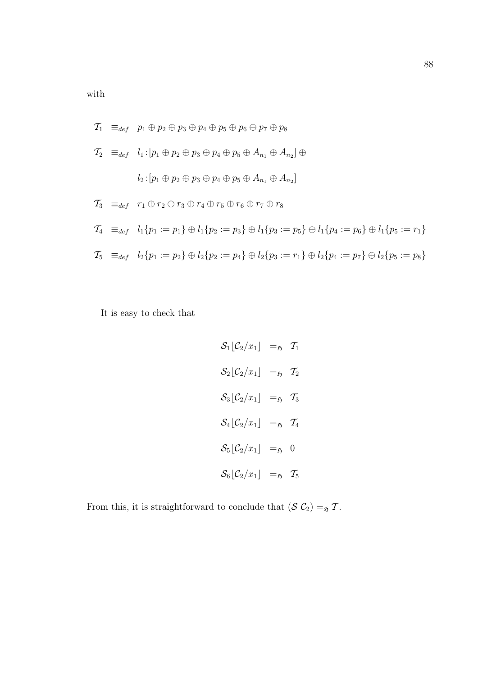with

$$
T_1 \equiv_{def} p_1 \oplus p_2 \oplus p_3 \oplus p_4 \oplus p_5 \oplus p_6 \oplus p_7 \oplus p_8
$$
  
\n
$$
T_2 \equiv_{def} l_1: [p_1 \oplus p_2 \oplus p_3 \oplus p_4 \oplus p_5 \oplus A_{n_1} \oplus A_{n_2}] \oplus
$$
  
\n
$$
l_2: [p_1 \oplus p_2 \oplus p_3 \oplus p_4 \oplus p_5 \oplus A_{n_1} \oplus A_{n_2}]
$$
  
\n
$$
T_3 \equiv_{def} r_1 \oplus r_2 \oplus r_3 \oplus r_4 \oplus r_5 \oplus r_6 \oplus r_7 \oplus r_8
$$
  
\n
$$
T_4 \equiv_{def} l_1\{p_1 := p_1\} \oplus l_1\{p_2 := p_3\} \oplus l_1\{p_3 := p_5\} \oplus l_1\{p_4 := p_6\} \oplus l_1\{p_5 := r_1\}
$$
  
\n
$$
T_5 \equiv_{def} l_2\{p_1 := p_2\} \oplus l_2\{p_2 := p_4\} \oplus l_2\{p_3 := r_1\} \oplus l_2\{p_4 := p_7\} \oplus l_2\{p_5 := p_8\}
$$

It is easy to check that

$$
S_1[C_2/x_1] =_5 T_1
$$
  
\n
$$
S_2[C_2/x_1] =_5 T_2
$$
  
\n
$$
S_3[C_2/x_1] =_5 T_3
$$
  
\n
$$
S_4[C_2/x_1] =_5 T_4
$$
  
\n
$$
S_5[C_2/x_1] =_5 0
$$
  
\n
$$
S_6[C_2/x_1] =_5 T_5
$$

From this, it is straightforward to conclude that  $(S \mathcal{C}_2) =_5 \mathcal{T}$ .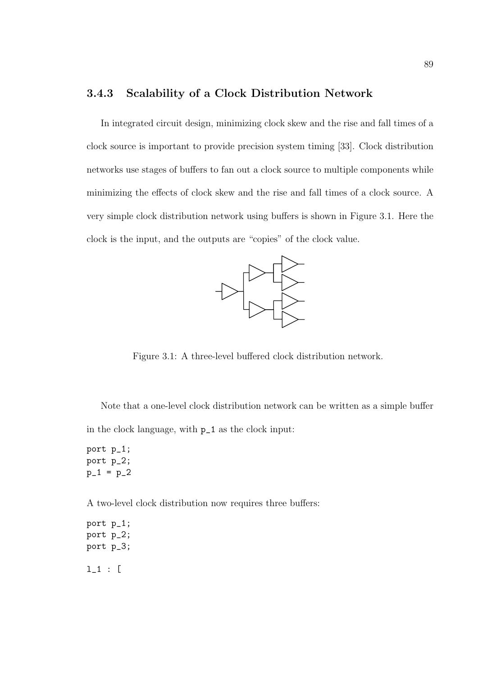#### 3.4.3 Scalability of a Clock Distribution Network

In integrated circuit design, minimizing clock skew and the rise and fall times of a clock source is important to provide precision system timing [33]. Clock distribution networks use stages of buffers to fan out a clock source to multiple components while minimizing the effects of clock skew and the rise and fall times of a clock source. A very simple clock distribution network using buffers is shown in Figure 3.1. Here the clock is the input, and the outputs are "copies" of the clock value.



Figure 3.1: A three-level buffered clock distribution network.

Note that a one-level clock distribution network can be written as a simple buffer in the clock language, with p\_1 as the clock input:

port p\_1; port p\_2;  $p_1 = p_2$ 

A two-level clock distribution now requires three buffers:

port p\_1; port p\_2; port p\_3; l\_1 : [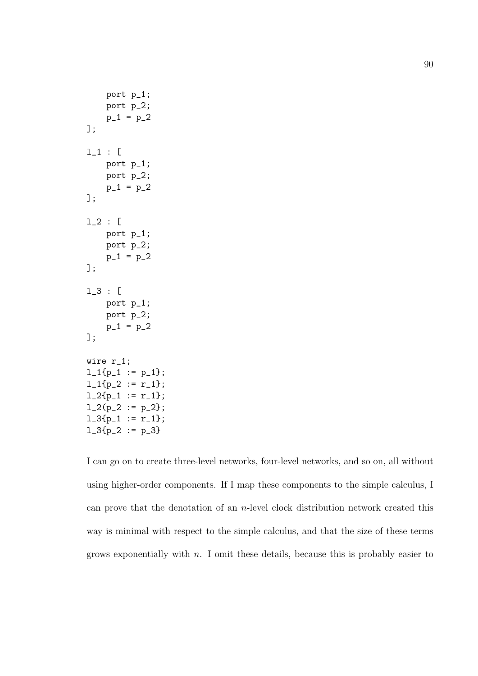```
port p_1;
    port p_2;
    p_1 = p_2];
l_1 : [
    port p_1;
    port p_2;
    p_1 = p_2];
l_2 : [
    port p_1;
    port p_2;
    p_1 = p_2];
l_3 : [
    port p_1;
    port p_2;
    p_1 = p_2];
wire r_1;
l_1{p_1 := p_1};l_1{p_2 := r_1};
l_2{p_1 := r_1};l_2(p_2 := p_2);1_3{p_1 := r_1};1_3{p_2 := p_3}
```
I can go on to create three-level networks, four-level networks, and so on, all without using higher-order components. If I map these components to the simple calculus, I can prove that the denotation of an  $n$ -level clock distribution network created this way is minimal with respect to the simple calculus, and that the size of these terms grows exponentially with  $n$ . I omit these details, because this is probably easier to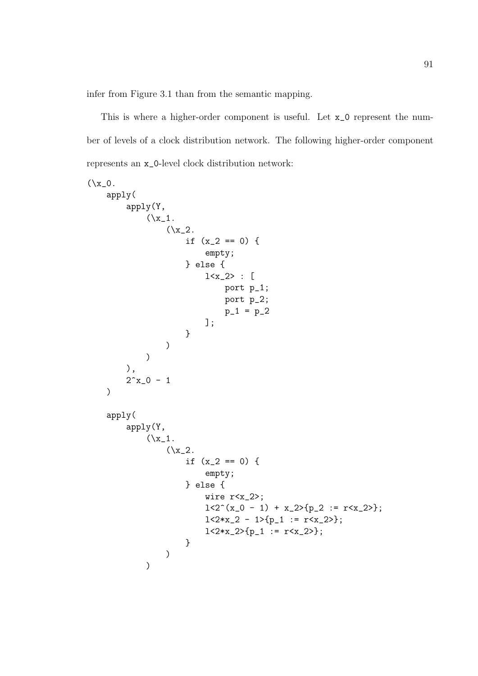infer from Figure 3.1 than from the semantic mapping.

This is where a higher-order component is useful. Let x\_0 represent the number of levels of a clock distribution network. The following higher-order component represents an x\_0-level clock distribution network:

```
(\x_2 0.apply(
        apply(Y,
             (\x_1.
                  (\x_2).
                      if (x_2 == 0) {
                           empty;
                      } else {
                           1 < x_2 > : [port p_1;
                                port p_2;
                                p_1 = p_2];
                      }
                  )
             )
        ),
        2^x - 0 - 1)
    apply(
        apply(Y,
             (\x_1.
                  (\x_2).
                      if (x_2 == 0) {
                           empty;
                      } else {
                           wire r<x_2>;
                           1 < 2^(x_0 - 1) + x_2 > (p_2 := r < x_2);
                           1 < 2*x_2 - 1 > p_1 := r < x_2 >;1 < 2*x_2 > {p_1 : = r &lt; x_2 >};}
                  )
             )
```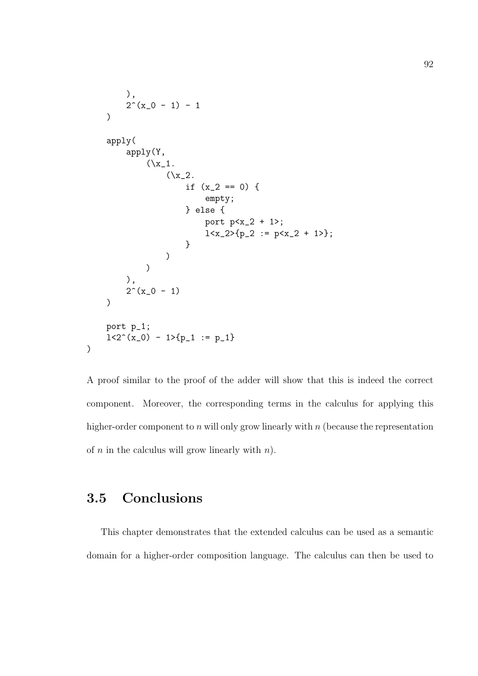```
),
     2^{\texttt{-(}}x_{-}0 - 1) - 1)
apply(
     apply(Y,
          (\x_1.
               (\x2.2if (x_2 == 0) {
                         empty;
                    } else {
                         port p < x_2 + 1;
                         1 < x_2 > {p_2 := p < x_2 + 1>};
                    }
               )
          )
     ),
     2^{\sim}(x_0 - 1))
port p_1;
1 < 2^{\circ}(x_0) - 1>{p_1 := p_1}
```
A proof similar to the proof of the adder will show that this is indeed the correct component. Moreover, the corresponding terms in the calculus for applying this higher-order component to  $n$  will only grow linearly with  $n$  (because the representation of  $n$  in the calculus will grow linearly with  $n$ ).

## 3.5 Conclusions

)

This chapter demonstrates that the extended calculus can be used as a semantic domain for a higher-order composition language. The calculus can then be used to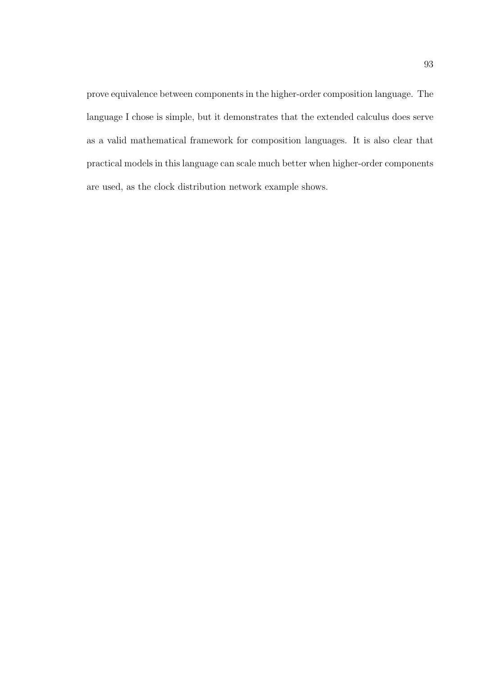prove equivalence between components in the higher-order composition language. The language I chose is simple, but it demonstrates that the extended calculus does serve as a valid mathematical framework for composition languages. It is also clear that practical models in this language can scale much better when higher-order components are used, as the clock distribution network example shows.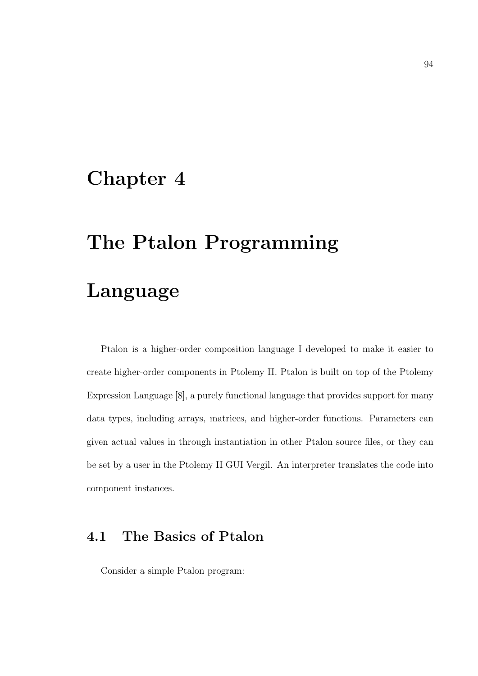# Chapter 4

# The Ptalon Programming Language

Ptalon is a higher-order composition language I developed to make it easier to create higher-order components in Ptolemy II. Ptalon is built on top of the Ptolemy Expression Language [8], a purely functional language that provides support for many data types, including arrays, matrices, and higher-order functions. Parameters can given actual values in through instantiation in other Ptalon source files, or they can be set by a user in the Ptolemy II GUI Vergil. An interpreter translates the code into component instances.

## 4.1 The Basics of Ptalon

Consider a simple Ptalon program: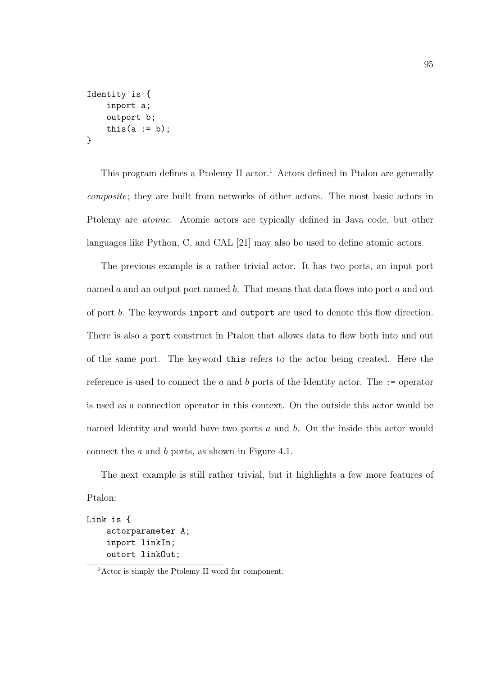```
Identity is {
    inport a;
    outport b;
    this(a := b);
}
```
This program defines a Ptolemy II actor.<sup>1</sup> Actors defined in Ptalon are generally composite; they are built from networks of other actors. The most basic actors in Ptolemy are atomic. Atomic actors are typically defined in Java code, but other languages like Python, C, and CAL [21] may also be used to define atomic actors.

The previous example is a rather trivial actor. It has two ports, an input port named  $a$  and an output port named  $b$ . That means that data flows into port  $a$  and out of port b. The keywords inport and outport are used to denote this flow direction. There is also a port construct in Ptalon that allows data to flow both into and out of the same port. The keyword this refers to the actor being created. Here the reference is used to connect the a and b ports of the Identity actor. The  $:=$  operator is used as a connection operator in this context. On the outside this actor would be named Identity and would have two ports a and b. On the inside this actor would connect the a and b ports, as shown in Figure 4.1.

The next example is still rather trivial, but it highlights a few more features of Ptalon:

```
Link is {
    actorparameter A;
    inport linkIn;
    outort linkOut;
```
<sup>1</sup>Actor is simply the Ptolemy II word for component.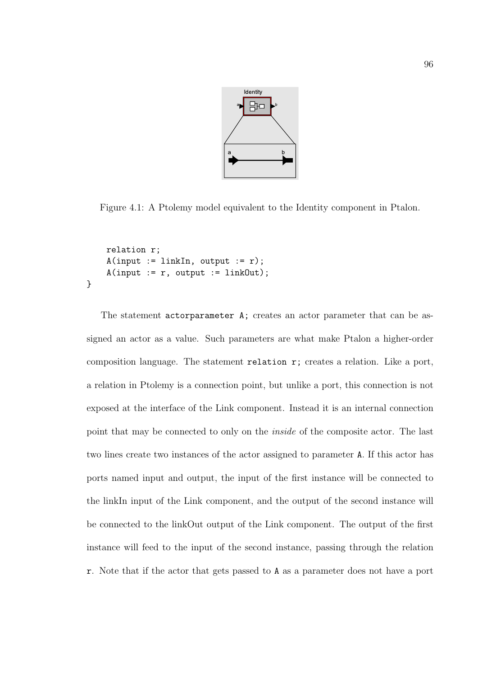

Figure 4.1: A Ptolemy model equivalent to the Identity component in Ptalon.

```
relation r;
    A(input := linkIn, output := r);
    A(input := r, output := linkOut);}
```
The statement actorparameter A; creates an actor parameter that can be assigned an actor as a value. Such parameters are what make Ptalon a higher-order composition language. The statement relation r; creates a relation. Like a port, a relation in Ptolemy is a connection point, but unlike a port, this connection is not exposed at the interface of the Link component. Instead it is an internal connection point that may be connected to only on the inside of the composite actor. The last two lines create two instances of the actor assigned to parameter A. If this actor has ports named input and output, the input of the first instance will be connected to the linkIn input of the Link component, and the output of the second instance will be connected to the linkOut output of the Link component. The output of the first instance will feed to the input of the second instance, passing through the relation r. Note that if the actor that gets passed to A as a parameter does not have a port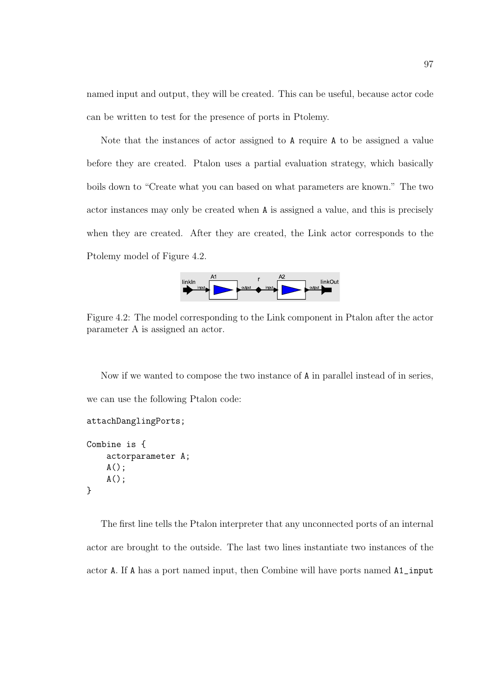named input and output, they will be created. This can be useful, because actor code can be written to test for the presence of ports in Ptolemy.

Note that the instances of actor assigned to A require A to be assigned a value before they are created. Ptalon uses a partial evaluation strategy, which basically boils down to "Create what you can based on what parameters are known." The two actor instances may only be created when A is assigned a value, and this is precisely when they are created. After they are created, the Link actor corresponds to the Ptolemy model of Figure 4.2.



Figure 4.2: The model corresponding to the Link component in Ptalon after the actor parameter A is assigned an actor.

Now if we wanted to compose the two instance of A in parallel instead of in series, we can use the following Ptalon code:

```
Combine is {
    actorparameter A;
    A();
    A();
}
```
attachDanglingPorts;

The first line tells the Ptalon interpreter that any unconnected ports of an internal actor are brought to the outside. The last two lines instantiate two instances of the actor A. If A has a port named input, then Combine will have ports named A1\_input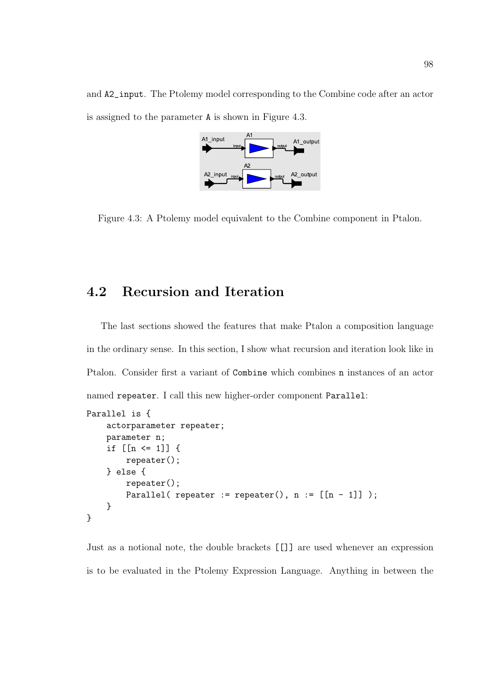and A2\_input. The Ptolemy model corresponding to the Combine code after an actor is assigned to the parameter A is shown in Figure 4.3.



Figure 4.3: A Ptolemy model equivalent to the Combine component in Ptalon.

### 4.2 Recursion and Iteration

The last sections showed the features that make Ptalon a composition language in the ordinary sense. In this section, I show what recursion and iteration look like in Ptalon. Consider first a variant of Combine which combines n instances of an actor named repeater. I call this new higher-order component Parallel:

```
Parallel is {
    actorparameter repeater;
    parameter n;
    if [ [n \le 1] ] {
        repeater();
    } else {
        repeater();
        Parallel( repeater := repeater(), n := [[n - 1]]);
    }
}
```
Just as a notional note, the double brackets [[]] are used whenever an expression is to be evaluated in the Ptolemy Expression Language. Anything in between the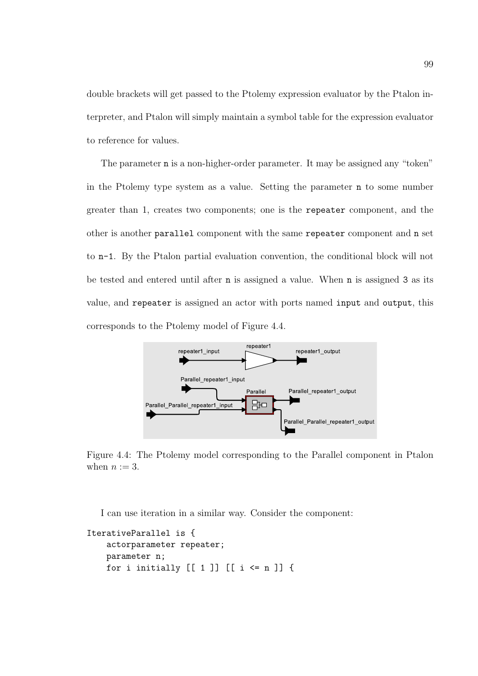double brackets will get passed to the Ptolemy expression evaluator by the Ptalon interpreter, and Ptalon will simply maintain a symbol table for the expression evaluator to reference for values.

The parameter n is a non-higher-order parameter. It may be assigned any "token" in the Ptolemy type system as a value. Setting the parameter n to some number greater than 1, creates two components; one is the repeater component, and the other is another parallel component with the same repeater component and n set to n-1. By the Ptalon partial evaluation convention, the conditional block will not be tested and entered until after n is assigned a value. When n is assigned 3 as its value, and repeater is assigned an actor with ports named input and output, this corresponds to the Ptolemy model of Figure 4.4.



Figure 4.4: The Ptolemy model corresponding to the Parallel component in Ptalon when  $n := 3$ .

I can use iteration in a similar way. Consider the component:

```
IterativeParallel is {
    actorparameter repeater;
    parameter n;
    for i initially [ [ 1 ] ] [ [ i \leftarrow n ] ]
```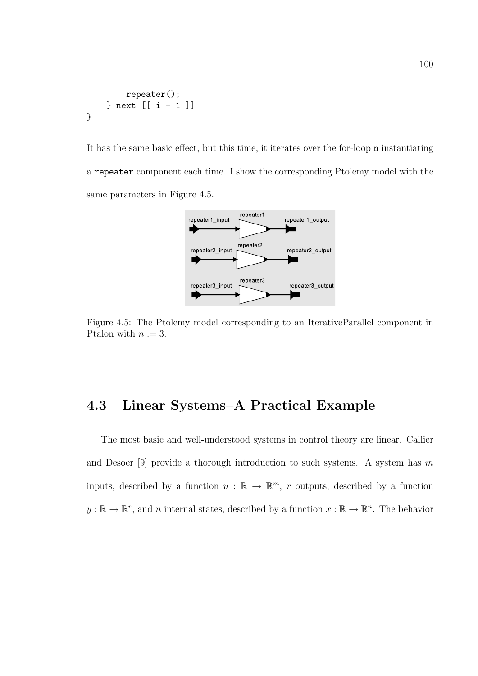```
repeater();
    } next [[ i + 1 ]]
}
```
It has the same basic effect, but this time, it iterates over the for-loop n instantiating a repeater component each time. I show the corresponding Ptolemy model with the same parameters in Figure 4.5.



Figure 4.5: The Ptolemy model corresponding to an IterativeParallel component in Ptalon with  $n := 3$ .

#### 4.3 Linear Systems–A Practical Example

The most basic and well-understood systems in control theory are linear. Callier and Desoer [9] provide a thorough introduction to such systems. A system has  $m$ inputs, described by a function  $u : \mathbb{R} \to \mathbb{R}^m$ , r outputs, described by a function  $y : \mathbb{R} \to \mathbb{R}^r$ , and *n* internal states, described by a function  $x : \mathbb{R} \to \mathbb{R}^n$ . The behavior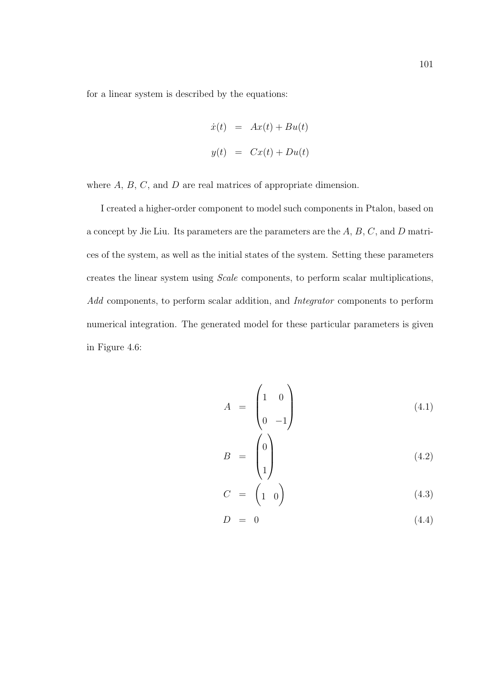for a linear system is described by the equations:

$$
\dot{x}(t) = Ax(t) + Bu(t)
$$
  

$$
y(t) = Cx(t) + Du(t)
$$

where  $A, B, C$ , and  $D$  are real matrices of appropriate dimension.

I created a higher-order component to model such components in Ptalon, based on a concept by Jie Liu. Its parameters are the parameters are the A, B, C, and D matrices of the system, as well as the initial states of the system. Setting these parameters creates the linear system using Scale components, to perform scalar multiplications, Add components, to perform scalar addition, and Integrator components to perform numerical integration. The generated model for these particular parameters is given in Figure 4.6:

$$
A = \begin{pmatrix} 1 & 0 \\ 0 & -1 \end{pmatrix} \tag{4.1}
$$

$$
B = \begin{pmatrix} 0 \\ 1 \end{pmatrix} \tag{4.2}
$$

$$
C = \begin{pmatrix} 1 & 0 \end{pmatrix} \tag{4.3}
$$

$$
D = 0 \tag{4.4}
$$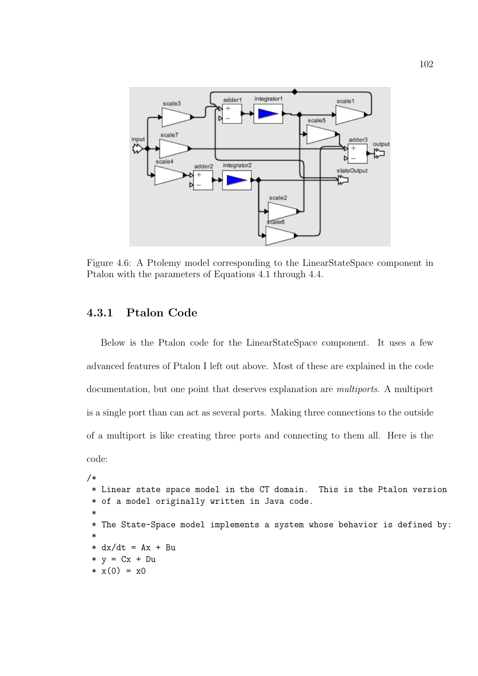

Figure 4.6: A Ptolemy model corresponding to the LinearStateSpace component in Ptalon with the parameters of Equations 4.1 through 4.4.

#### 4.3.1 Ptalon Code

Below is the Ptalon code for the LinearStateSpace component. It uses a few advanced features of Ptalon I left out above. Most of these are explained in the code documentation, but one point that deserves explanation are multiports. A multiport is a single port than can act as several ports. Making three connections to the outside of a multiport is like creating three ports and connecting to them all. Here is the code:

```
/*
* Linear state space model in the CT domain. This is the Ptalon version
 * of a model originally written in Java code.
 *
 * The State-Space model implements a system whose behavior is defined by:
 *
 * dx/dt = Ax + Bu
 * y = Cx + Du* x(0) = x0
```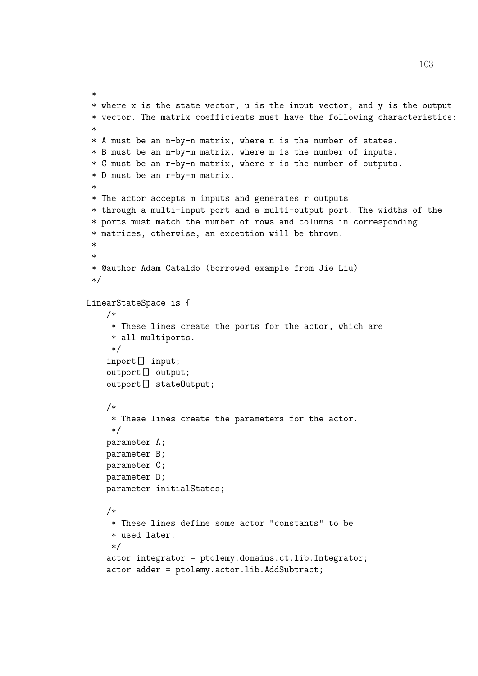```
*
* where x is the state vector, u is the input vector, and y is the output
* vector. The matrix coefficients must have the following characteristics:
 *
* A must be an n-by-n matrix, where n is the number of states.
* B must be an n-by-m matrix, where m is the number of inputs.
* C must be an r-by-n matrix, where r is the number of outputs.
* D must be an r-by-m matrix.
 *
* The actor accepts m inputs and generates r outputs
* through a multi-input port and a multi-output port. The widths of the
* ports must match the number of rows and columns in corresponding
* matrices, otherwise, an exception will be thrown.
 *
 *
* @author Adam Cataldo (borrowed example from Jie Liu)
*/
LinearStateSpace is {
   /*
     * These lines create the ports for the actor, which are
     * all multiports.
     */
    inport[] input;
    outport[] output;
    outport[] stateOutput;
    /*
     * These lines create the parameters for the actor.
     */
   parameter A;
   parameter B;
   parameter C;
   parameter D;
   parameter initialStates;
    /*
     * These lines define some actor "constants" to be
     * used later.
     */
    actor integrator = ptolemy.domains.ct.lib.Integrator;
    actor adder = ptolemy.actor.lib.AddSubtract;
```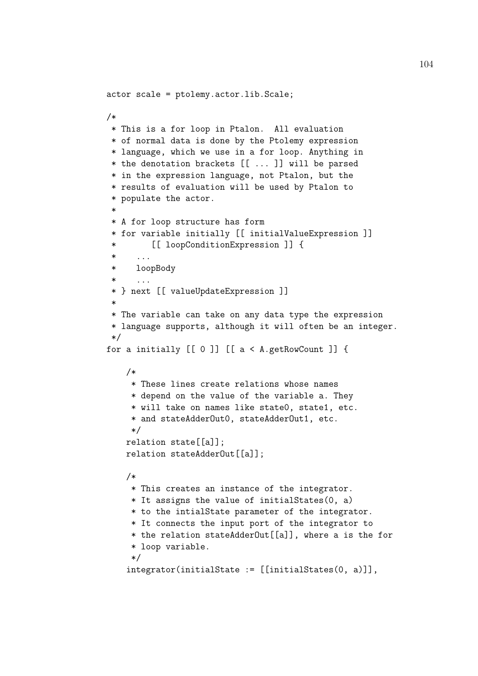```
actor scale = ptolemy.actor.lib.Scale;
/*
* This is a for loop in Ptalon. All evaluation
* of normal data is done by the Ptolemy expression
* language, which we use in a for loop. Anything in
* the denotation brackets [[ ... ]] will be parsed
 * in the expression language, not Ptalon, but the
 * results of evaluation will be used by Ptalon to
* populate the actor.
 *
* A for loop structure has form
 * for variable initially [[ initialValueExpression ]]
         [[ loopConditionExpression ]] {
      . . . .
 * loopBody
 * ...
 * } next [[ valueUpdateExpression ]]
 *
* The variable can take on any data type the expression
* language supports, although it will often be an integer.
 */
for a initially [[ 0 ]] [[ a < A.getRowCount ]] {
    /*
    * These lines create relations whose names
     * depend on the value of the variable a. They
     * will take on names like state0, state1, etc.
     * and stateAdderOut0, stateAdderOut1, etc.
     */
    relation state[[a]];
    relation stateAdderOut[[a]];
    /*
    * This creates an instance of the integrator.
     * It assigns the value of initialStates(0, a)
     * to the intialState parameter of the integrator.
     * It connects the input port of the integrator to
     * the relation stateAdderOut[[a]], where a is the for
     * loop variable.
     */
    integrator(initialState := [[initialStates(0, a)]],
```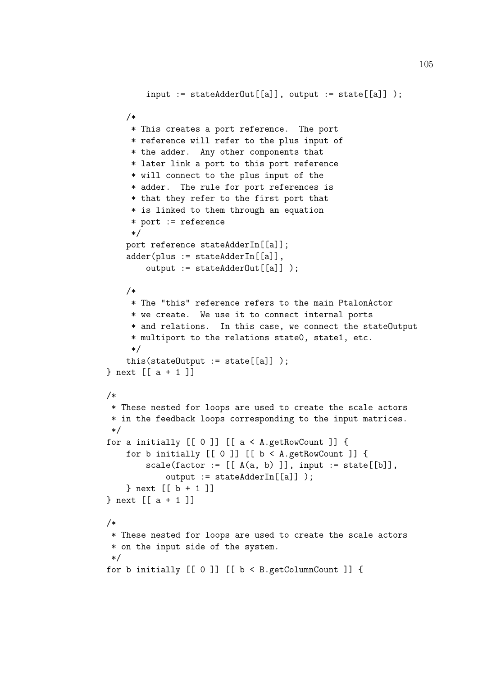```
input := stateAdderOut[[a]], output := state[[a]]);/*
     * This creates a port reference. The port
     * reference will refer to the plus input of
     * the adder. Any other components that
     * later link a port to this port reference
     * will connect to the plus input of the
     * adder. The rule for port references is
     * that they refer to the first port that
     * is linked to them through an equation
     * port := reference
     */
    port reference stateAdderIn[[a]];
    adder(plus := stateAdderIn[[a]],
        output := stateAdderOut[[a]] );
    /*
     * The "this" reference refers to the main PtalonActor
     * we create. We use it to connect internal ports
     * and relations. In this case, we connect the stateOutput
     * multiport to the relations state0, state1, etc.
     */
    this(\text{stateOutput} := \text{state}[[a]] );
} next [[ a + 1 ]]
/*
 * These nested for loops are used to create the scale actors
 * in the feedback loops corresponding to the input matrices.
 */
for a initially [0 0] [ a < A.getRowCount ] \{for b initially [0] [0] [0] [0] \rightarrow A.getRowCount ] [0]scale(factor := [[A(a, b)]], input := state[[b]],output := stateAdderIn[[a]] );
    } next \lceil b + 1 \rceil} next [[ a + 1 ]]
/*
 * These nested for loops are used to create the scale actors
 * on the input side of the system.
 */
for b initially [[ 0 ]] [[ b < B.getColumnCount ]]
```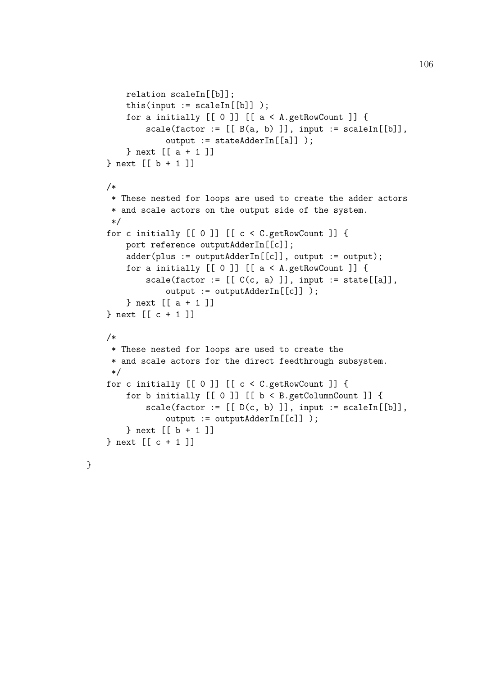```
relation scaleIn[[b]];
    this(input := \text{scaleIn}[[b]]);
    for a initially [[ 0 ]] [[ a < A.getRowCount ]] {
        scale(factor := [[B(a, b)]], input := scaleIn[[b]],output := stateAdderIn[[a]] );
    } next [[ a + 1 ]]
} next [[ b + 1 ]]
/*
 * These nested for loops are used to create the adder actors
 * and scale actors on the output side of the system.
 */
for c initially [[ 0 ]] [[ c < C.getRowCount ]] {
    port reference outputAdderIn[[c]];
    adder(plus := outputAdderIn[[c]], output := output);
    for a initially [[ 0 ]] [[ a < A.getRowCount ]]scale(factor := [[C(c, a) ]], input := state[[a]],output := outputAdderIn[[c]] );
    } next [[ a + 1 ]]
} next [[ c + 1 ]]
/*
 * These nested for loops are used to create the
 * and scale actors for the direct feedthrough subsystem.
 */
for c initially [[ 0 ]] [[ c < C.getRowCount ]] {
    for b initially [[ 0 ]] [[ b < B.getColumnCount ]] {
        scale(factor := [[D(c, b)]], input := scaleIn[[b]],output := outputAdderIn[[c]] );
    } next [[ b + 1 ]]
} next [[ c + 1 ]]
```
}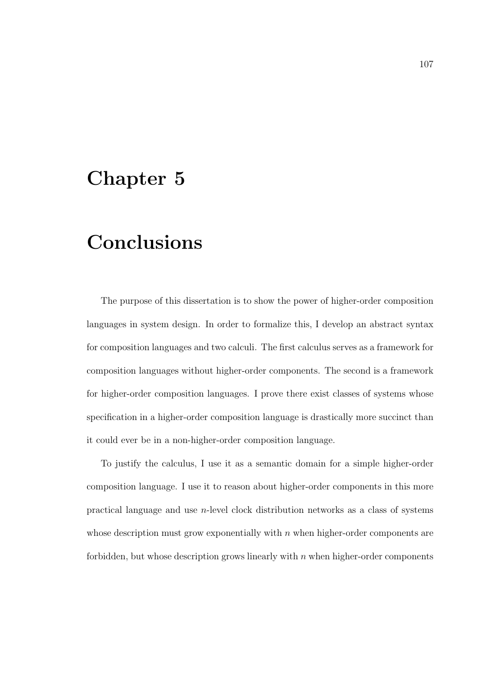### Chapter 5

## Conclusions

The purpose of this dissertation is to show the power of higher-order composition languages in system design. In order to formalize this, I develop an abstract syntax for composition languages and two calculi. The first calculus serves as a framework for composition languages without higher-order components. The second is a framework for higher-order composition languages. I prove there exist classes of systems whose specification in a higher-order composition language is drastically more succinct than it could ever be in a non-higher-order composition language.

To justify the calculus, I use it as a semantic domain for a simple higher-order composition language. I use it to reason about higher-order components in this more practical language and use n-level clock distribution networks as a class of systems whose description must grow exponentially with  $n$  when higher-order components are forbidden, but whose description grows linearly with  $n$  when higher-order components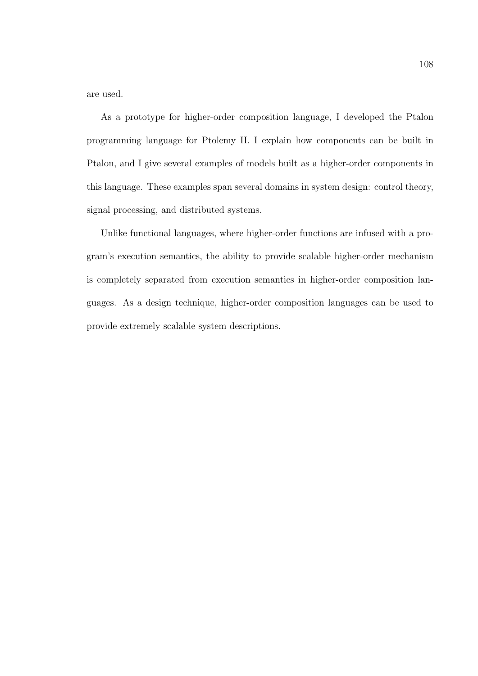are used.

As a prototype for higher-order composition language, I developed the Ptalon programming language for Ptolemy II. I explain how components can be built in Ptalon, and I give several examples of models built as a higher-order components in this language. These examples span several domains in system design: control theory, signal processing, and distributed systems.

Unlike functional languages, where higher-order functions are infused with a program's execution semantics, the ability to provide scalable higher-order mechanism is completely separated from execution semantics in higher-order composition languages. As a design technique, higher-order composition languages can be used to provide extremely scalable system descriptions.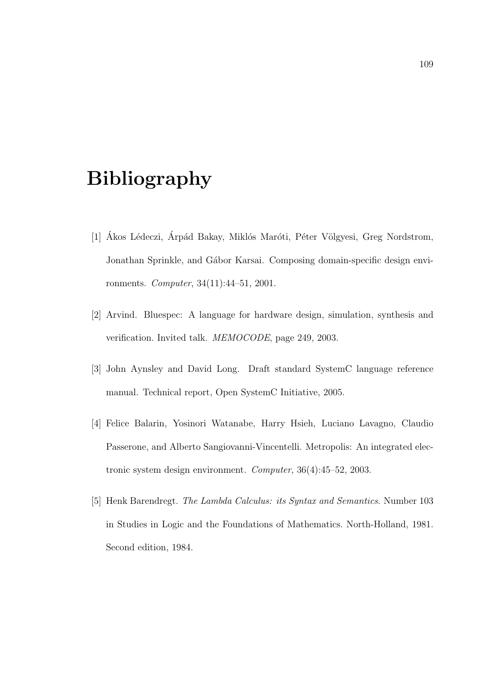# Bibliography

- [1] Ákos Lédeczi, Árpád Bakay, Miklós Maróti, Péter Völgyesi, Greg Nordstrom, Jonathan Sprinkle, and Gábor Karsai. Composing domain-specific design environments. Computer, 34(11):44–51, 2001.
- [2] Arvind. Bluespec: A language for hardware design, simulation, synthesis and verification. Invited talk. MEMOCODE, page 249, 2003.
- [3] John Aynsley and David Long. Draft standard SystemC language reference manual. Technical report, Open SystemC Initiative, 2005.
- [4] Felice Balarin, Yosinori Watanabe, Harry Hsieh, Luciano Lavagno, Claudio Passerone, and Alberto Sangiovanni-Vincentelli. Metropolis: An integrated electronic system design environment. Computer, 36(4):45–52, 2003.
- [5] Henk Barendregt. The Lambda Calculus: its Syntax and Semantics. Number 103 in Studies in Logic and the Foundations of Mathematics. North-Holland, 1981. Second edition, 1984.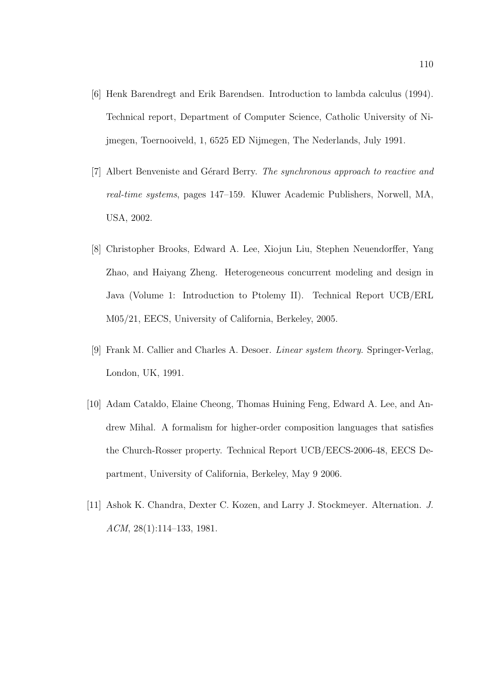- [6] Henk Barendregt and Erik Barendsen. Introduction to lambda calculus (1994). Technical report, Department of Computer Science, Catholic University of Nijmegen, Toernooiveld, 1, 6525 ED Nijmegen, The Nederlands, July 1991.
- [7] Albert Benveniste and Gérard Berry. The synchronous approach to reactive and real-time systems, pages 147–159. Kluwer Academic Publishers, Norwell, MA, USA, 2002.
- [8] Christopher Brooks, Edward A. Lee, Xiojun Liu, Stephen Neuendorffer, Yang Zhao, and Haiyang Zheng. Heterogeneous concurrent modeling and design in Java (Volume 1: Introduction to Ptolemy II). Technical Report UCB/ERL M05/21, EECS, University of California, Berkeley, 2005.
- [9] Frank M. Callier and Charles A. Desoer. Linear system theory. Springer-Verlag, London, UK, 1991.
- [10] Adam Cataldo, Elaine Cheong, Thomas Huining Feng, Edward A. Lee, and Andrew Mihal. A formalism for higher-order composition languages that satisfies the Church-Rosser property. Technical Report UCB/EECS-2006-48, EECS Department, University of California, Berkeley, May 9 2006.
- [11] Ashok K. Chandra, Dexter C. Kozen, and Larry J. Stockmeyer. Alternation. J. ACM, 28(1):114–133, 1981.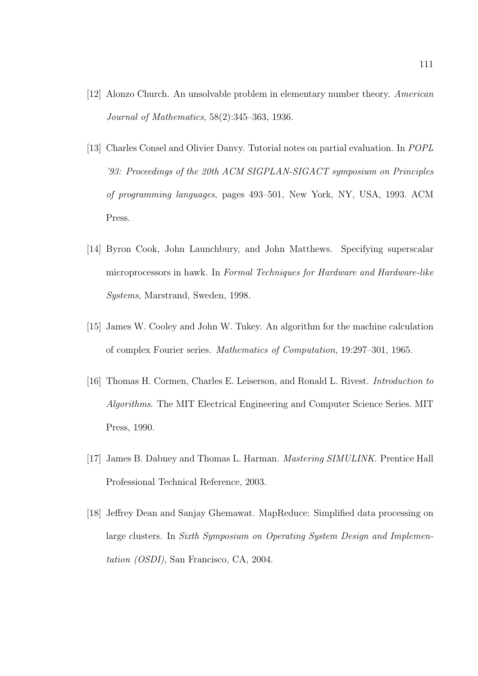- [12] Alonzo Church. An unsolvable problem in elementary number theory. American Journal of Mathematics, 58(2):345–363, 1936.
- [13] Charles Consel and Olivier Danvy. Tutorial notes on partial evaluation. In POPL '93: Proceedings of the 20th ACM SIGPLAN-SIGACT symposium on Principles of programming languages, pages 493–501, New York, NY, USA, 1993. ACM Press.
- [14] Byron Cook, John Launchbury, and John Matthews. Specifying superscalar microprocessors in hawk. In Formal Techniques for Hardware and Hardware-like Systems, Marstrand, Sweden, 1998.
- [15] James W. Cooley and John W. Tukey. An algorithm for the machine calculation of complex Fourier series. Mathematics of Computation, 19:297–301, 1965.
- [16] Thomas H. Cormen, Charles E. Leiserson, and Ronald L. Rivest. Introduction to Algorithms. The MIT Electrical Engineering and Computer Science Series. MIT Press, 1990.
- [17] James B. Dabney and Thomas L. Harman. Mastering SIMULINK. Prentice Hall Professional Technical Reference, 2003.
- [18] Jeffrey Dean and Sanjay Ghemawat. MapReduce: Simplified data processing on large clusters. In Sixth Symposium on Operating System Design and Implementation (OSDI), San Francisco, CA, 2004.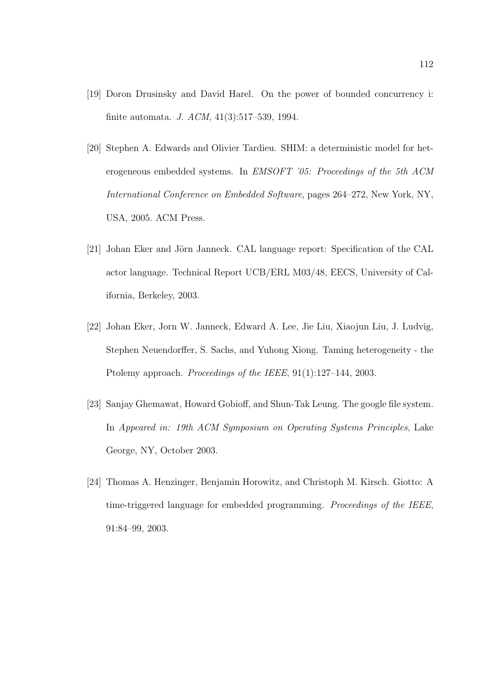- [19] Doron Drusinsky and David Harel. On the power of bounded concurrency i: finite automata. J. ACM, 41(3):517–539, 1994.
- [20] Stephen A. Edwards and Olivier Tardieu. SHIM: a deterministic model for heterogeneous embedded systems. In EMSOFT '05: Proceedings of the 5th ACM International Conference on Embedded Software, pages 264–272, New York, NY, USA, 2005. ACM Press.
- [21] Johan Eker and Jörn Janneck. CAL language report: Specification of the CAL actor language. Technical Report UCB/ERL M03/48, EECS, University of California, Berkeley, 2003.
- [22] Johan Eker, Jorn W. Janneck, Edward A. Lee, Jie Liu, Xiaojun Liu, J. Ludvig, Stephen Neuendorffer, S. Sachs, and Yuhong Xiong. Taming heterogeneity - the Ptolemy approach. *Proceedings of the IEEE*, 91(1):127–144, 2003.
- [23] Sanjay Ghemawat, Howard Gobioff, and Shun-Tak Leung. The google file system. In Appeared in: 19th ACM Symposium on Operating Systems Principles, Lake George, NY, October 2003.
- [24] Thomas A. Henzinger, Benjamin Horowitz, and Christoph M. Kirsch. Giotto: A time-triggered language for embedded programming. Proceedings of the IEEE, 91:84–99, 2003.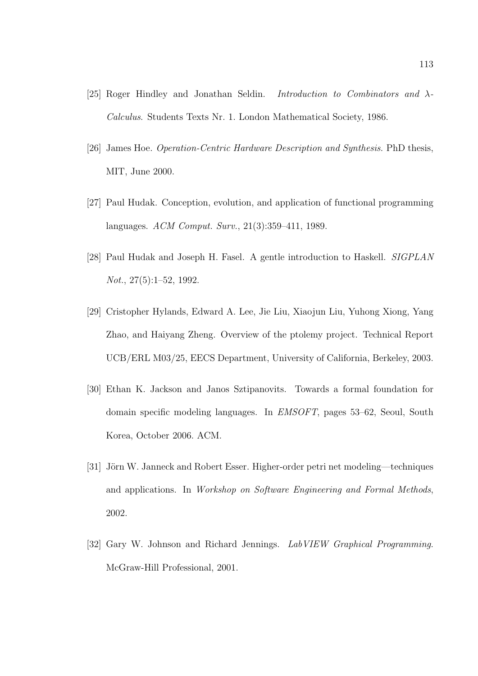- [25] Roger Hindley and Jonathan Seldin. *Introduction to Combinators and*  $\lambda$ -Calculus. Students Texts Nr. 1. London Mathematical Society, 1986.
- [26] James Hoe. Operation-Centric Hardware Description and Synthesis. PhD thesis, MIT, June 2000.
- [27] Paul Hudak. Conception, evolution, and application of functional programming languages. ACM Comput. Surv., 21(3):359–411, 1989.
- [28] Paul Hudak and Joseph H. Fasel. A gentle introduction to Haskell. SIGPLAN Not., 27(5):1–52, 1992.
- [29] Cristopher Hylands, Edward A. Lee, Jie Liu, Xiaojun Liu, Yuhong Xiong, Yang Zhao, and Haiyang Zheng. Overview of the ptolemy project. Technical Report UCB/ERL M03/25, EECS Department, University of California, Berkeley, 2003.
- [30] Ethan K. Jackson and Janos Sztipanovits. Towards a formal foundation for domain specific modeling languages. In EMSOFT, pages 53–62, Seoul, South Korea, October 2006. ACM.
- [31] Jörn W. Janneck and Robert Esser. Higher-order petri net modeling—techniques and applications. In Workshop on Software Engineering and Formal Methods, 2002.
- [32] Gary W. Johnson and Richard Jennings. LabVIEW Graphical Programming. McGraw-Hill Professional, 2001.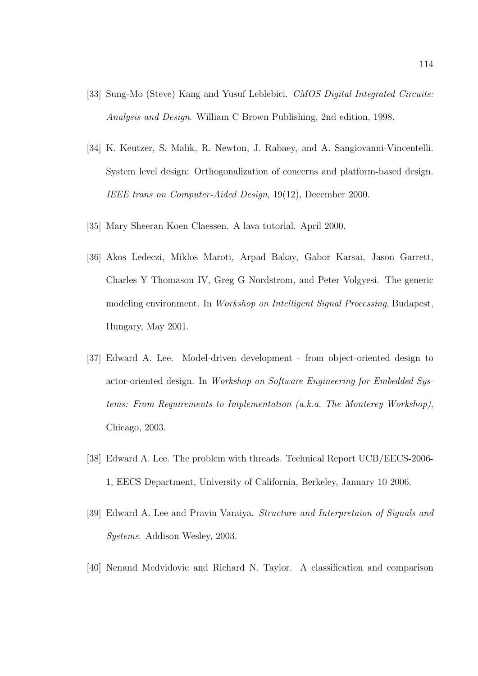- [33] Sung-Mo (Steve) Kang and Yusuf Leblebici. CMOS Digital Integrated Circuits: Analysis and Design. William C Brown Publishing, 2nd edition, 1998.
- [34] K. Keutzer, S. Malik, R. Newton, J. Rabaey, and A. Sangiovanni-Vincentelli. System level design: Orthogonalization of concerns and platform-based design. IEEE trans on Computer-Aided Design, 19(12), December 2000.
- [35] Mary Sheeran Koen Claessen. A lava tutorial. April 2000.
- [36] Akos Ledeczi, Miklos Maroti, Arpad Bakay, Gabor Karsai, Jason Garrett, Charles Y Thomason IV, Greg G Nordstrom, and Peter Volgyesi. The generic modeling environment. In Workshop on Intelligent Signal Processing, Budapest, Hungary, May 2001.
- [37] Edward A. Lee. Model-driven development from object-oriented design to actor-oriented design. In Workshop on Software Engineering for Embedded Systems: From Requirements to Implementation (a.k.a. The Monterey Workshop), Chicago, 2003.
- [38] Edward A. Lee. The problem with threads. Technical Report UCB/EECS-2006- 1, EECS Department, University of California, Berkeley, January 10 2006.
- [39] Edward A. Lee and Pravin Varaiya. Structure and Interpretaion of Signals and Systems. Addison Wesley, 2003.
- [40] Nenand Medvidovic and Richard N. Taylor. A classification and comparison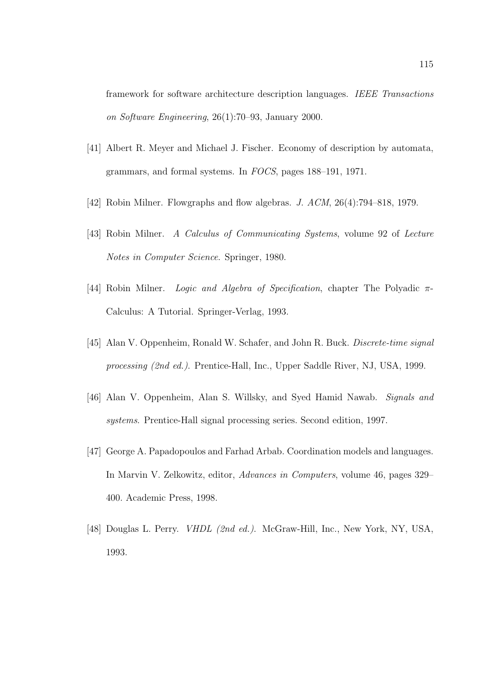framework for software architecture description languages. IEEE Transactions on Software Engineering, 26(1):70–93, January 2000.

- [41] Albert R. Meyer and Michael J. Fischer. Economy of description by automata, grammars, and formal systems. In FOCS, pages 188–191, 1971.
- [42] Robin Milner. Flowgraphs and flow algebras. J. ACM, 26(4):794–818, 1979.
- [43] Robin Milner. A Calculus of Communicating Systems, volume 92 of Lecture Notes in Computer Science. Springer, 1980.
- [44] Robin Milner. *Logic and Algebra of Specification*, chapter The Polyadic  $\pi$ -Calculus: A Tutorial. Springer-Verlag, 1993.
- [45] Alan V. Oppenheim, Ronald W. Schafer, and John R. Buck. Discrete-time signal processing (2nd ed.). Prentice-Hall, Inc., Upper Saddle River, NJ, USA, 1999.
- [46] Alan V. Oppenheim, Alan S. Willsky, and Syed Hamid Nawab. Signals and systems. Prentice-Hall signal processing series. Second edition, 1997.
- [47] George A. Papadopoulos and Farhad Arbab. Coordination models and languages. In Marvin V. Zelkowitz, editor, Advances in Computers, volume 46, pages 329– 400. Academic Press, 1998.
- [48] Douglas L. Perry. VHDL (2nd ed.). McGraw-Hill, Inc., New York, NY, USA, 1993.